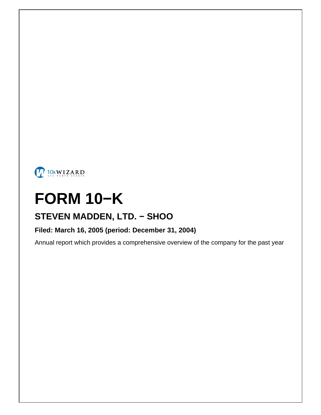

# **FORM 10−K**

# **STEVEN MADDEN, LTD. − SHOO**

# **Filed: March 16, 2005 (period: December 31, 2004)**

Annual report which provides a comprehensive overview of the company for the past year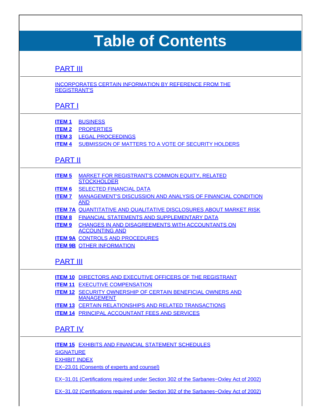# **Table of Contents**

# [PART III](#page-3-0)

[INCORPORATES CERTAIN INFORMATION BY REFERENCE FROM THE](#page-3-0) [REGISTRANT'S](#page-3-0)

# [PART I](#page-5-0)

**[ITEM 1](#page-5-1)** [BUSINESS](#page-5-1)

**[ITEM 2](#page-12-0)** [PROPERTIES](#page-12-0)

- **[ITEM 3](#page-13-0)** [LEGAL PROCEEDINGS](#page-13-0)
- **[ITEM 4](#page-13-1)** [SUBMISSION OF MATTERS TO A VOTE OF SECURITY HOLDERS](#page-13-1)

# [PART II](#page-14-0)

- **[ITEM 5](#page-14-1)** [MARKET FOR REGISTRANT'S COMMON EQUITY, RELATED](#page-14-1) **[STOCKHOLDER](#page-14-1)**
- **[ITEM 6](#page-15-0)** [SELECTED FINANCIAL DATA](#page-15-0)
- **[ITEM 7](#page-15-1)** [MANAGEMENT'S DISCUSSION AND ANALYSIS OF FINANCIAL CONDITION](#page-15-1) [AND](#page-15-1)
- **[ITEM 7A](#page-30-0)** [QUANTITATIVE AND QUALITATIVE DISCLOSURES ABOUT MARKET RISK](#page-30-0)
- **[ITEM 8](#page-30-1)** [FINANCIAL STATEMENTS AND SUPPLEMENTARY DATA](#page-30-1)
- **[ITEM 9](#page-30-2)** [CHANGES IN AND DISAGREEMENTS WITH ACCOUNTANTS ON](#page-30-2) [ACCOUNTING AND](#page-30-2)
- **[ITEM 9A](#page-30-3)** [CONTROLS AND PROCEDURES](#page-30-3)
- **[ITEM 9B](#page-30-4) [OTHER INFORMATION](#page-30-4)**

# **[PART III](#page-31-0)**

**[ITEM 10](#page-31-1)** [DIRECTORS AND EXECUTIVE OFFICERS OF THE REGISTRANT](#page-31-1)

- **[ITEM 11](#page-31-2) [EXECUTIVE COMPENSATION](#page-31-2)**
- **[ITEM 12](#page-31-3)** [SECURITY OWNERSHIP OF CERTAIN BENEFICIAL OWNERS AND](#page-31-3) [MANAGEMENT](#page-31-3)
- **[ITEM 13](#page-31-4)** [CERTAIN RELATIONSHIPS AND RELATED TRANSACTIONS](#page-31-4)
- **[ITEM 14](#page-31-5) [PRINCIPAL ACCOUNTANT FEES AND SERVICES](#page-31-5)**

# [PART IV](#page-31-6)

**[ITEM 15](#page-31-7)** [EXHIBITS AND FINANCIAL STATEMENT SCHEDULES](#page-31-7) **[SIGNATURE](#page-62-0)** [EXHIBIT INDEX](#page-63-0) [EX−23.01 \(Consents of experts and counsel\)](#page-65-0)

[EX−31.01 \(Certifications required under Section 302 of the Sarbanes−Oxley Act of 2002\)](#page-66-0)

[EX−31.02 \(Certifications required under Section 302 of the Sarbanes−Oxley Act of 2002\)](#page-67-0)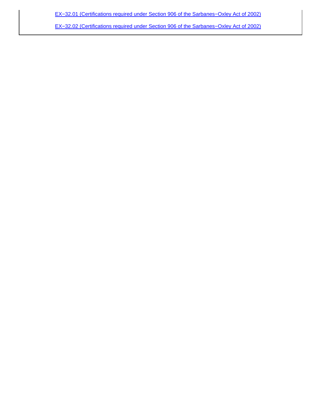[EX−32.02 \(Certifications required under Section 906 of the Sarbanes−Oxley Act of 2002\)](#page-69-0)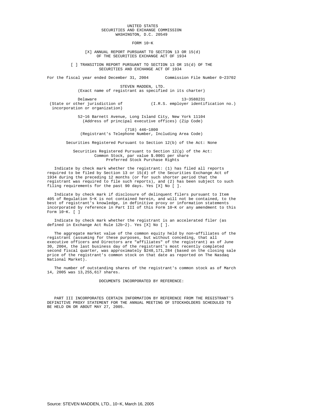#### UNITED STATES SECURITIES AND EXCHANGE COMMISSION WASHINGTON, D.C. 20549

FORM 10−K

# [X] ANNUAL REPORT PURSUANT TO SECTION 13 OR 15(d) OF THE SECURITIES EXCHANGE ACT OF 1934

 [ ] TRANSITION REPORT PURSUANT TO SECTION 13 OR 15(d) OF THE SECURITIES AND EXCHANGE ACT OF 1934

For the fiscal year ended December 31, 2004 Commission File Number 0−23702

STEVEN MADDEN, LTD. (Exact name of registrant as specified in its charter)

incorporation or organization)

Delaware 13−3588231<br>(State or other jurisdiction of (I.R.S. employer identi (I.R.S. employer identification no.)

52−16 Barnett Avenue, Long Island City, New York 11104

(Address of principal executive offices) (Zip Code)

 (718) 446−1800 (Registrant's Telephone Number, Including Area Code)

Securities Registered Pursuant to Section 12(b) of the Act: None

 Securities Registered Pursuant to Section 12(g) of the Act: Common Stock, par value \$.0001 per share Preferred Stock Purchase Rights

 Indicate by check mark whether the registrant: (1) has filed all reports required to be filed by Section 13 or 15(d) of the Securities Exchange Act of 1934 during the preceding 12 months (or for such shorter period that the registrant was required to file such reports), and (2) has been subject to such filing requirements for the past 90 days. Yes [X] No [ ].

 Indicate by check mark if disclosure of delinquent filers pursuant to Item 405 of Regulation S−K is not contained herein, and will not be contained, to the best of registrant's knowledge, in definitive proxy or information statements incorporated by reference in Part III of this Form 10−K or any amendment to this Form 10−K. [ ]

 Indicate by check mark whether the registrant is an accelerated filer (as defined in Exchange Act Rule 12b−2). Yes [X] No [ ].

 The aggregate market value of the common equity held by non−affiliates of the registrant (assuming for these purposes, but without conceding, that all executive officers and Directors are "affiliates" of the registrant) as of June 30, 2004, the last business day of the registrant's most recently completed second fiscal quarter, was approximately \$248,171,284 (based on the closing sale price of the registrant's common stock on that date as reported on The Nasdaq National Market).

 The number of outstanding shares of the registrant's common stock as of March 14, 2005 was 13,255,617 shares.

DOCUMENTS INCORPORATED BY REFERENCE:

<span id="page-3-0"></span> PART III INCORPORATES CERTAIN INFORMATION BY REFERENCE FROM THE REGISTRANT'S DEFINITIVE PROXY STATEMENT FOR THE ANNUAL MEETING OF STOCKHOLDERS SCHEDULED TO BE HELD ON OR ABOUT MAY 27, 2005.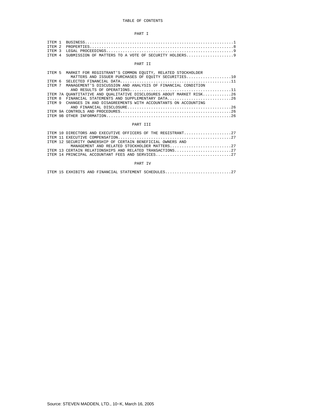# PART I

# PART II

|  | ITEM 5 MARKET FOR REGISTRANT'S COMMON EOUITY, RELATED STOCKHOLDER    |
|--|----------------------------------------------------------------------|
|  | MATTERS AND ISSUER PURCHASES OF EOUITY SECURITIES10                  |
|  |                                                                      |
|  | ITEM 7 MANAGEMENT'S DISCUSSION AND ANALYSIS OF FINANCIAL CONDITION   |
|  |                                                                      |
|  | ITEM 7A QUANTITATIVE AND QUALITATIVE DISCLOSURES ABOUT MARKET RISK26 |
|  | ITEM 8 FINANCIAL STATEMENTS AND SUPPLEMENTARY DATA26                 |
|  | ITEM 9 CHANGES IN AND DISAGREEMENTS WITH ACCOUNTANTS ON ACCOUNTING   |
|  |                                                                      |
|  |                                                                      |
|  |                                                                      |

# PART III

| ITEM 10 DIRECTORS AND EXECUTIVE OFFICERS OF THE REGISTRANT27 |  |
|--------------------------------------------------------------|--|
|                                                              |  |
| ITEM 12 SECURITY OWNERSHIP OF CERTAIN BENEFICIAL OWNERS AND  |  |
|                                                              |  |
| ITEM 13 CERTAIN RELATIONSHIPS AND RELATED TRANSACTIONS27     |  |
| ITEM 14 PRINCIPAL ACCOUNTANT FEES AND SERVICES27             |  |
|                                                              |  |

# PART IV

|  |  |  |  |  |  | ITEM 15 EXHIBITS AND FINANCIAL STATEMENT SCHEDULES27 |  |
|--|--|--|--|--|--|------------------------------------------------------|--|
|--|--|--|--|--|--|------------------------------------------------------|--|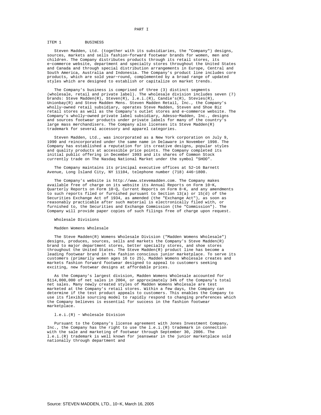# PART I

### <span id="page-5-1"></span><span id="page-5-0"></span>ITEM 1 BUSINESS

 Steven Madden, Ltd. (together with its subsidiaries, the "Company") designs, sources, markets and sells fashion−forward footwear brands for women, men and children. The Company distributes products through its retail stores, its e−commerce website, department and specialty stores throughout the United States and Canada and through special distribution arrangements in Europe, Central and South America, Australia and Indonesia. The Company's product line includes core products, which are sold year−round, complemented by a broad range of updated styles which are designed to establish or capitalize on market trends.

 The Company's business is comprised of three (3) distinct segments (wholesale, retail and private label). The wholesale division includes seven (7) brands: Steve Madden(R), Steven(R), l.e.i.(R), Candie's(R), Stevies(R), Unionbay(R) and Steve Madden Mens. Steven Madden Retail, Inc., the Company's wholly−owned retail subsidiary, operates Steve Madden, Steven and Shoe Biz retail stores as well as the Company's outlet stores and e−commerce website. The Company's wholly−owned private label subsidiary, Adesso−Madden, Inc., designs and sources footwear products under private labels for many of the country's large mass merchandisers. The Company also licenses its Steve Madden(R) trademark for several accessory and apparel categories.

 Steven Madden, Ltd., was incorporated as a New York corporation on July 9, 1990 and reincorporated under the same name in Delaware in November 1998. The Company has established a reputation for its creative designs, popular styles and quality products at accessible price points. The Company completed its initial public offering in December 1993 and its shares of Common Stock currently trade on The Nasdaq National Market under the symbol "SHOO".

 The Company maintains its principal executive offices at 52−16 Barnett Avenue, Long Island City, NY 11104, telephone number (718) 446−1800.

 The Company's website is http://www.stevemadden.com. The Company makes available free of charge on its website its Annual Reports on Form 10−K, Quarterly Reports on Form 10−Q, Current Reports on Form 8−K, and any amendments to such reports filed or furnished pursuant to Section 13(a) or 15(d) of the Securities Exchange Act of 1934, as amended (the "Exchange Act"), as soon as reasonably practicable after such material is electronically filed with, or furnished to, the Securities and Exchange Commission (the "Commission"). The Company will provide paper copies of such filings free of charge upon request.

#### Wholesale Divisions

#### Madden Womens Wholesale

 The Steve Madden(R) Womens Wholesale Division ("Madden Womens Wholesale") designs, produces, sources, sells and markets the Company's Steve Madden(R) brand to major department stores, better specialty stores, and shoe stores throughout the United States. The Steve Madden(R) product line has become a leading footwear brand in the fashion conscious junior marketplace. To serve its customers (primarily women ages 16 to 25), Madden Womens Wholesale creates and markets fashion forward footwear designed to appeal to customers seeking exciting, new footwear designs at affordable prices.

 As the Company's largest division, Madden Womens Wholesale accounted for \$114,000,000 of net sales in 2004, or approximately 34% of the Company's total net sales. Many newly created styles of Madden Womens Wholesale are test marketed at the Company's retail stores. Within a few days, the Company can determine if the test product appeals to customers. This enables the Company to use its flexible sourcing model to rapidly respond to changing preferences which the Company believes is essential for success in the fashion footwear marketplace.

# l.e.i.(R) − Wholesale Division

 Pursuant to the Company's license agreement with Jones Investment Company, Inc., the Company has the right to use the l.e.i.(R) trademark in connection with the sale and marketing of footwear through September 30, 2006. The l.e.i.(R) trademark is well known for jeanswear in the junior marketplace sold nationally through department and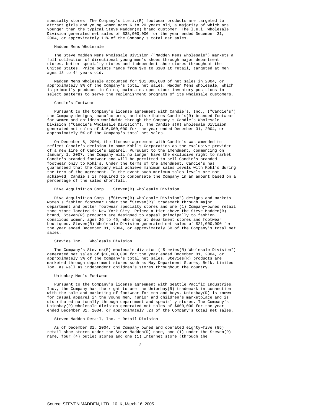specialty stores. The Company's l.e.i.(R) footwear products are targeted to attract girls and young women ages 6 to 20 years old, a majority of which are younger than the typical Steve Madden(R) brand customer. The l.e.i. Wholesale Division generated net sales of \$38,000,000 for the year ended December 31, 2004, or approximately 11% of the Company's total net sales.

# Madden Mens Wholesale

 The Steve Madden Mens Wholesale Division ("Madden Mens Wholesale") markets a full collection of directional young men's shoes through major department stores, better specialty stores and independent shoe stores throughout the United States. Price points range from \$70 to \$100 at retail, targeted at men ages 18 to 44 years old.

 Madden Mens Wholesale accounted for \$31,000,000 of net sales in 2004, or approximately 9% of the Company's total net sales. Madden Mens Wholesale, which is primarily produced in China, maintains open stock inventory positions in select patterns to serve the replenishment programs of its wholesale customers.

# Candie's Footwear

 Pursuant to the Company's license agreement with Candie's, Inc., ("Candie's") the Company designs, manufactures, and distributes Candie's(R) branded footwear for women and children worldwide through the Company's Candie's Wholesale Division ("Candie's Wholesale Division"). The Candie's(R) Wholesale Division generated net sales of \$16,000,000 for the year ended December 31, 2004, or approximately 5% of the Company's total net sales.

 On December 6, 2004, the license agreement with Candie's was amended to reflect Candie's decision to name Kohl's Corporation as the exclusive provider of a new line of Candie's apparel. Pursuant to the amendment, commencing on January 1, 2007, the Company will no longer have the exclusive right to market Candie's branded footwear and will be permitted to sell Candie's branded footwear only to Kohl's. Under the terms of the amendment, Candie's has guaranteed that the Company will achieve minimum sales levels with Kohl's during the term of the agreement. In the event such minimum sales levels are not achieved, Candie's is required to compensate the Company in an amount based on a percentage of the sales shortfall.

# Diva Acquisition Corp. − Steven(R) Wholesale Division

 Diva Acquisition Corp. ("Steven(R) Wholesale Division") designs and markets women's fashion footwear under the "Steven(R)" trademark through major department and better footwear specialty stores and one (1) Company−owned retail shoe store located in New York City. Priced a tier above the Steve Madden(R) brand, Steven(R) products are designed to appeal principally to fashion conscious women, ages 26 to 45, who shop at department stores and footwear boutiques. Steven(R) Wholesale Division generated net sales of \$21,000,000 for the year ended December 31, 2004, or approximately 6% of the Company's total net sales.

# Stevies Inc. − Wholesale Division

 The Company's Stevies(R) wholesale division ("Stevies(R) Wholesale Division") generated net sales of \$10,000,000 for the year ended December 31, 2004, or approximately 3% of the Company's total net sales. Stevies(R) products are marketed through department stores such as May Department Stores, Belk, Limited Too, as well as independent children's stores throughout the country.

#### Unionbay Men's Footwear

 Pursuant to the Company's license agreement with Seattle Pacific Industries, Inc., the Company has the right to use the Unionbay(R) trademark in connection with the sale and marketing of footwear for men and boys. Unionbay(R) is known for casual apparel in the young men, junior and children's marketplace and is distributed nationally through department and specialty stores. The Company's Unionbay(R) wholesale division generated net sales of  $$600,000$  for the year ended December 31, 2004, or approximately .2% of the Company's total net sales.

Steven Madden Retail, Inc. − Retail Division

 As of December 31, 2004, the Company owned and operated eighty−five (85) retail shoe stores under the Steve Madden(R) name, one (1) under the Steven(R) name, four (4) outlet stores and one (1) Internet store (through the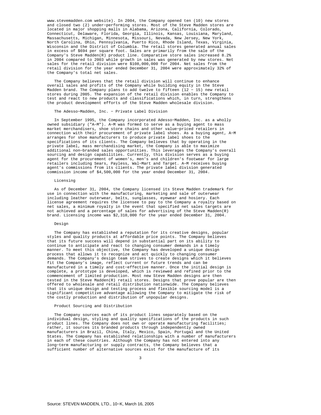www.stevemadden.com website). In 2004, the Company opened ten (10) new stores and closed two (2) under−performing stores. Most of the Steve Madden stores are located in major shopping malls in Alabama, Arizona, California, Colorado, Connecticut, Delaware, Florida, Georgia, Illinois, Kansas, Louisiana, Maryland, Massachusetts, Michigan, Minnesota, Missouri, Nevada, New Jersey, New York, North Carolina, Ohio, Pennsylvania, Puerto Rico, Rhode Island, Texas, Virginia, Wisconsin and the District of Columbia. The retail stores generated annual sales in excess of \$694 per square foot. Sales are primarily from the sale of the Company's Steve Madden(R) product line. Comparative store sales increased 8.2% in 2004 compared to 2003 while growth in sales was generated by new stores. Net sales for the retail division were \$108,000,000 for 2004. Net sales from the retail division for the year ended December 31, 2004 were approximately 32% of the Company's total net sales.

 The Company believes that the retail division will continue to enhance overall sales and profits of the Company while building equity in the Steve Madden brand. The Company plans to add twelve to fifteen (12 − 15) new retail stores during 2005. The expansion of the retail division enables the Company to test and react to new products and classifications which, in turn, strengthens the product development efforts of the Steve Madden wholesale division.

The Adesso−Madden, Inc. − Private Label Division

 In September 1995, the Company incorporated Adesso−Madden, Inc. as a wholly owned subsidiary ("A−M"). A−M was formed to serve as a buying agent to mass market merchandisers, shoe store chains and other value−priced retailers in connection with their procurement of private label shoes. As a buying agent, A−M arranges for shoe manufacturers to produce private label shoes to the specifications of its clients. The Company believes that by operating in the private label, mass merchandising market, the Company is able to maximize additional non−branded sales opportunities. This leverages the Company's overall sourcing and design capabilities. Currently, this division serves as a buying agent for the procurement of women's, men's and children's footwear for large retailers including Sears, Payless, Wal−Mart and Target. A−M receives buying agent's commissions from its clients. The private label division generated commission income of \$4,500,000 for the year ended December 31, 2004.

# Licensing

 As of December 31, 2004, the Company licensed its Steve Madden trademark for use in connection with the manufacturing, marketing and sale of outerwear including leather outerwear, belts, sunglasses, eyewear and hosiery. Each license agreement requires the licensee to pay to the Company a royalty based on net sales, a minimum royalty in the event that specified net sales targets are not achieved and a percentage of sales for advertising of the Steve Madden(R) brand. Licensing income was \$2,310,000 for the year ended December 31, 2004.

# Design

 The Company has established a reputation for its creative designs, popular styles and quality products at affordable price points. The Company believes that its future success will depend in substantial part on its ability to continue to anticipate and react to changing consumer demands in a timely manner. To meet this objective, the Company has developed a unique design process that allows it to recognize and act quickly to changing consumer demands. The Company's design team strives to create designs which it believes fit the Company's image, reflect current or future trends and can be manufactured in a timely and cost−effective manner. Once the initial design is complete, a prototype is developed, which is reviewed and refined prior to the commencement of limited production. Most new Steve Madden designs are then tested in the Steve Madden(R) retail stores. Designs that prove popular are then offered to wholesale and retail distribution nationwide. The Company believes that its unique design and testing process and flexible sourcing model is a significant competitive advantage allowing the Company to mitigate the risk of the costly production and distribution of unpopular designs.

# Product Sourcing and Distribution

 The Company sources each of its product lines separately based on the individual design, styling and quality specifications of the products in such product lines. The Company does not own or operate manufacturing facilities; rather, it sources its branded products through independently owned manufacturers in Brazil, China, Italy, Mexico, Spain, Portugal and the United States. The Company has established relationships with a number of manufacturers in each of these countries. Although the Company has not entered into any long−term manufacturing or supply contracts, the Company believes that a sufficient number of alternative sources exist for the manufacture of its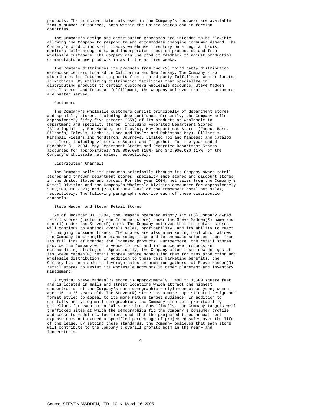products. The principal materials used in the Company's footwear are available from a number of sources, both within the United States and in foreign countries.

 The Company's design and distribution processes are intended to be flexible, allowing the Company to respond to and accommodate changing consumer demand. The Company's production staff tracks warehouse inventory on a regular basis, monitors sell−through data and incorporates input on product demand from wholesale customers. The Company can use product feedback to adjust production or manufacture new products in as little as five weeks.

 The Company distributes its products from two (2) third party distribution warehouse centers located in California and New Jersey. The Company also distributes its Internet shipments from a third party fulfillment center located in Michigan. By utilizing distribution facilities that specialize in distributing products to certain customers wholesale accounts, Steve Madden retail stores and Internet fulfillment, the Company believes that its customers are better served.

# Customers

 The Company's wholesale customers consist principally of department stores and specialty stores, including shoe boutiques. Presently, the Company sells approximately fifty−five percent (55%) of its products at wholesale to department and specialty stores, including Federated Department Stores (Bloomingdale's, Bon Marche, and Macy's), May Department Stores (Famous Barr, Filene's, Foley's, Hecht's, Lord and Taylor and Robinsons May), Dillard's, Marshall Field's and Nordstrom, Journeys, Limited Too and Mandees; and catalog retailers, including Victoria's Secret and Fingerhut. For the year ended December 31, 2004, May Department Stores and Federated Department Stores accounted for approximately \$35,000,000 (15%) and \$40,000,000 (17%) of the Company's wholesale net sales, respectively.

# Distribution Channels

 The Company sells its products principally through its Company−owned retail stores and through department stores, specialty shoe stores and discount stores in the United States and abroad. For the year 2004, net sales from the Company's Retail Division and the Company's Wholesale Division accounted for approximately \$108,000,000 (32%) and \$230,000,000 (68%) of the Company's total net sales, respectively. The following paragraphs describe each of these distribution channels.

# Steve Madden and Steven Retail Stores

 As of December 31, 2004, the Company operated eighty six (86) Company−owned retail stores (including one Internet store) under the Steve Madden(R) name and one (1) under the Steven(R) name. The Company believes that its retail stores will continue to enhance overall sales, profitability, and its ability to react to changing consumer trends. The stores are also a marketing tool which allows the Company to strengthen brand recognition and to showcase selected items from its full line of branded and licensed products. Furthermore, the retail stores provide the Company with a venue to test and introduce new products and merchandising strategies. Specifically, the Company often tests new designs at its Steve Madden(R) retail stores before scheduling them for mass production and wholesale distribution. In addition to these test marketing benefits, the Company has been able to leverage sales information gathered at Steve Madden(R) retail stores to assist its wholesale accounts in order placement and inventory management.

 A typical Steve Madden(R) store is approximately 1,400 to 1,600 square feet and is located in malls and street locations which attract the highest concentration of the Company's core demographic − style−conscious young women ages 16 to 25 years old. The Steven(R) store has a more sophisticated design and format styled to appeal to its more mature target audience. In addition to carefully analyzing mall demographics, the Company also sets profitability guidelines for each potential store site. Specifically, the Company targets well trafficked sites at which the demographics fit the Company's consumer profile and seeks to model new locations such that the projected fixed annual rent expense does not exceed a specified percentage of projected sales over the life of the lease. By setting these standards, the Company believes that each store will contribute to the Company's overall profits both in the near− and longer−terms.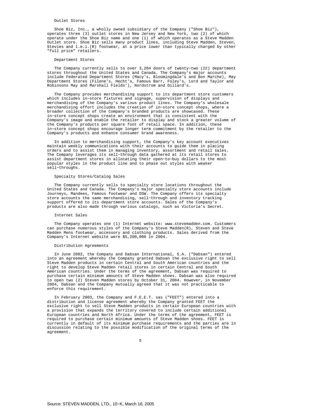Shoe Biz, Inc., a wholly owned subsidiary of the Company ("Shoe Biz"), operates three (3) outlet stores in New Jersey and New York, two (2) of which operate under the Shoe Biz name and one (1) of which operates as a Steve Madden Outlet store. Shoe Biz sells many product lines, including Steve Madden, Steven, Stevies and l.e.i.(R) footwear, at a price lower than typically charged by other "full price" retailers.

# Department Stores

 The Company currently sells to over 3,204 doors of twenty−two (22) department stores throughout the United States and Canada. The Company's major accounts include Federated Department Stores (Macy's, Bloomingdale's and Bon Marche), May Department Stores (Filene's, Hecht's, Famous Barr, Foley's, Lord and Taylor and Robinsons May and Marshall Fields'), Nordstrom and Dillard's.

 The Company provides merchandising support to its department store customers which includes in−store fixtures and signage, supervision of displays and merchandising of the Company's various product lines. The Company's wholesale merchandising effort includes the creation of in−store concept shops, where a broader collection of the Company's branded products are showcased. These in−store concept shops create an environment that is consistent with the Company's image and enable the retailer to display and stock a greater volume of the Company's products per square foot of retail space. In addition, these in−store concept shops encourage longer term commitment by the retailer to the Company's products and enhance consumer brand awareness.

 In addition to merchandising support, the Company's key account executives maintain weekly communications with their accounts to guide them in placing orders and to assist them in managing inventory, assortment and retail sales. The Company leverages its sell−through data gathered at its retail stores to assist department stores in allocating their open−to−buy dollars to the most popular styles in the product line and to phase out styles with weaker sell−throughs.

### Specialty Stores/Catalog Sales

 The Company currently sells to specialty store locations throughout the United States and Canada. The Company's major specialty store accounts include Journeys, Mandees, Famous footwear and DSW. The Company offers its specialty store accounts the same merchandising, sell−through and inventory tracking support offered to its department store accounts. Sales of the Company's products are also made through various catalogs, such as Victoria's Secret.

### Internet Sales

 The Company operates one (1) Internet website: www.stevemadden.com. Customers can purchase numerous styles of the Company's Steve Madden(R), Steven and Steve Madden Mens footwear, accessory and clothing products. Sales derived from the Company's Internet website were \$5,200,000 in 2004.

#### Distribution Agreements

 In June 2002, the Company and Dabsan International, S.A. ("Dabsan") entered into an agreement whereby the Company granted Dabsan the exclusive right to sell Steve Madden products in certain Central and South American countries and the right to develop Steve Madden retail stores in certain Central and South American countries. Under the terms of the agreement, Dabsan was required to purchase certain minimum amounts of Steve Madden shoes. Dabsan was also required to open two (2) Steven Madden stores by October 31, 2004. However, in November 2004, Dabsan and the Company mutually agreed that it was not practicable to enforce this requirement.

 In February 2003, the Company and F.E.E.T. sas ("FEET") entered into a distribution and license agreement whereby the Company granted FEET the exclusive right to sell Steve Madden products in certain European countries with a provision that expands the territory covered to include certain additional European countries and North Africa. Under the terms of the agreement, FEET is required to purchase certain minimum amounts of Steve Madden shoes. FEET is currently in default of its minimum purchase requirements and the parties are in discussion relating to the possible modification of the original terms of the agreement.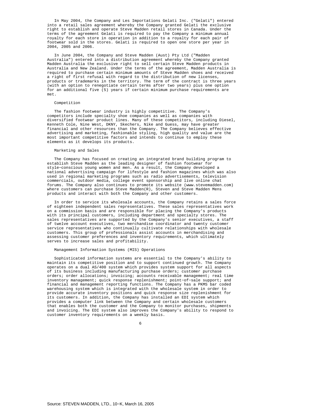In May 2004, the Company and Les Importations Gelati Inc. ("Gelati") entered into a retail sales agreement whereby the Company granted Gelati the exclusive right to establish and operate Steve Madden retail stores in Canada. Under the terms of the agreement Gelati is required to pay the Company a minimum annual royalty for each store in operation in addition to a royalty for each pair of footwear sold in the stores. Gelati is required to open one store per year in 2004, 2005 and 2006.

 In June 2004, the Company and Steve Madden (Aust) Pty Ltd ("Madden Australia") entered into a distribution agreement whereby the Company granted Madden Australia the exclusive right to sell certain Steve Madden products in Australia and New Zealand. Under the terms of the agreement, Madden Australia is required to purchase certain minimum amounts of Steve Madden shoes and received a right of first refusal with regard to the distribution of new licenses, products or trademarks in the territory. The term of the contract is three years (with an option to renegotiate certain terms after two years) plus one option for an additional five (5) years if certain minimum purchase requirements are met.

# Competition

 The fashion footwear industry is highly competitive. The Company's competitors include specialty shoe companies as well as companies with diversified footwear product lines. Many of these competitors, including Diesel, Kenneth Cole, Nine West, DKNY, Skechers, Nike and Guess, may have greater financial and other resources than the Company. The Company believes effective advertising and marketing, fashionable styling, high quality and value are the most important competitive factors and intends to continue to employ these elements as it develops its products.

### Marketing and Sales

 The Company has focused on creating an integrated brand building program to establish Steve Madden as the leading designer of fashion footwear for style−conscious young women and men. As a result, the Company developed a national advertising campaign for lifestyle and fashion magazines which was also used in regional marketing programs such as radio advertisements, television commercials, outdoor media, college event sponsorship and live online chat forums. The Company also continues to promote its website (www.stevemadden.com) where customers can purchase Steve Madden(R), Steven and Steve Madden Mens products and interact with both the Company and other customers.

 In order to service its wholesale accounts, the Company retains a sales force of eighteen independent sales representatives. These sales representatives work on a commission basis and are responsible for placing the Company's products with its principal customers, including department and specialty stores. The sales representatives are supported by the Company's senior executives, a staff of twelve account executives, two merchandise coordinator and twenty customer service representatives who continually cultivate relationships with wholesale customers. This group of professionals assist accounts in merchandising and assessing customer preferences and inventory requirements, which ultimately serves to increase sales and profitability.

#### Management Information Systems (MIS) Operations

 Sophisticated information systems are essential to the Company's ability to maintain its competitive position and to support continued growth. The Company operates on a dual AS/400 system which provides system support for all aspects of its business including manufacturing purchase orders; customer purchase orders; order allocations; invoicing; accounts receivable management; real time inventory management; quick response replenishment; point−of−sale support; and financial and management reporting functions. The Company has a PKMS bar coded warehousing system which is integrated with the wholesale system in order to provide accurate inventory positions and quick response size replenishment for its customers. In addition, the Company has installed an EDI system which provides a computer link between the Company and certain wholesale customers that enables both the customer and the Company to monitor purchases, shipments and invoicing. The EDI system also improves the Company's ability to respond to customer inventory requirements on a weekly basis.

 $\sim$  6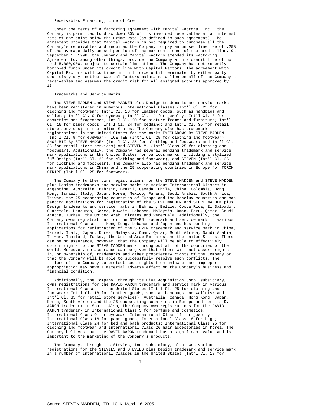# Receivables Financing; Line of Credit

 Under the terms of a factoring agreement with Capital Factors, Inc., the Company is permitted to draw down 80% of its invoiced receivables at an interest rate of one point below the Prime Rate (as defined in such agreement). The agreement provides that Capital Factors is not required to purchase all the Company's receivables and requires the Company to pay an unused line fee of .25% of the average daily unused portion of the maximum amount of the credit line. On September 1, 1998, the Company and Capital Factors amended its Factoring Agreement to, among other things, provide the Company with a credit line of up to \$15,000,000, subject to certain limitations. The Company has not recently borrowed funds under its credit line with Capital Factors. The agreement with Capital Factors will continue in full force until terminated by either party upon sixty days notice. Capital Factors maintains a lien on all of the Company's receivables and assumes the credit risk for all assigned accounts approved by it.

# Trademarks and Service Marks

 The STEVE MADDEN and STEVE MADDEN plus Design trademarks and service marks have been registered in numerous International Classes (Int'l Cl. 25 for clothing and footwear; Int'l Cl. 18 for leather goods, such as handbags and wallets; Int'l Cl. 9 for eyewear; Int'l Cl. 14 for jewelry; Int'l Cl. 3 for cosmetics and fragrances; Int'l Cl. 20 for picture frames and furniture; Int'l Cl. 16 for paper goods; Int'l Cl. 24 for bedding; and Int'l Cl. 35 for retail store services) in the United States. The Company also has trademark registrations in the United States for the marks EYESHADOWS BY STEVE MADDEN (Int'l Cl. 9 for eyewear), ICE TEE (Int'l Cl. 25 for clothing and footwear), SHOE BIZ By STEVE MADDEN (Int'l Cl. 25 for clothing and footwear; and Int'l Cl. 35 for retail store services) and STEVEN M. (Int'l Class 25 for clothing and footwear). Additionally, the Company has several pending trademark and service mark applications in the United States for various marks, including a stylized "H" Design (Int'l Cl. 25 for clothing and footwear), and STEVEN (Int'l Cl. 25 for clothing and footwear). The Company also has pending trademark and service mark applications in China and the 25 cooperating countries in Europe for TORCH STRIPE (Int'l Cl. 25 for footwear).

 The Company further owns registrations for the STEVE MADDEN and STEVE MADDEN plus Design trademarks and service marks in various International Classes in Argentina, Australia, Bahrain, Brazil, Canada, Chile, China, Colombia, Hong Kong, Israel, Italy, Japan, Korea, Mexico, Panama, Saudi Arabia, South Africa, Taiwan, the 25 cooperating countries of Europe and the Benelux countries and has pending applications for registration of the STEVE MADDEN and STEVE MADDEN plus Design trademarks and service marks in Bahrain, Belize, Costa Rica, El Salvador, Guatemala, Honduras, Korea, Kuwait, Lebanon, Malaysia, Oman, Peru, Qatar, Saudi Arabia, Turkey, the United Arab Emirates and Venezuela. Additionally, the Company owns registrations for the STEVEN trademark and service mark in various International Classes in Hong Kong, Lebanon and Japan and has pending applications for registration of the STEVEN trademark and service mark in China, Israel, Italy, Japan, Korea, Malaysia, Oman, Qatar, South Africa, Saudi Arabia, Taiwan, Thailand, Turkey, the United Arab Emirates and the United States. There can be no assurance, however, that the Company will be able to effectively obtain rights to the STEVE MADDEN mark throughout all of the countries of the world. Moreover, no assurance can be given that others will not assert rights in, or ownership of, trademarks and other proprietary rights of the Company or that the Company will be able to successfully resolve such conflicts. The failure of the Company to protect such rights from unlawful and improper appropriation may have a material adverse effect on the Company's business and financial condition.

 Additionally, the Company, through its Diva Acquisition Corp. subsidiary, owns registrations for the DAVID AARON trademark and service mark in various International Classes in the United States (Int'l Cl. 25 for clothing and footwear; Int'l Cl. 18 for leather goods, such as handbags and wallets; and Int'l Cl. 35 for retail store services), Australia, Canada, Hong Kong, Japan, Korea, South Africa and the 25 cooperating countries in Europe and for its D. AARON trademark in Spain. Also, the Company own registrations for the DAVID AARON trademark in International Class 3 for perfume and cosmetics; International Class 9 for eyewear; International Class 14 for jewelry; International Class 16 for paper goods; International Class 18 for bags; International Class 24 for bed and bath products; International Class 25 for clothing and footwear and International Class 26 hair accessories in Korea. The Company believes that the DAVID AARON trademark has a significant value and is important to the marketing of the Company's products.

 The Company, through its Stevies, Inc. subsidiary, also owns various registrations for the STEVIES and STEVIES plus Design trademark and service mark in a number of International Classes in the United States (Int'l Cl. 18 for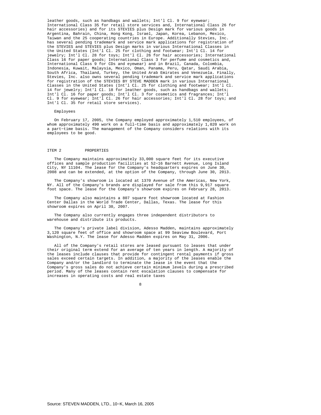leather goods, such as handbags and wallets; Int'l Cl. 9 for eyewear; International Class 35 for retail store services and, International Class 26 for hair accessories) and for its STEVIES plus Design mark for various goods in Argentina, Bahrain, China, Hong Kong, Israel, Japan, Korea, Lebanon, Mexico, Taiwan and the 25 cooperating countries in Europe. Additionally Stevies, Inc. has several pending trademark and service mark applications for registration of the STEVIES and STEVIES plus Design marks in various International Classes in the United States (Int'l Cl. 25 for clothing and footwear; Int'l Cl. 14 for jewelry; Int'l Cl. 28 for toys; Int'l Cl. 26 for hair accessories; International Class 16 for paper goods; International Class 3 for perfume and cosmetics and, International Class 9 for CDs and eyewear) and in Brazil, Canada, Colombia, Indonesia, Kuwait, Malaysia, Mexico, Oman, Panama, Peru, Qatar, Saudi Arabia, South Africa, Thailand, Turkey, the United Arab Emirates and Venezuela. Finally, Stevies, Inc. also owns several pending trademark and service mark applications for registration of the STEVIES BY STEVE MADDEN mark in various International Classes in the United States (Int'l Cl. 25 for clothing and footwear; Int'l Cl. 14 for jewelry; Int'l Cl. 18 for leather goods, such as handbags and wallets; Int'l Cl. 16 for paper goods; Int'l Cl. 3 for cosmetics and fragrances; Int'l Cl. 9 for eyewear; Int'l Cl. 26 for hair accessories; Int'l Cl. 28 for toys; and Int'l Cl. 35 for retail store services).

### Employees

 On February 17, 2005, the Company employed approximately 1,510 employees, of whom approximately 490 work on a full−time basis and approximately 1,020 work on a part−time basis. The management of the Company considers relations with its employees to be good.

#### <span id="page-12-0"></span>ITEM 2 PROPERTIES

 The Company maintains approximately 33,000 square feet for its executive offices and sample production facilities at 52−16 Barnett Avenue, Long Island City, NY 11104. The lease for the Company's headquarters expires on June 30, 2008 and can be extended, at the option of the Company, through June 30, 2013.

 The Company's showroom is located at 1370 Avenue of the Americas, New York, NY. All of the Company's brands are displayed for sale from this 9,917 square foot space. The lease for the Company's showroom expires on February 28, 2013.

 The Company also maintains a 807 square foot showroom located at Fashion Center Dallas in the World Trade Center, Dallas, Texas. The lease for this showroom expires on April 30, 2007.

 The Company also currently engages three independent distributors to warehouse and distribute its products.

 The Company's private label division, Adesso Madden, maintains approximately 3,120 square feet of office and showroom space at 99 Seaview Boulevard, Port Washington, N.Y. The lease for Adesso Madden expires on May 31, 2006.

 All of the Company's retail stores are leased pursuant to leases that under their original term extend for an average of ten years in length. A majority of the leases include clauses that provide for contingent rental payments if gross sales exceed certain targets. In addition, a majority of the leases enable the Company and/or the landlord to terminate the lease in the event that the Company's gross sales do not achieve certain minimum levels during a prescribed period. Many of the leases contain rent escalation clauses to compensate for increases in operating costs and real estate taxes

#### en andere de la provincia de la provincia de la provincia de la provincia de la provincia de la provincia del<br>En 1888, en 1888, en 1888, en 1888, en 1888, en 1888, en 1888, en 1888, en 1888, en 1888, en 1888, en 1888, en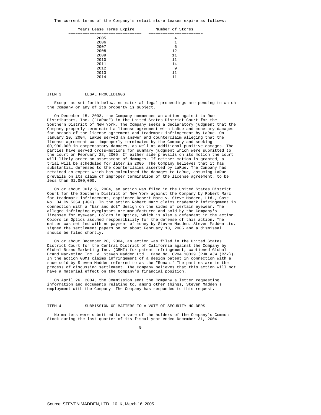The current terms of the Company's retail store leases expire as follows:

| Years Lease Terms Expire | Number of Stores |
|--------------------------|------------------|
| 2005                     | 4                |
| 2006                     |                  |
| 2007                     | 6                |
| 2008                     | 12               |
| 2009                     | 11               |
| 2010                     | 11               |
| 2011                     | 14               |
| 2012                     | 9                |
| 2013                     | 11               |
| 2014                     | 11               |
|                          |                  |

# <span id="page-13-0"></span>ITEM 3 LEGAL PROCEEDINGS

 Except as set forth below, no material legal proceedings are pending to which the Company or any of its property is subject.

 On December 15, 2003, the Company commenced an action against La Rue Distributors, Inc. ("LaRue") in the United States District Court for the Southern District of New York. The Company seeks a declaratory judgment that the Company properly terminated a license agreement with LaRue and monetary damages for breach of the license agreement and trademark infringement by LaRue. On January 20, 2004, LaRue served an answer and counterclaim alleging that the license agreement was improperly terminated by the Company and seeking \$9,900,000 in compensatory damages, as well as additional punitive damages. The parties have served cross−motions for summary judgment which were submitted to the court on February 28, 2005. If either side prevails on its motion the court will likely order an assessment of damages. If neither motion is granted, a trial will be scheduled for later in 2005. The Company believes that it has substantial defenses to the counterclaims asserted by LaRue. The Company has retained an expert which has calculated the damages to LaRue, assuming LaRue prevails on its claim of improper termination of the license agreement, to be less than \$1,000,000.

 On or about July 9, 2004, an action was filed in the United States District Court for the Southern District of New York against the Company by Robert Marc for trademark infringement, captioned Robert Marc v. Steve Madden, Ltd., Case No. 04 CV 5354 (JGK). In the action Robert Marc claims trademark infringement in connection with a "bar and dot" design on the sides of certain eyewear. The alleged infringing eyeglasses are manufactured and sold by the Company's licensee for eyewear, Colors in Optics, which is also a defendant in the action. Colors in Optics assumed responsibility for the defense of this action. The matter was settled with no payment of money by Steven Madden. Steven Madden Ltd. signed the settlement papers on or about February 10, 2005 and a dismissal should be filed shortly.

 On or about December 20, 2004, an action was filed in the United States District Court for the Central District of California against the Company by Global Brand Marketing Inc. (GBMI) for patent infringement, captioned Global Brand Marketing Inc. v. Steven Madden Ltd., Case No. CV04−10339 (RJK−AJW (RZx)). In the action GBMI claims infringement of a design patent in connection with a shoe sold by Steven Madden referred to as the "Ronan." The parties are in the process of discussing settlement. The Company believes that this action will not have a material effect on the Company's financial position.

 On April 26, 2004, the Commission sent the Company a letter requesting information and documents relating to, among other things, Steven Madden's employment with the Company. The Company has responded to this request.

#### <span id="page-13-1"></span>ITEM 4 SUBMISSION OF MATTERS TO A VOTE OF SECURITY HOLDERS

 No matters were submitted to a vote of the holders of the Company's Common Stock during the last quarter of its fiscal year ended December 31, 2004.

9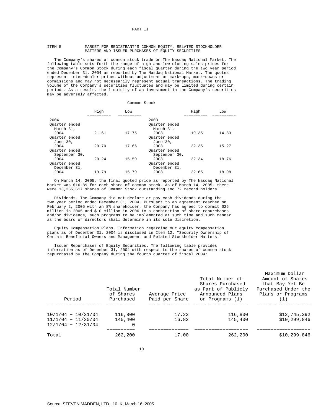#### ITEM 5 MARKET FOR REGISTRANT'S COMMON EQUITY, RELATED STOCKHOLDER MATTERS AND ISSUER PURCHASES OF EQUITY SECURITIES

 The Company's shares of common stock trade on The Nasdaq National Market. The following table sets forth the range of high and low closing sales prices for the Company's Common Stock during each fiscal quarter during the two−year period ended December 31, 2004 as reported by The Nasdaq National Market. The quotes represent inter−dealer prices without adjustment or mark−ups, mark−downs or commissions and may not necessarily represent actual transactions. The trading volume of the Company's securities fluctuates and may be limited during certain periods. As a result, the liquidity of an investment in the Company's securities may be adversely affected.

# Common Stock

|                                        | High  | Low   |                                        | High  | Low   |
|----------------------------------------|-------|-------|----------------------------------------|-------|-------|
| 2004<br>Ouarter ended                  |       |       | 2003<br>Ouarter ended                  |       |       |
| March 31,<br>2004<br>Ouarter ended     | 21.61 | 17.75 | March 31,<br>2003<br>Ouarter ended     | 19.35 | 14.83 |
| June 30,<br>2004<br>Ouarter ended      | 20.70 | 17.66 | June 30,<br>2003<br>Ouarter ended      | 22.35 | 15.27 |
| September 30,<br>2004<br>Ouarter ended | 20.24 | 15.59 | September 30,<br>2003<br>Ouarter ended | 22.34 | 18.76 |
| December 31,<br>2004                   | 19.79 | 15.79 | December 31,<br>2003                   | 22.65 | 18.98 |

 On March 14, 2005, the final quoted price as reported by The Nasdaq National Market was \$16.89 for each share of common stock. As of March 14, 2005, there were 13,255,617 shares of Common Stock outstanding and 72 record holders.

 Dividends. The Company did not declare or pay cash dividends during the two−year period ended December 31, 2004. Pursuant to an agreement reached on February 2, 2005 with an 8% shareholder, the Company has agreed to commit \$25 million in 2005 and \$10 million in 2006 to a combination of share repurchases and/or dividends, such programs to be implemented at such time and such manner as the board of directors shall determine in its sole discretion.

 Equity Compensation Plans. Information regarding our equity compensation plans as of December 31, 2004 is disclosed in Item 12. "Security Ownership of Certain Beneficial Owners and Management and Related Stockholder Matters."

 Issuer Repurchases of Equity Securities. The following table provides information as of December 31, 2004 with respect to the shares of common stock repurchased by the Company during the fourth quarter of fiscal 2004:

| Period                                       | Total Number<br>of Shares<br>Purchased | Average Price<br>Paid per Share | Total Number of<br>Shares Purchased<br>as Part of Publicly<br>Announced Plans<br>or Programs (1) | Maximum Dollar<br>Amount of Shares<br>that May Yet Be<br>Purchased Under the<br>Plans or Programs<br>(1) |  |  |
|----------------------------------------------|----------------------------------------|---------------------------------|--------------------------------------------------------------------------------------------------|----------------------------------------------------------------------------------------------------------|--|--|
|                                              |                                        |                                 |                                                                                                  |                                                                                                          |  |  |
| $10/1/04 - 10/31/04$                         | 116,800                                | 17.23                           | 116,800                                                                                          | \$12,745,392                                                                                             |  |  |
| $11/1/04 - 11/30/04$<br>$12/1/04 - 12/31/04$ | 145,400<br>0                           | 16.82                           | 145,400                                                                                          | \$10,299,846                                                                                             |  |  |
| Total                                        | 262,200                                | 17.00                           | 262,200                                                                                          | \$10,299,846                                                                                             |  |  |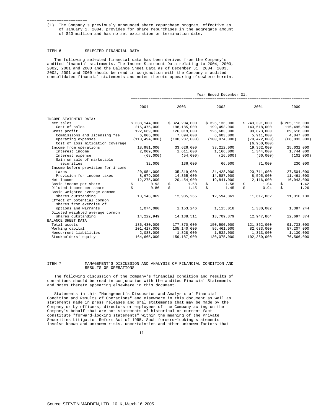(1) The Company's previously announced share repurchase program, effective as of January 1, 2004, provides for share repurchases in the aggregate amount of \$20 million and has no set expiration or termination date.

# <span id="page-15-0"></span>ITEM 6 SELECTED FINANCIAL DATA

 The following selected financial data has been derived from the Company's audited financial statements. The Income Statement Data relating to 2004, 2003, 2002, 2001 and 2000 and the Balance Sheet Data as of December 31, 2004, 2003, 2002, 2001 and 2000 should be read in conjunction with the Company's audited consolidated financial statements and notes thereto appearing elsewhere herein.

|                                    | Year Ended December 31, |                 |                 |                |                |  |  |  |  |  |
|------------------------------------|-------------------------|-----------------|-----------------|----------------|----------------|--|--|--|--|--|
|                                    | 2004                    | 2003            | 2002            | 2001           | 2000           |  |  |  |  |  |
| INCOME STATEMENT DATA:             |                         |                 |                 |                |                |  |  |  |  |  |
| Net sales                          | \$338,144,000           | \$324, 204, 000 | \$326,136,000   | \$243,391,000  | \$205,113,000  |  |  |  |  |  |
| Cost of sales                      | 215, 475, 000           | 198,185,000     | 199,453,000     | 143,518,000    | 115,495,000    |  |  |  |  |  |
| Gross profit                       | 122,669,000             | 126,019,000     | 126,683,000     | 99,873,000     | 89,618,000     |  |  |  |  |  |
| Commissions and licensing fee      | 6,806,000               | 7,894,000       | 6,603,000       | 5,911,000      | 4,847,000      |  |  |  |  |  |
| Operating expenses                 | (110, 494, 000)         | (100, 287, 000) | (100, 074, 000) | (79, 472, 000) | (68, 833, 000) |  |  |  |  |  |
| Cost of loss mitigation coverage   |                         |                 |                 | (6, 950, 000)  |                |  |  |  |  |  |
| Income from operations             | 18,981,000              | 33,626,000      | 33,212,000      | 19,362,000     | 25,632,000     |  |  |  |  |  |
| Interest income                    | 2,009,000               | 1,611,000       | 1,166,000       | 1,344,000      | 1,744,000      |  |  |  |  |  |
| Interest expense                   | (68,000)                | (54,000)        | (16,000)        | (66,000)       | (102, 000)     |  |  |  |  |  |
| Gain on sale of marketable         |                         |                 |                 |                |                |  |  |  |  |  |
| securities                         | 32,000                  | 136,000         | 66,000          | 71,000         | 230,000        |  |  |  |  |  |
| Income before provision for income |                         |                 |                 |                |                |  |  |  |  |  |
| taxes                              | 20,954,000              | 35, 319, 000    | 34,428,000      | 20,711,000     | 27,504,000     |  |  |  |  |  |
| Provision for income taxes         | 8,679,000               | 14,865,000      | 14,587,000      | 8,595,000      | 11,461,000     |  |  |  |  |  |
| Net Income                         | 12,275,000              | 20,454,000      | 19,841,000      | 12,116,000     | 16,043,000     |  |  |  |  |  |
| Basic income per share             | \$<br>0.93              | \$<br>1.58      | \$<br>1.58      | \$<br>1.04     | \$<br>1.42     |  |  |  |  |  |
| Diluted income per share           | Ś<br>0.86               | \$<br>1.45      | \$<br>1.45      | \$<br>0.94     | \$<br>1.26     |  |  |  |  |  |
| Basic weighted average common      |                         |                 |                 |                |                |  |  |  |  |  |
| shares outstanding                 | 13, 148, 869            | 12,985,265      | 12,594,861      | 11,617,862     | 11,310,130     |  |  |  |  |  |
| Effect of potential common         |                         |                 |                 |                |                |  |  |  |  |  |
| shares from exercise of            |                         |                 |                 |                |                |  |  |  |  |  |
| options and warrants               | 1,074,080               | 1,153,246       | 1,115,018       | 1,330,002      | 1,387,244      |  |  |  |  |  |
| Diluted weighted average common    |                         |                 |                 |                |                |  |  |  |  |  |
| shares outstanding                 | 14,222,949              | 14, 138, 511    | 13,709,879      | 12,947,864     | 12,697,374     |  |  |  |  |  |
| BALANCE SHEET DATA                 |                         |                 |                 |                |                |  |  |  |  |  |
| Total assets                       | 186,430,000             | 177,870,000     | 150,500,000     | 121,862,000    | 91,733,000     |  |  |  |  |  |
| Working capital                    | 101,417,000             | 105,140,000     | 86,461,000      | 82,633,000     | 57,207,000     |  |  |  |  |  |
| Noncurrent liabilities             | 2,088,000               | 1,828,000       | 1,532,000       | 1,313,000      | 1,130,000      |  |  |  |  |  |
| Stockholders' equity               | 164,665,000             | 159,187,000     | 130,075,000     | 102,360,000    | 76,566,000     |  |  |  |  |  |
|                                    |                         |                 |                 |                |                |  |  |  |  |  |

<span id="page-15-1"></span>ITEM 7 MANAGEMENT'S DISCUSSION AND ANALYSIS OF FINANCIAL CONDITION AND RESULTS OF OPERATIONS

 The following discussion of the Company's financial condition and results of operations should be read in conjunction with the audited Financial Statements and Notes thereto appearing elsewhere in this document.

 Statements in this "Management's Discussion and Analysis of Financial Condition and Results of Operations" and elsewhere in this document as well as statements made in press releases and oral statements that may be made by the Company or by officers, directors or employees of the Company acting on the Company's behalf that are not statements of historical or current fact constitute "forward−looking statements" within the meaning of the Private Securities Litigation Reform Act of 1995. Such forward−looking statements involve known and unknown risks, uncertainties and other unknown factors that

11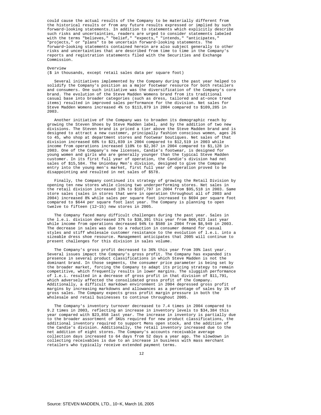could cause the actual results of the Company to be materially different from the historical results or from any future results expressed or implied by such forward−looking statements. In addition to statements which explicitly describe such risks and uncertainties, readers are urged to consider statements labeled with the terms "believes," "belief," "expects," "intends," "anticipates," "projects," or "plans" to be uncertain forward−looking statements. The forward−looking statements contained herein are also subject generally to other risks and uncertainties that are described from time to time in the Company's reports and registration statements filed with the Securities and Exchange Commission.

#### Overview (\$ in thousands, except retail sales data per square foot)

 Several initiatives implemented by the Company during the past year helped to solidify the Company's position as a major footwear resource for both retailers and consumers. One such initiative was the diversification of the Company's core brand. The evolution of the Steve Madden Womens brand from its traditional casual base into broader categories (such as dress, tailored and at−once trend items) resulted in improved sales performance for the division. Net sales for Steve Madden Womens increased 4% to \$113,879 in 2004 compared to \$109,285 in 2003.

 Another initiative of the Company was to broaden its demographic reach by growing the Steven Shoes by Steve Madden label, and by the addition of two new divisions. The Steven brand is priced a tier above the Steve Madden brand and is designed to attract a new customer, principally fashion conscious women, ages 26 to 45, who shop at department stores and footwear boutiques. Net sales of that division increased 68% to \$21,039 in 2004 compared to \$12,519 in 2003 while income from operations increased 110% to \$2,367 in 2004 compared to \$1,128 in 2003. One of the Company's new licenses, Candie's footwear, is designed for young women and girls who are generally younger than the typical Steve Madden customer. In its first full year of operation, the Candie's division had net sales of \$15,584. The Unionbay Men's division, designed to give the Company entry into the young men's market, first full year of operation proved to be disappointing and resulted in net sales of \$578.

 Finally, the Company continued its strategy of growing the Retail Division by opening ten new stores while closing two underperforming stores. Net sales in the retail division increased 13% to \$107,797 in 2004 from \$95,518 in 2003. Same store sales (sales in stores that were in operation throughout all of 2003 and 2004) increased 8% while sales per square foot increased to \$694 per square foot compared to \$644 per square foot last year. The Company is planning to open twelve to fifteen (12−15) new stores in 2005.

 The Company faced many difficult challenges during the past year. Sales in the l.e.i. division decreased 37% to \$38,391 this year from \$60,623 last year while income from operations decreased 94% to \$580 in 2004 from \$8,949 in 2003. The decrease in sales was due to a reduction in consumer demand for casual styles and stiff wholesale customer resistance to the evolution of l.e.i. into a sizeable dress shoe resource. Management anticipates that 2005 will continue to present challenges for this division in sales volume.

 The Company's gross profit decreased to 36% this year from 39% last year. Several issues impact the Company's gross profit. The Company has expanded its presence in several product classifications in which Steve Madden is not the dominant brand. In those segments, the consumer price parameter is being set by the broader market, forcing the Company to adapt its pricing strategy to remain competitive, which frequently results in lower margins. The sluggish performance of l.e.i. resulted in a decrease of gross profit in that division of \$11,791, which adversely affected the consolidated gross profit of the Company. Additionally, a difficult markdown environment in 2004 depressed gross profit margins by increasing markdowns and allowances as a percentage of sales by 1% of gross sales. The Company expects gross profit margin pressure in both the wholesale and retail businesses to continue throughout 2005.

 The Company's inventory turnover decreased to 7.4 times in 2004 compared to 9.2 times in 2003, reflecting an increase in inventory levels to \$34,384 this year compared with \$23,858 last year. The increase in inventory is partially due to the broader assortment of SKUs required for new product classifications, the additional inventory required to support Mens open stock, and the addition of the Candie's division. Additionally, the retail inventory increased due to the net addition of eight stores. The Company's accounts receivable average collection days increased to 64 days from 52 days a year ago. The slowdown in collecting receivables is due to an increase in business with mass merchant retailers who typically receive extended payment terms.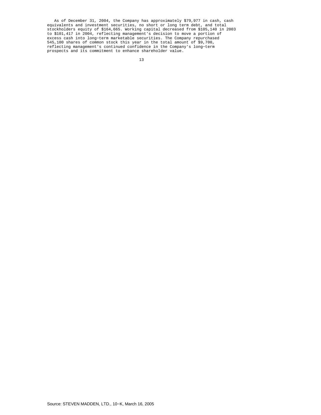As of December 31, 2004, the Company has approximately \$79,977 in cash, cash equivalents and investment securities, no short or long term debt, and total stockholders equity of \$164,665. Working capital decreased from \$105,140 in 2003 to \$101,417 in 2004, reflecting management's decision to move a portion of excess cash into long−term marketable securities. The Company repurchased 545,100 shares of common stock this year in the total amount of \$9,700, reflecting management's continued confidence in the Company's long−term prospects and its commitment to enhance shareholder value.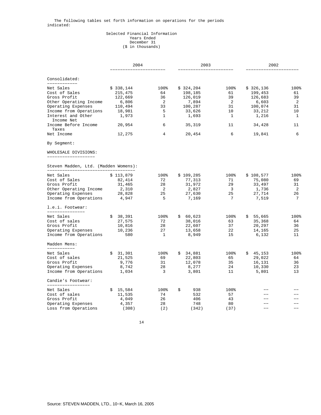The following tables set forth information on operations for the periods indicated:

# Selected Financial Information Years Ended December 31

(\$ in thousands)

|                                           | 2004         |      | 2003          |      | 2002         |              |  |
|-------------------------------------------|--------------|------|---------------|------|--------------|--------------|--|
| Consolidated:                             |              |      |               |      |              |              |  |
| ------------                              |              |      |               |      |              |              |  |
| Net Sales                                 | \$338,144    | 100% | \$324,204     | 100% | \$326,136    | 100%         |  |
| Cost of Sales                             | 215,475      | 64   | 198,185       | 61   | 199,453      | 61           |  |
| Gross Profit                              | 122,669      | 36   | 126,019       | 39   | 126,683      | 39           |  |
| Other Operating Income                    | 6,806        | 2    | 7,894         | 2    | 6,603        | 2            |  |
| Operating Expenses                        | 110,494      | 33   | 100,287       | 31   | 100,074      | 31           |  |
| Income from Operations                    | 18,981       | 5    | 33,626        | 10   | 33,212       | 10           |  |
| Interest and Other<br>Income Net          | 1,973        | 1    | 1,693         | 1    | 1,216        | $\mathbf{1}$ |  |
| Income Before Income<br>Taxes             | 20,954       | 6    | 35,319        | 11   | 34,428       | 11           |  |
| Net Income                                | 12,275       | 4    | 20,454        | 6    | 19,841       | 6            |  |
| By Segment:                               |              |      |               |      |              |              |  |
| WHOLESALE DIVISIONS:<br>----------------- |              |      |               |      |              |              |  |
|                                           |              |      |               |      |              |              |  |
| Steven Madden, Ltd. (Madden Womens):      |              |      |               |      |              |              |  |
| Net Sales                                 | \$113,879    | 100% | \$109,285     | 100% | \$108,577    | 100%         |  |
| Cost of Sales                             | 82,414       | 72   | 77,313        | 71   | 75,080       | 69           |  |
| Gross Profit                              | 31,465       | 28   | 31,972        | 29   | 33,497       | 31           |  |
| Other Operating Income                    | 2,310        | 2    | 2,827         | 3    | 1,736        | 2            |  |
| Operating Expenses                        | 28,828       | 25   | 27,630        | 25   | 27,714       | 26           |  |
| Income from Operations                    | 4,947        | 5    | 7,169         | 7    | 7,519        | 7            |  |
| l.e.i. Footwear:<br>_______________       |              |      |               |      |              |              |  |
| Net Sales                                 | 38,391<br>\$ | 100% | \$<br>60,623  | 100% | 55,665<br>\$ | 100%         |  |
| Cost of sales                             | 27,575       | 72   | 38,016        | 63   | 35,368       | 64           |  |
| Gross Profit                              | 10,816       | 28   | 22,607        | 37   | 20,297       | 36           |  |
| Operating Expenses                        | 10,236       | 27   | 13,658        | 22   | 14,165       | 25           |  |
| Income from Operations                    | 580          | 1    | 8,949         | 15   | 6,132        | 11           |  |
| Madden Mens:<br>___________               |              |      |               |      |              |              |  |
| Net Sales                                 | 31,301       | 100% | 34,881<br>\$. | 100% | 45,153<br>\$ | 100%         |  |
| Cost of sales                             | 21,525       | 69   | 22,803        | 65   | 29,022       | 64           |  |
| Gross Profit                              | 9,776        | 31   | 12,078        | 35   | 16,131       | 36           |  |
| Operating Expenses                        | 8,742        | 28   | 8,277         | 24   | 10,330       | 23           |  |
| Income from Operations                    | 1,034        | 3    | 3,801         | 11   | 5,801        | 13           |  |
| Candie's Footwear:<br>__________________  |              |      |               |      |              |              |  |
| Net Sales                                 | 15,584       | 100% | \$<br>938     | 100% |              |              |  |
| Cost of sales                             | 11,535       | 74   | 532           | 57   |              |              |  |
| Gross Profit                              | 4,049        | 26   | 406           | 43   |              |              |  |
| Operating Expenses                        | 4,357        | 28   | 748           | 80   |              |              |  |
| Loss from Operations                      | (308)        | (2)  | (342)         | (37) |              |              |  |

14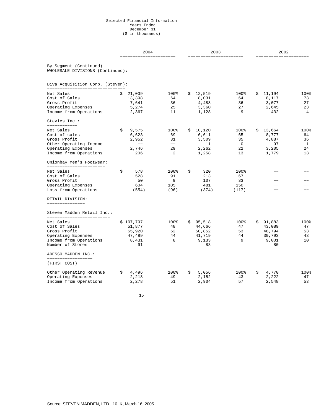# Selected Financial Information Years Ended December 31 (\$ in thousands)

|                                                                                                                                               |           | 2004                                                         |                                              |    | 2003                                                  |                                                             | 2002                                                  |                                              |
|-----------------------------------------------------------------------------------------------------------------------------------------------|-----------|--------------------------------------------------------------|----------------------------------------------|----|-------------------------------------------------------|-------------------------------------------------------------|-------------------------------------------------------|----------------------------------------------|
| By Segment (Continued)<br>WHOLESALE DIVISIONS (Continued):<br>__________________________                                                      |           |                                                              |                                              |    |                                                       |                                                             |                                                       |                                              |
| Diva Acquisition Corp. (Steven):                                                                                                              |           |                                                              |                                              |    |                                                       |                                                             |                                                       |                                              |
| _________________________________<br>Net Sales<br>Cost of Sales<br>Gross Profit<br>Operating Expenses<br>Income from Operations               | \$21,039  | 13,398<br>7,641<br>5,274<br>2,367                            | 100%<br>64<br>36<br>25<br>11                 |    | \$12,519<br>8,031<br>4,488<br>3,360<br>1,128          | 100%<br>64<br>36<br>27<br>9                                 | \$11,194<br>8,117<br>3,077<br>2,645<br>432            | 100%<br>73<br>27<br>23<br>$\overline{4}$     |
| Stevies Inc.:<br>____________                                                                                                                 |           |                                                              |                                              |    |                                                       |                                                             |                                                       |                                              |
| Net Sales<br>Cost of sales<br>Gross Profit<br>Other Operating Income<br>Operating Expenses<br>Income from Operations                          | \$        | 9,575<br>6,623<br>2,952<br>$\longrightarrow$<br>2,746<br>206 | $100\%$<br>69<br>31<br>$\sim$ $-$<br>29<br>2 |    | \$10,120<br>6,611<br>3,509<br>11<br>2,262<br>1,258    | 100%<br>65<br>35<br>$\overline{0}$<br>22<br>13 <sup>1</sup> | \$13,664<br>8,777<br>4,887<br>97<br>3,205<br>1,779    | 100%<br>64<br>36<br>$\mathbf{1}$<br>24<br>13 |
| Unionbay Men's Footwear:                                                                                                                      |           |                                                              |                                              |    |                                                       |                                                             |                                                       |                                              |
| _________________________<br>Net Sales<br>Cost of Sales<br>Gross Profit<br>Operating Expenses<br>Loss from Operations<br>RETAIL DIVISION:     | \$        | 578<br>528<br>50<br>604<br>(554)                             | 100%<br>91<br>9<br>105<br>(96)               | Ŝ. | 320<br>213<br>107<br>481<br>(374)                     | 100%<br>67<br>33<br>150<br>(117)                            |                                                       |                                              |
| . _ _ _ _ _ _ _ _ _ _ _ _ _ _<br>Steven Madden Retail Inc.:                                                                                   |           |                                                              |                                              |    |                                                       |                                                             |                                                       |                                              |
| ___________________________<br>Net Sales<br>Cost of Sales<br>Gross Profit<br>Operating Expenses<br>Income from Operations<br>Number of Stores | \$107,797 | 51,877<br>55,920<br>47,489<br>8,431<br>91                    | 100%<br>48<br>52<br>44<br>- 8                |    | \$95,518<br>44,666<br>50,852<br>41,719<br>9,133<br>83 | 100%<br>47<br>53<br>44<br>9                                 | \$91,883<br>43,089<br>48,794<br>39,793<br>9,001<br>80 | 100%<br>47<br>53<br>43<br>10                 |
| ADESSO MADDEN INC.:<br>__________________                                                                                                     |           |                                                              |                                              |    |                                                       |                                                             |                                                       |                                              |
| (FIRST COST)                                                                                                                                  |           |                                                              |                                              |    |                                                       |                                                             |                                                       |                                              |
| Other Operating Revenue<br>Operating Expenses<br>Income from Operations                                                                       | \$        | 4,496<br>2,218<br>2,278                                      | 100%<br>49<br>51                             | \$ | 5,056<br>2,152<br>2,904                               | 100%<br>43<br>57                                            | \$<br>4,770<br>2,222<br>2,548                         | 100%<br>47<br>53                             |

<u>15</u>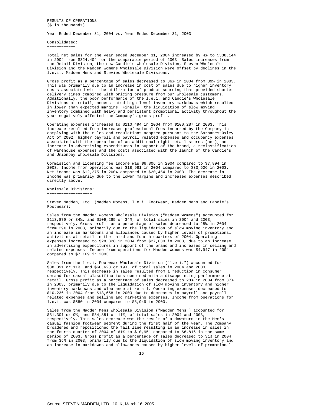RESULTS OF OPERATIONS (\$ in thousands)

Year Ended December 31, 2004 vs. Year Ended December 31, 2003

Consolidated: −−−−−−−−−−−−

Total net sales for the year ended December 31, 2004 increased by 4% to \$338,144 in 2004 from \$324,404 for the comparable period of 2003. Sales increases from the Retail Division, the new Candie's Wholesale Division, Steven Wholesale Division and the Madden Womens Wholesale Division were offset by declines in the l.e.i., Madden Mens and Stevies Wholesale Divisions.

Gross profit as a percentage of sales decreased to 36% in 2004 from 39% in 2003. This was primarily due to an increase in cost of sales due to higher inventory costs associated with the utilization of product sourcing that provided shorter delivery times combined with pricing pressure from our wholesale customers. Additionally, the poor performance of the l.e.i. and Candie's Wholesale Divisions at retail, necessitated high level inventory markdowns which resulted in lower than expected margins. Finally, the liquidation of slow moving inventory combined with heavy and persistent promotional activity throughout the year negatively affected the Company's gross profit.

Operating expenses increased to \$110,494 in 2004 from \$100,287 in 2003. This increase resulted from increased professional fees incurred by the Company in complying with the rules and regulations adopted pursuant to the Sarbanes−Oxley Act of 2002, higher payroll and payroll related expenses and occupancy expenses associated with the operation of an additional eight retail stores (net), an increase in advertising expenditures in support of the brand, a reclassification of warehouse expenses and the costs associated with the launch of the Candie's and Unionbay Wholesale Divisions.

Commission and licensing fee income was \$6,806 in 2004 compared to \$7,894 in 2003. Income from operations was \$18,981 in 2004 compared to \$33,626 in 2003. Net income was \$12,275 in 2004 compared to \$20,454 in 2003. The decrease in income was primarily due to the lower margins and increased expenses described directly above.

Wholesale Divisions: −−−−−−−−−−−−−−−−−−−

Steven Madden, Ltd. (Madden Womens, l.e.i. Footwear, Madden Mens and Candie's Footwear):

Sales from the Madden Womens Wholesale Division ("Madden Womens") accounted for \$113,879 or 34%, and \$109,285 or 34%, of total sales in 2004 and 2003, respectively. Gross profit as a percentage of sales decreased to 28% in 2004 from 29% in 2003, primarily due to the liquidation of slow moving inventory and an increase in markdowns and allowances caused by higher levels of promotional activities at retail in the third and fourth quarters of 2004. Operating expenses increased to \$28,828 in 2004 from \$27,630 in 2003, due to an increase in advertising expenditures in support of the brand and increases in selling and related expenses. Income from operations for Madden Womens was \$4,947 in 2004 compared to \$7,169 in 2003.

Sales from the l.e.i. Footwear Wholesale Division ("l.e.i.") accounted for \$38,391 or 11%, and \$60,623 or 19%, of total sales in 2004 and 2003, respectively. This decrease in sales resulted from a reduction in consumer demand for casual classifications combined with a disappointing performance at retail. Gross profit as a percentage of sales decreased to 28% in 2004 from 37% in 2003, primarily due to the liquidation of slow moving inventory and higher inventory markdowns and clearance at retail. Operating expenses decreased to \$10,236 in 2004 from \$13,658 in 2003 due to decreases in payroll and payroll related expenses and selling and marketing expenses. Income from operations for l.e.i. was \$580 in 2004 compared to \$8,949 in 2003.

Sales from the Madden Mens Wholesale Division ("Madden Mens") accounted for \$31,301 or 9%, and \$34,881 or 11%, of total sales in 2004 and 2003, respectively. This sales decrease was the result of a downturn in the Men's casual fashion footwear segment during the first half of the year. The Company broadened and repositioned the fall line resulting in an increase in sales in the fourth quarter of 2004 of 61% to \$10,951 compared to \$6,816 in the same period of 2003. Gross profit as a percentage of sales decreased to 31% in 2004 from 35% in 2003, primarily due to the liquidation of slow moving inventory and an increase in markdowns and allowances caused by higher levels of promotional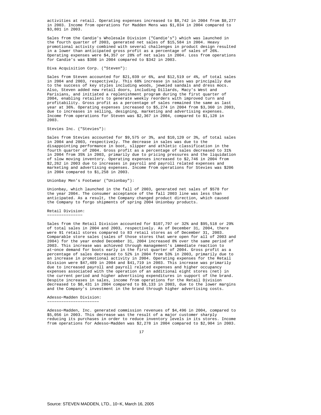activities at retail. Operating expenses increased to \$8,742 in 2004 from \$8,277 in 2003. Income from operations for Madden Mens was \$1,034 in 2004 compared to \$3,801 in 2003.

Sales from the Candie's Wholesale Division ("Candie's") which was launched in the fourth quarter of 2003, generated net sales of \$15,584 in 2004. Heavy promotional activity combined with several challenges in product design resulted in a lower than anticipated gross profit as a percentage of sales of 26%. Operating expenses were \$4,357 or 28% of net sales in 2004. Loss from operations for Candie's was \$308 in 2004 compared to \$342 in 2003.

# Diva Acquisition Corp. ("Steven"):

Sales from Steven accounted for \$21,039 or 6%, and \$12,519 or 4%, of total sales in 2004 and 2003, respectively. This 68% increase in sales was principally due to the success of key styles including woods, jeweled sandals and dress mocs. Also, Steven added new retail doors, including Dillards, Macy's West and Parisians, and initiated a replenishment program during the first quarter of 2004, enabling retailers to generate weekly reorders with improved turn and profitability. Gross profit as a percentage of sales remained the same as last year at 36%. Operating expenses increased to \$5,274 in 2004 from \$3,360 in 2003, due to increases in selling, designing, marketing and advertising expenses. Income from operations for Steven was \$2,367 in 2004, compared to \$1,128 in 2003.

## Stevies Inc. ("Stevies"):

Sales from Stevies accounted for \$9,575 or 3%, and \$10,120 or 3%, of total sales in 2004 and 2003, respectively. The decrease in sales was due to the disappointing performance in boot, slipper and athletic classification in the fourth quarter of 2004. Gross profit as a percentage of sales decreased to 31% in 2004 from 35% in 2003, primarily due to pricing pressures and the liquidation of slow moving inventory. Operating expenses increased to \$2,746 in 2004 from \$2,262 in 2003 due to increases in payroll and payroll related expenses and marketing and advertising expenses. Income from operations for Stevies was \$206 in 2004 compared to \$1,258 in 2003.

Unionbay Men's Footwear ("Unionbay"):

Unionbay, which launched in the fall of 2003, generated net sales of \$578 for the year 2004. The consumer acceptance of the fall 2003 line was less than anticipated. As a result, the Company changed product direction, which caused the Company to forgo shipments of spring 2004 Unionbay products.

#### Retail Division: −−−−−−−−−−−−−−−

Sales from the Retail Division accounted for \$107,797 or 32% and \$95,518 or 29% of total sales in 2004 and 2003, respectively. As of December 31, 2004, there were 91 retail stores compared to 83 retail stores as of December 31, 2003. Comparable store sales (sales of those stores that were open for all of 2003 and 2004) for the year ended December 31, 2004 increased 8% over the same period of 2003. This increase was achieved through management's immediate reaction to at−once demand for boots early in the first quarter of 2004. Gross profit as a percentage of sales decreased to 52% in 2004 from 53% in 2003, primarily due to an increase in promotional activity in 2004. Operating expenses for the Retail Division were \$47,489 in 2004 and \$41,719 in 2003. This increase was primarily due to increased payroll and payroll related expenses and higher occupancy expenses associated with the operation of an additional eight stores (net) in the current period and higher advertising expenditures in support of the brand. Despite increases in sales, income from operations for the Retail Division decreased to \$8,431 in 2004 compared to \$9,133 in 2003, due to the lower margins and the Company's investment in the brand through higher advertising costs.

#### Adesso−Madden Division: −−−−−−−−−−−−−−−−−−−−−−

Adesso−Madden, Inc. generated commission revenues of \$4,496 in 2004, compared to \$5,056 in 2003. This decrease was the result of a major customer sharply reducing its purchases in order to reduce inventory levels in its stores. Income from operations for Adesso−Madden was \$2,278 in 2004 compared to \$2,904 in 2003.

17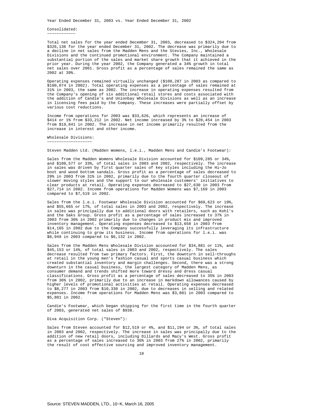#### Consolidated: −−−−−−−−−−−−

Total net sales for the year ended December 31, 2003, decreased to \$324,204 from \$326,136 for the year ended December 31, 2002. The decrease was primarily due to a decline in net sales from the Madden Mens and the Stevies, Inc., Wholesale Divisions and the continued promotional environment. The Company maintained a substantial portion of the sales and market share growth that it achieved in the prior year. During the year 2002, the Company generated a 34% growth in total net sales over 2001. Gross profit as a percentage of sales remained the same as 2002 at 39%.

Operating expenses remained virtually unchanged (\$100,287 in 2003 as compared to \$100,074 in 2002). Total operating expenses as a percentage of sales remained at 31% in 2003, the same as 2002. The increase in operating expenses resulted from the Company's opening of six additional retail stores and costs associated with the addition of Candie's and Unionbay Wholesale Divisions as well as an increase in licensing fees paid by the Company. These increases were partially offset by various cost reductions.

Income from operations for 2003 was \$33,626, which represents an increase of \$414 or 1% from \$33,212 in 2002. Net income increased by 3% to \$20,454 in 2003 from \$19,841 in 2002. The increase in net income primarily resulted from the increase in interest and other income.

#### Wholesale Divisions: −−−−−−−−−−−−−−−−−−−

Steven Madden Ltd. (Madden Womens, l.e.i., Madden Mens and Candie's Footwear):

Sales from the Madden Womens Wholesale Division accounted for \$109,285 or 34%, and \$108,577 or 33%, of total sales in 2003 and 2002, respectively. The increase in sales was driven by first quarter sales of key styles including the Hi−Jo boot and wood bottom sandals. Gross profit as a percentage of sales decreased to 29% in 2003 from 31% in 2002, primarily due to the fourth quarter closeout of slower moving styles and the support to our wholesale customers' initiatives to clear products at retail. Operating expenses decreased to \$27,630 in 2003 from \$27,714 in 2002. Income from operations for Madden Womens was \$7,169 in 2003 compared to \$7,519 in 2002.

Sales from the l.e.i. Footwear Wholesale Division accounted for \$60,623 or 19%, and \$55,665 or 17%, of total sales in 2003 and 2002, respectively. The increase in sales was principally due to additional doors with retailers, such as Kohl's and the Saks Group. Gross profit as a percentage of sales increased to 37% in 2003 from 36% in 2002 primarily due to changes in product mix and improved inventory management. Operating expenses decreased to \$13,658 in 2003 from \$14,165 in 2002 due to the Company successfully leveraging its infrastructure while continuing to grow its business. Income from operations for l.e.i. was \$8,949 in 2003 compared to \$6,132 in 2002.

Sales from the Madden Mens Wholesale Division accounted for \$34,881 or 11%, and \$45,153 or 14%, of total sales in 2003 and 2002, respectively. The sales decrease resulted from two primary factors. First, the downturn in sell−throughs at retail in the young men's fashion casual and sports casual business which created substantial inventory and margin challenges. Second, there was a strong downturn in the casual business, the largest category of Madden Mens, as consumer demand and trends shifted more toward dressy and dress casual classifications. Gross profit as a percentage of sales decreased to 35% in 2003 from 36% in 2002, primarily due to an increase in markdown allowances caused by higher levels of promotional activities at retail. Operating expenses decreased to \$8,277 in 2003 from \$10,330 in 2002, due to decreases in selling and related expenses. Income from operations for Madden Mens was \$3,801 in 2003 compared to \$5,801 in 2002.

Candie's Footwear, which began shipping for the first time in the fourth quarter of 2003, generated net sales of \$938.

Diva Acquisition Corp. ("Steven"):

Sales from Steven accounted for \$12,519 or 4%, and \$11,194 or 3%, of total sales in 2003 and 2002, respectively. The increase in sales was principally due to the addition of new retail doors, including Dillards and Macy's West. Gross profit as a percentage of sales increased to 36% in 2003 from 27% in 2002, primarily the result of cost effective sourcing and improved inventory management.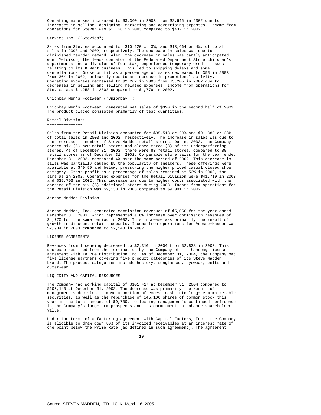Operating expenses increased to \$3,360 in 2003 from \$2,645 in 2002 due to increases in selling, designing, marketing and advertising expenses. Income from operations for Steven was \$1,128 in 2003 compared to \$432 in 2002.

Stevies Inc. ("Stevies"):

Sales from Stevies accounted for \$10,120 or 3%, and \$13,664 or 4%, of total sales in 2003 and 2002, respectively. The decrease in sales was due to diminished reorder demand. Also, the decrease in sales was partly anticipated when Meldisco, the lease operator of the Federated Department Store children's departments and a division of Footstar, experienced temporary credit issues relating to its K−Mart business. This led to shipping delays and some cancellations. Gross profit as a percentage of sales decreased to 35% in 2003 from 36% in 2002, primarily due to an increase in promotional activity. Operating expenses decreased to \$2,262 in 2003 from \$3,205 in 2002 due to decreases in selling and selling−related expenses. Income from operations for Stevies was \$1,258 in 2003 compared to \$1,779 in 2002.

Unionbay Men's Footwear ("Unionbay"):

Unionbay Men's Footwear, generated net sales of \$320 in the second half of 2003. The product placed consisted primarily of test quantities.

Retail Division:

−−−−−−−−−−−−−−−

Sales from the Retail Division accounted for \$95,518 or 29% and \$91,883 or 28% of total sales in 2003 and 2002, respectively. The increase in sales was due to the increase in number of Steve Madden retail stores. During 2003, the Company opened six (6) new retail stores and closed three (3) of its underperforming stores. As of December 31, 2003, there were 83 retail stores, compared to 80 retail stores as of December 31, 2002. Comparable store sales for the year ended December 31, 2003, decreased 4% over the same period of 2002. This decrease in sales was partially caused by the popularity of sneakers. These offerings were available at \$49.99 and below, pressuring the higher priced casual closed shoe category. Gross profit as a percentage of sales remained at 53% in 2003, the same as in 2002. Operating expenses for the Retail Division were \$41,719 in 2003 and \$39,793 in 2002. This increase was due to higher costs associated with the opening of the six (6) additional stores during 2003. Income from operations for the Retail Division was \$9,133 in 2003 compared to \$9,001 in 2002.

Adesso−Madden Division: −−−−−−−−−−−−−−−−−−−−−−

Adesso−Madden, Inc. generated commission revenues of \$5,056 for the year ended December 31, 2003, which represented a 6% increase over commission revenues of \$4,770 for the same period in 2002. This increase was primarily the result of growth in discount retail accounts. Income from operations for Adesso−Madden was \$2,904 in 2003 compared to \$2,548 in 2002.

# LICENSE AGREEMENTS

Revenues from licensing decreased to \$2,310 in 2004 from \$2,838 in 2003. This decrease resulted from the termination by the Company of its handbag license agreement with La Rue Distribution Inc. As of December 31, 2004, the Company had five license partners covering five product categories of its Steve Madden brand. The product categories include hosiery, sunglasses, eyewear, belts and outerwear.

# LIQUIDITY AND CAPITAL RESOURCES

The Company had working capital of \$101,417 at December 31, 2004 compared to \$105,140 at December 31, 2003. The decrease was primarily the result of management's decision to move a portion of excess cash into long−term marketable securities, as well as the repurchase of 545,100 shares of common stock this year in the total amount of \$9,700, reflecting management's continued confidence in the Company's long−term prospects and its commitment to enhance shareholder value.

Under the terms of a factoring agreement with Capital Factors, Inc., the Company is eligible to draw down 80% of its invoiced receivables at an interest rate of one point below the Prime Rate (as defined in such agreement). The agreement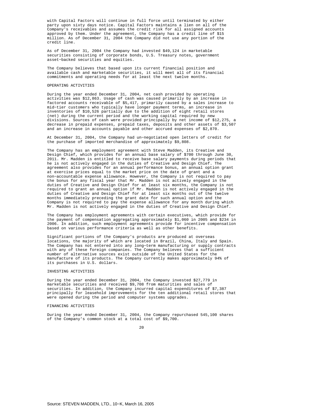with Capital Factors will continue in full force until terminated by either party upon sixty days notice. Capital Factors maintains a lien on all of the Company's receivables and assumes the credit risk for all assigned accounts approved by them. Under the agreement, the Company has a credit line of \$15 million. As of December 31, 2004 the Company did not use any portion of the credit line.

As of December 31, 2004 the Company had invested \$49,124 in marketable securities consisting of corporate bonds, U.S. Treasury notes, government asset−backed securities and equities.

The Company believes that based upon its current financial position and available cash and marketable securities, it will meet all of its financial commitments and operating needs for at least the next twelve months.

# OPERATING ACTIVITIES

During the year ended December 31, 2004, net cash provided by operating activities was \$12,863. Usage of cash was caused primarily by an increase in factored accounts receivable of \$5,417, primarily caused by a sales increase to mid−tier customers who typically have longer payment terms, an increase in inventories of \$10,526 partially due to the addition of eight retail stores (net) during the current period and the working capital required by new divisions. Sources of cash were provided principally by net income of \$12,275, a decrease in prepaid expenses, prepaid taxes, deposits and other assets of \$3,507 and an increase in accounts payable and other accrued expenses of \$2,870.

At December 31, 2004, the Company had un−negotiated open letters of credit for the purchase of imported merchandise of approximately \$9,808.

The Company has an employment agreement with Steve Madden, its Creative and Design Chief, which provides for an annual base salary of \$700 through June 30, 2011. Mr. Madden is entitled to receive base salary payments during periods that he is not actively engaged in the duties of Creative and Design Chief. The agreement also provides for an annual performance bonus, an annual option grant at exercise prices equal to the market price on the date of grant and a non−accountable expense allowance. However, the Company is not required to pay the bonus for any fiscal year that Mr. Madden is not actively engaged in the duties of Creative and Design Chief for at least six months, the Company is not required to grant an annual option if Mr. Madden is not actively engaged in the duties of Creative and Design Chief for at least six months out of the twelve months immediately preceding the grant date for such annual option and the Company is not required to pay the expense allowance for any month during which Mr. Madden is not actively engaged in the duties of Creative and Design Chief.

The Company has employment agreements with certain executives, which provide for the payment of compensation aggregating approximately \$1,060 in 2005 and \$234 in 2006. In addition, such employment agreements provide for incentive compensation based on various performance criteria as well as other benefits.

Significant portions of the Company's products are produced at overseas locations, the majority of which are located in Brazil, China, Italy and Spain. The Company has not entered into any long−term manufacturing or supply contracts with any of these foreign companies. The Company believes that a sufficient number of alternative sources exist outside of the United States for the manufacture of its products. The Company currently makes approximately 94% of its purchases in U.S. dollars.

# INVESTING ACTIVITIES

During the year ended December 31, 2004, the Company invested \$27,779 in marketable securities and received \$9,708 from maturities and sales of securities. In addition, the Company incurred capital expenditures of \$7,387 principally for leasehold improvements for the ten additional retail stores that were opened during the period and computer systems upgrades.

# FINANCING ACTIVITIES

During the year ended December 31, 2004, the Company repurchased 545,100 shares of the Company's common stock at a total cost of \$9,700.

<u>20</u>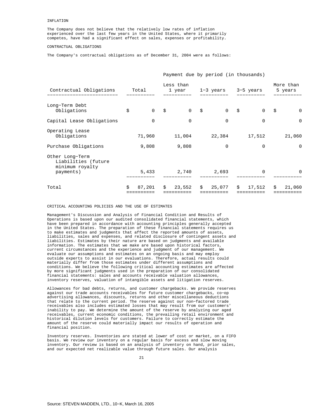The Company does not believe that the relatively low rates of inflation experienced over the last few years in the United States, where it primarily competes, have had a significant effect on sales, expenses or profitability.

# CONTRACTUAL OBLIGATIONS

The Company's contractual obligations as of December 31, 2004 were as follows:

| Total                                                                  | \$<br>87,201         | \$   | 23,552              | \$<br>25,077                | \$<br>17,512 | \$<br>21,060         |
|------------------------------------------------------------------------|----------------------|------|---------------------|-----------------------------|--------------|----------------------|
| Other Long-Term<br>Liabilities (future<br>minimum royalty<br>payments) | 5,433                |      | 2,740               | 2,693                       | $\Omega$     | $\Omega$             |
| Purchase Obligations                                                   | 9,808                |      | 9,808               | $\overline{0}$              | $\mathbf 0$  | $\mathbf 0$          |
| Operating Lease<br>Obligations                                         | 71,960               |      | 11,004              | 22,384                      | 17,512       | 21,060               |
| Capital Lease Obligations                                              | 0                    |      | $\mathbf 0$         | $\mathbf 0$                 | $\mathbf 0$  | $\mathbf 0$          |
| Long-Term Debt<br>Obligations                                          | \$<br>$\overline{0}$ | - \$ | $\overline{0}$      | \$<br>$0 \quad \mathsf{\$}$ | $\mathbf 0$  | \$<br>$\mathbf 0$    |
| Contractual Obligations                                                | Total                |      | Less than<br>1 year | 1-3 years                   | 3-5 years    | More than<br>5 years |
|                                                                        |                      |      |                     |                             |              |                      |

Payment due by period (in thousands)

CRITICAL ACCOUNTING POLICIES AND THE USE OF ESTIMATES

Management's Discussion and Analysis of Financial Condition and Results of Operations is based upon our audited consolidated financial statements, which have been prepared in accordance with accounting principles generally accepted in the United States. The preparation of these financial statements requires us to make estimates and judgments that affect the reported amounts of assets, liabilities, sales and expenses, and related disclosure of contingent assets and liabilities. Estimates by their nature are based on judgments and available information. The estimates that we make are based upon historical factors, current circumstances and the experience and judgment of our management. We evaluate our assumptions and estimates on an ongoing basis and may employ outside experts to assist in our evaluations. Therefore, actual results could materially differ from those estimates under different assumptions and conditions. We believe the following critical accounting estimates are affected by more significant judgments used in the preparation of our consolidated financial statements: sales and accounts receivable valuation allowances, inventory reserves, valuation of intangible assets and litigation reserves.

Allowances for bad debts, returns, and customer chargebacks. We provide reserves against our trade accounts receivables for future customer chargebacks, co−op advertising allowances, discounts, returns and other miscellaneous deductions that relate to the current period. The reserve against our non−factored trade receivables also includes estimated losses that may result from our customers' inability to pay. We determine the amount of the reserve by analyzing our aged receivables, current economic conditions, the prevailing retail environment and historical dilution levels for customers. Failure to correctly estimate the amount of the reserve could materially impact our results of operation and financial position.

Inventory reserves. Inventories are stated at lower of cost or market, on a FIFO basis. We review our inventory on a regular basis for excess and slow moving inventory. Our review is based on an analysis of inventory on hand, prior sales, and our expected net realizable value through future sales. Our analysis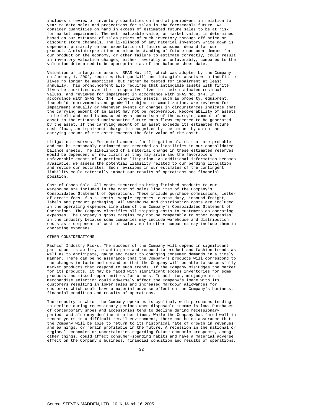includes a review of inventory quantities on hand at period−end in relation to year−to−date sales and projections for sales in the foreseeable future. We consider quantities on hand in excess of estimated future sales to be at risk for market impairment. The net realizable value, or market value, is determined based on our estimate of sales prices of such inventory through off−price or discount store channels. The likelihood of any material inventory write−down is dependent primarily on our expectation of future consumer demand for our product. A misinterpretation or misunderstanding of future consumer demand for our product or the economy, or other failure to estimate correctly, could result in inventory valuation changes, either favorably or unfavorably, compared to the valuation determined to be appropriate as of the balance sheet date.

Valuation of intangible assets. SFAS No. 142, which was adopted by the Company on January 1, 2002, requires that goodwill and intangible assets with indefinite lives no longer be amortized, but rather be tested for impairment at least annually. This pronouncement also requires that intangible assets with finite lives be amortized over their respective lives to their estimated residual values, and reviewed for impairment in accordance with SFAS No. 144. In accordance with SFAS No. 144, long−lived assets, such as property, equipment, leasehold improvements and goodwill subject to amortization, are reviewed for impairment annually or whenever events or changes in circumstances indicate that the carrying amount of an asset may not be recoverable. Recoverability of assets to be held and used is measured by a comparison of the carrying amount of an asset to the estimated undiscounted future cash flows expected to be generated by the asset. If the carrying amount of an asset exceeds its estimated future cash flows, an impairment charge is recognized by the amount by which the carrying amount of the asset exceeds the fair value of the asset.

Litigation reserves. Estimated amounts for litigation claims that are probable and can be reasonably estimated are recorded as liabilities in our consolidated balance sheets. The likelihood of a material change in these estimated reserves would be dependent on new claims as they may arise and the favorable or unfavorable events of a particular litigation. As additional information becomes available, we assess the potential liability related to our pending litigation and revise our estimates. Such revisions in our estimates of the contingent liability could materially impact our results of operations and financial position.

Cost of Goods Sold. All costs incurred to bring finished products to our warehouse are included in the cost of sales line item of the Company's Consolidated Statement of Operations. These include purchase commissions, letter of credit fees, f.o.b. costs, sample expenses, custom duty, inbound freight, labels and product packaging. All warehouse and distribution costs are included in the operating expenses line item of the Company's Consolidated Statement of Operations. The Company classifies all shipping costs to customers as operating expenses. The Company's gross margins may not be comparable to other companies in the industry because some companies may include warehouse and distribution costs as a component of cost of sales, while other companies may include them in operating expenses.

# OTHER CONSIDERATIONS

Fashion Industry Risks. The success of the Company will depend in significant part upon its ability to anticipate and respond to product and fashion trends as well as to anticipate, gauge and react to changing consumer demands in a timely manner. There can be no assurance that the Company's products will correspond to the changes in taste and demand or that the Company will be able to successfully market products that respond to such trends. If the Company misjudges the market for its products, it may be faced with significant excess inventories for some products and missed opportunities for others. In addition, misjudgments in merchandise selection could adversely affect the Company's image with its customers resulting in lower sales and increased markdown allowances for customers which could have a material adverse effect on the Company's business, financial condition and results of operations.

The industry in which the Company operates is cyclical, with purchases tending to decline during recessionary periods when disposable income is low. Purchases of contemporary shoes and accessories tend to decline during recessionary periods and also may decline at other times. While the Company has fared well in recent years in a difficult retail environment, there can be no assurance that the Company will be able to return to its historical rate of growth in revenues and earnings, or remain profitable in the future. A recession in the national or regional economies or uncertainties regarding future economic prospects, among other things, could affect consumer−spending habits and have a material adverse effect on the Company's business, financial condition and results of operations.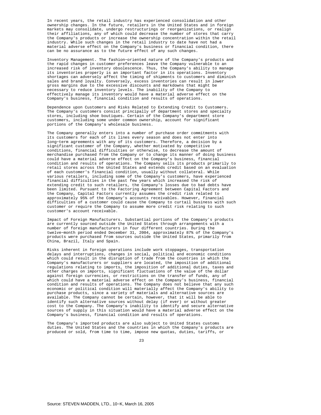In recent years, the retail industry has experienced consolidation and other ownership changes. In the future, retailers in the United States and in foreign markets may consolidate, undergo restructurings or reorganizations, or realign their affiliations, any of which could decrease the number of stores that carry the Company's products or increase the ownership concentration within the retail industry. While such changes in the retail industry to date have not had a material adverse effect on the Company's business or financial condition, there can be no assurance as to the future effect of any such changes.

Inventory Management. The fashion−oriented nature of the Company's products and the rapid changes in customer preferences leave the Company vulnerable to an increased risk of inventory obsolescence. Thus, the Company's ability to manage its inventories properly is an important factor in its operations. Inventory shortages can adversely affect the timing of shipments to customers and diminish sales and brand loyalty. Conversely, excess inventories can result in lower gross margins due to the excessive discounts and markdowns that might be necessary to reduce inventory levels. The inability of the Company to effectively manage its inventory would have a material adverse effect on the Company's business, financial condition and results of operations.

Dependence upon Customers and Risks Related to Extending Credit to Customers. The Company's customers consist principally of department stores and specialty stores, including shoe boutiques. Certain of the Company's department store customers, including some under common ownership, account for significant portions of the Company's wholesale business.

The Company generally enters into a number of purchase order commitments with its customers for each of its lines every season and does not enter into long−term agreements with any of its customers. Therefore, a decision by a significant customer of the Company, whether motivated by competitive conditions, financial difficulties or otherwise, to decrease the amount of merchandise purchased from the Company or to change its manner of doing business could have a material adverse effect on the Company's business, financial condition and results of operations. The Company sells its products primarily to retail stores across the United States and extends credit based on an evaluation of each customer's financial condition, usually without collateral. While various retailers, including some of the Company's customers, have experienced financial difficulties in the past few years which increased the risk of extending credit to such retailers, the Company's losses due to bad debts have been limited. Pursuant to the Factoring Agreement between Capital Factors and the Company, Capital Factors currently assumes the credit risk related to approximately 95% of the Company's accounts receivables. However, financial difficulties of a customer could cause the Company to curtail business with such customer or require the Company to assume more credit risk relating to such customer's account receivable.

Impact of Foreign Manufacturers. Substantial portions of the Company's products are currently sourced outside the United States through arrangements with a number of foreign manufacturers in four different countries. During the twelve−month period ended December 31, 2004, approximately 87% of the Company's products were purchased from sources outside the United States, primarily from China, Brazil, Italy and Spain.

Risks inherent in foreign operations include work stoppages, transportation delays and interruptions, changes in social, political and economic conditions which could result in the disruption of trade from the countries in which the Company's manufacturers or suppliers are located, the imposition of additional regulations relating to imports, the imposition of additional duties, taxes and other charges on imports, significant fluctuations of the value of the dollar against foreign currencies, or restrictions on the transfer of funds, any of which could have a material adverse effect on the Company's business, financial condition and results of operations. The Company does not believe that any such economic or political condition will materially affect the Company's ability to purchase products, since a variety of materials and alternative sources are available. The Company cannot be certain, however, that it will be able to identify such alternative sources without delay (if ever) or without greater cost to the Company. The Company's inability to identify and secure alternative sources of supply in this situation would have a material adverse effect on the Company's business, financial condition and results of operations.

The Company's imported products are also subject to United States customs duties. The United States and the countries in which the Company's products are produced or sold, from time to time, impose new quotas, duties, tariffs, or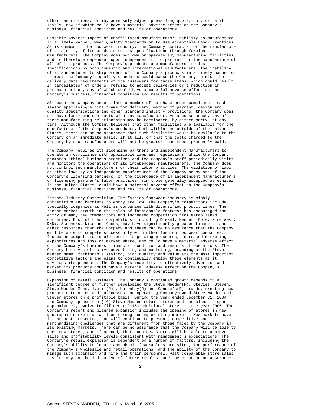other restrictions, or may adversely adjust prevailing quota, duty or tariff levels, any of which could have a material adverse effect on the Company's business, financial condition and results of operations.

Possible Adverse Impact of Unaffiliated Manufacturers' Inability to Manufacture in a Timely Manner, Meet Quality Standards or to Use Acceptable Labor Practices. As is common in the footwear industry, the Company contracts for the manufacture of a majority of its products to its specifications through foreign manufacturers. The Company does not own or operate any manufacturing facilities and is therefore dependent upon independent third parties for the manufacture of all of its products. The Company's products are manufactured to its specifications by both domestic and international manufacturers. The inability of a manufacturer to ship orders of the Company's products in a timely manner or to meet the Company's quality standards could cause the Company to miss the delivery date requirements of its customers for those items, which could result in cancellation of orders, refusal to accept deliveries or a reduction in purchase prices, any of which could have a material adverse effect on the Company's business, financial condition and results of operations.

Although the Company enters into a number of purchase order commitments each season specifying a time frame for delivery, method of payment, design and quality specifications and other standard industry provisions, the Company does not have long−term contracts with any manufacturer. As a consequence, any of these manufacturing relationships may be terminated, by either party, at any time. Although the Company believes that other facilities are available for the manufacture of the Company's products, both within and outside of the United States, there can be no assurance that such facilities would be available to the Company on an immediate basis, if at all, or that the costs charged to the Company by such manufacturers will not be greater than those presently paid.

The Company requires its licensing partners and independent manufacturers to operate in compliance with applicable laws and regulations. While the Company promotes ethical business practices and the Company's staff periodically visits and monitors the operations of its independent manufacturers, the Company does not control such manufacturers or their labor practices. The violation of labor or other laws by an independent manufacturer of the Company or by one of the Company's licensing partners, or the divergence of an independent manufacturer's or licensing partner's labor practices from those generally accepted as ethical in the United States, could have a material adverse effect on the Company's business, financial condition and results of operations.

Intense Industry Competition. The fashion footwear industry is highly competitive and barriers to entry are low. The Company's competitors include specialty companies as well as companies with diversified product lines. The recent market growth in the sales of fashionable footwear has encouraged the entry of many new competitors and increased competition from established companies. Most of these competitors, including Diesel, Kenneth Cole, Nine West, DKNY, Skechers, Nike and Guess, may have significantly greater financial and other resources than the Company and there can be no assurance that the Company will be able to compete successfully with other fashion footwear companies. Increased competition could result in pricing pressures, increased marketing expenditures and loss of market share, and could have a material adverse effect on the Company's business, financial condition and results of operations. The Company believes effective advertising and marketing, branding of the Steve Madden name, fashionable styling, high quality and value are the most important competitive factors and plans to continually employ these elements as it develops its products. The Company's inability to effectively advertise and market its products could have a material adverse effect on the Company's business, financial condition and results of operations.

Expansion of Retail Business. The Company's continued growth depends to a significant degree on further developing the Steve Madden(R), Stevies, Steven, Steve Madden Mens, l.e.i.(R) , Unionbay(R) and Candie's(R) brands, creating new product categories and businesses and operating Company−owned Steve Madden and Steven stores on a profitable basis. During the year ended December 31, 2004, the Company opened ten (10) Steve Madden retail stores and has plans to open approximately twelve to fifteen (12−15) additional stores in the year 2005. The Company's recent and planned expansion includes the opening of stores in new geographic markets as well as strengthening existing markets. New markets have in the past presented, and will continue to present, competitive and merchandising challenges that are different from those faced by the Company in its existing markets. There can be no assurance that the Company will be able to open new stores, and if opened, that such new stores will be able to achieve sales and profitability levels consistent with management's expectations. The Company's retail expansion is dependent on a number of factors, including the Company's ability to locate and obtain favorable store sites, the performance of the Company's wholesale and retail operations, and the ability of the Company to manage such expansion and hire and train personnel. Past comparable store sales results may not be indicative of future results, and there can be no assurance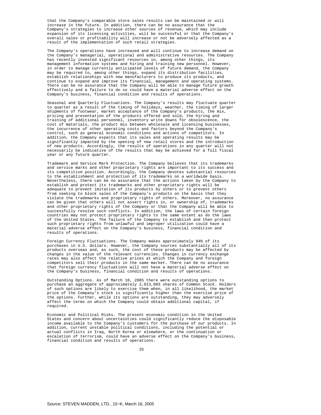that the Company's comparable store sales results can be maintained or will increase in the future. In addition, there can be no assurance that the Company's strategies to increase other sources of revenue, which may include expansion of its licensing activities, will be successful or that the Company's overall sales or profitability will increase or not be adversely affected as a result of the implementation of such retail strategies.

The Company's operations have increased and will continue to increase demand on the Company's managerial, operational and administrative resources. The Company has recently invested significant resources in, among other things, its management information systems and hiring and training new personnel. However, in order to manage currently anticipated levels of future demand, the Company may be required to, among other things, expand its distribution facilities, establish relationships with new manufacturers to produce its products, and continue to expand and improve its financial, management and operating systems. There can be no assurance that the Company will be able to manage future growth effectively and a failure to do so could have a material adverse effect on the Company's business, financial condition and results of operations.

Seasonal and Quarterly Fluctuations. The Company's results may fluctuate quarter to quarter as a result of the timing of holidays, weather, the timing of larger shipments of footwear, market acceptance of the Company's products, the mix, pricing and presentation of the products offered and sold, the hiring and training of additional personnel, inventory write downs for obsolescence, the cost of materials, the product mix between wholesale and licensing businesses, the incurrence of other operating costs and factors beyond the Company's control, such as general economic conditions and actions of competitors. In addition, the Company expects that its sales and operating results may be significantly impacted by the opening of new retail stores and the introduction of new products. Accordingly, the results of operations in any quarter will not necessarily be indicative of the results that may be achieved for a full fiscal year or any future quarter.

Trademark and Service Mark Protection. The Company believes that its trademarks and service marks and other proprietary rights are important to its success and its competitive position. Accordingly, the Company devotes substantial resources to the establishment and protection of its trademarks on a worldwide basis. Nevertheless, there can be no assurance that the actions taken by the Company to establish and protect its trademarks and other proprietary rights will be adequate to prevent imitation of its products by others or to prevent others from seeking to block sales of the Company's products on the basis that they violate the trademarks and proprietary rights of others. Moreover, no assurance can be given that others will not assert rights in, or ownership of, trademarks and other proprietary rights of the Company or that the Company will be able to successfully resolve such conflicts. In addition, the laws of certain foreign countries may not protect proprietary rights to the same extent as do the laws of the United States. The failure of the Company to establish and then protect such proprietary rights from unlawful and improper utilization could have a material adverse effect on the Company's business, financial condition and results of operations.

Foreign Currency Fluctuations. The Company makes approximately 94% of its purchases in U.S. dollars. However, the Company sources substantially all of its products overseas and, as such, the cost of these products may be affected by changes in the value of the relevant currencies. Changes in currency exchange rates may also affect the relative prices at which the Company and foreign competitors sell their products in the same market. There can be no assurance that foreign currency fluctuations will not have a material adverse effect on the Company's business, financial condition and results of operations.

Outstanding Options. As of March 10, 2005 there were outstanding options to purchase an aggregate of approximately 2,013,003 shares of Common Stock. Holders of such options are likely to exercise them when, in all likelihood, the market price of the Company's stock is significantly higher than the exercise price of the options. Further, while its options are outstanding, they may adversely affect the terms on which the Company could obtain additional capital, if required.

Economic and Political Risks. The present economic condition in the United States and concern about uncertainties could significantly reduce the disposable income available to the Company's customers for the purchase of our products. In addition, current unstable political conditions, including the potential or actual conflicts in Iraq, North Korea or elsewhere, or the continuation or escalation of terrorism, could have an adverse effect on the Company's business, financial condition and results of operations.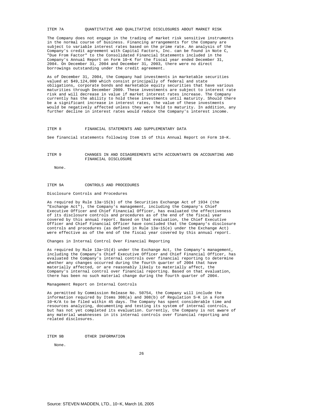# <span id="page-30-0"></span>ITEM 7A QUANTITATIVE AND QUALITATIVE DISCLOSURES ABOUT MARKET RISK

The Company does not engage in the trading of market risk sensitive instruments in the normal course of business. Financing arrangements for the Company are subject to variable interest rates based on the prime rate. An analysis of the Company's credit agreement with Capital Factors, Inc. can be found in Note C, "Due From Factor" to the Consolidated Financial Statements included in the Company's Annual Report on Form 10−K for the fiscal year ended December 31, 2004. On December 31, 2004 and December 31, 2003, there were no direct borrowings outstanding under the credit agreement.

As of December 31, 2004, the Company had investments in marketable securities valued at \$49,124,000 which consist principally of federal and state obligations, corporate bonds and marketable equity securities that have various maturities through December 2009. These investments are subject to interest rate risk and will decrease in value if market interest rates increase. The Company currently has the ability to hold these investments until maturity. Should there be a significant increase in interest rates, the value of these investments would be negatively affected unless they were held to maturity. In addition, any further decline in interest rates would reduce the Company's interest income.

# <span id="page-30-1"></span>ITEM 8 FINANCIAL STATEMENTS AND SUPPLEMENTARY DATA

See financial statements following Item 15 of this Annual Report on Form 10−K.

<span id="page-30-2"></span>ITEM 9 CHANGES IN AND DISAGREEMENTS WITH ACCOUNTANTS ON ACCOUNTING AND FINANCIAL DISCLOSURE

None.

#### <span id="page-30-3"></span>ITEM 9A CONTROLS AND PROCEDURES

# Disclosure Controls and Procedures

As required by Rule 13a−15(b) of the Securities Exchange Act of 1934 (the "Exchange Act"), the Company's management, including the Company's Chief Executive Officer and Chief Financial Officer, has evaluated the effectiveness of its disclosure controls and procedures as of the end of the fiscal year covered by this annual report. Based on that evaluation, the Chief Executive Officer and Chief Financial Officer have concluded that the Company's disclosure controls and procedures (as defined in Rule 13a−15(e) under the Exchange Act) were effective as of the end of the fiscal year covered by this annual report.

Changes in Internal Control Over Financial Reporting

As required by Rule 13a−15(d) under the Exchange Act, the Company's management, including the Company's Chief Executive Officer and Chief Financial Officer, has evaluated the Company's internal controls over financial reporting to determine whether any changes occurred during the fourth quarter of 2004 that have materially affected, or are reasonably likely to materially affect, the Company's internal control over financial reporting. Based on that evaluation, there has been no such material change during the fourth quarter of 2004.

# Management Report on Internal Controls

As permitted by Commission Release No. 50754, the Company will include the information required by Items 308(a) and 308(b) of Regulation S−K in a Form 10−K/A to be filed within 45 days. The Company has spent considerable time and resources analyzing, documenting and testing its system of internal controls, but has not yet completed its evaluation. Currently, the Company is not aware of any material weaknesses in its internal controls over financial reporting and related disclosures.

<span id="page-30-4"></span>ITEM 9B OTHER INFORMATION

None.

<u>26</u>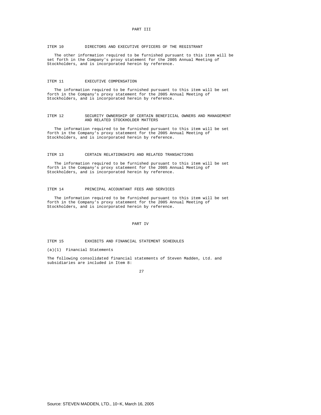# PART III

<span id="page-31-1"></span><span id="page-31-0"></span>ITEM 10 DIRECTORS AND EXECUTIVE OFFICERS OF THE REGISTRANT

 The other information required to be furnished pursuant to this item will be set forth in the Company's proxy statement for the 2005 Annual Meeting of Stockholders, and is incorporated herein by reference.

#### <span id="page-31-2"></span>ITEM 11 EXECUTIVE COMPENSATION

 The information required to be furnished pursuant to this item will be set forth in the Company's proxy statement for the 2005 Annual Meeting of Stockholders, and is incorporated herein by reference.

#### <span id="page-31-3"></span>ITEM 12 SECURITY OWNERSHIP OF CERTAIN BENEFICIAL OWNERS AND MANAGEMENT AND RELATED STOCKHOLDER MATTERS

 The information required to be furnished pursuant to this item will be set forth in the Company's proxy statement for the 2005 Annual Meeting of Stockholders, and is incorporated herein by reference.

# <span id="page-31-4"></span>ITEM 13 CERTAIN RELATIONSHIPS AND RELATED TRANSACTIONS

 The information required to be furnished pursuant to this item will be set forth in the Company's proxy statement for the 2005 Annual Meeting of Stockholders, and is incorporated herein by reference.

# <span id="page-31-5"></span>ITEM 14 PRINCIPAL ACCOUNTANT FEES AND SERVICES

 The information required to be furnished pursuant to this item will be set forth in the Company's proxy statement for the 2005 Annual Meeting of Stockholders, and is incorporated herein by reference.

# PART IV

<span id="page-31-7"></span><span id="page-31-6"></span>ITEM 15 EXHIBITS AND FINANCIAL STATEMENT SCHEDULES

(a)(1) Financial Statements

The following consolidated financial statements of Steven Madden, Ltd. and subsidiaries are included in Item 8:

<u>27 and 27</u>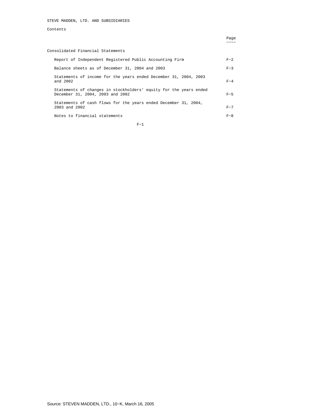STEVE MADDEN, LTD. AND SUBSIDIARIES

# Contents

|                                                                                                       | Page    |
|-------------------------------------------------------------------------------------------------------|---------|
| Consolidated Financial Statements                                                                     |         |
| Report of Independent Registered Public Accounting Firm                                               | $F - 2$ |
| Balance sheets as of December 31, 2004 and 2003                                                       | $F - 3$ |
| Statements of income for the years ended December 31, 2004, 2003<br>and 2002                          | $F - 4$ |
| Statements of changes in stockholders' equity for the years ended<br>December 31, 2004, 2003 and 2002 | $F - 5$ |
| Statements of cash flows for the years ended December 31, 2004,<br>$2003$ and $2002$                  | $F - 7$ |
| Notes to financial statements                                                                         | $F - 8$ |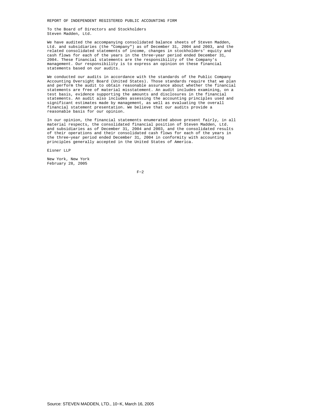To the Board of Directors and Stockholders Steven Madden, Ltd.

We have audited the accompanying consolidated balance sheets of Steven Madden, Ltd. and subsidiaries (the "Company") as of December 31, 2004 and 2003, and the related consolidated statements of income, changes in stockholders' equity and cash flows for each of the years in the three−year period ended December 31, 2004. These financial statements are the responsibility of the Company's management. Our responsibility is to express an opinion on these financial statements based on our audits.

We conducted our audits in accordance with the standards of the Public Company Accounting Oversight Board (United States). Those standards require that we plan and perform the audit to obtain reasonable assurance about whether the financial statements are free of material misstatement. An audit includes examining, on a test basis, evidence supporting the amounts and disclosures in the financial statements. An audit also includes assessing the accounting principles used and significant estimates made by management, as well as evaluating the overall financial statement presentation. We believe that our audits provide a reasonable basis for our opinion.

In our opinion, the financial statements enumerated above present fairly, in all material respects, the consolidated financial position of Steven Madden, Ltd. and subsidiaries as of December 31, 2004 and 2003, and the consolidated results of their operations and their consolidated cash flows for each of the years in the three−year period ended December 31, 2004 in conformity with accounting principles generally accepted in the United States of America.

Eisner LLP

New York, New York February 28, 2005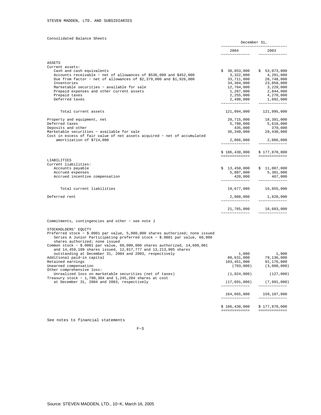Consolidated Balance Sheets

|                                                                                                                                                                                                                                                                                                                                                                          | December 31,                                                             |                                                                                                                                                                                                                                    |
|--------------------------------------------------------------------------------------------------------------------------------------------------------------------------------------------------------------------------------------------------------------------------------------------------------------------------------------------------------------------------|--------------------------------------------------------------------------|------------------------------------------------------------------------------------------------------------------------------------------------------------------------------------------------------------------------------------|
|                                                                                                                                                                                                                                                                                                                                                                          | -------------------------------<br>2004                                  | 2003                                                                                                                                                                                                                               |
| ASSETS                                                                                                                                                                                                                                                                                                                                                                   |                                                                          |                                                                                                                                                                                                                                    |
| Current assets:<br>Cash and cash equivalents<br>Accounts receivable - net of allowances of \$536,000 and \$452,000<br>Due from factor - net of allowances of $$2,379,000$ and $$1,926,000$<br>Inventories<br>Marketable securities - available for sale<br>Prepaid expenses and other current assets<br>Prepaid taxes<br>Deferred taxes                                  | $$30,853,000$ $$53,073,000$<br>$1,287,000$<br>$2,255,000$<br>$2,498,000$ | $\begin{array}{llll} 30,853,000 & & & \\ 3,322,000 & & & 4,281,\ldots \\ 33,711,000 & & & 28,748,000 \\ \textcolor{red}{\sim} & 384,000 & & & 23,858,000 \\ 3,229,000 & & & \\ \end{array}$<br>2,844,000<br>4,270,000<br>1,692,000 |
| Total current assets                                                                                                                                                                                                                                                                                                                                                     |                                                                          | 121,094,000 121,995,000                                                                                                                                                                                                            |
| Property and equipment, net<br>Deferred taxes<br>Deposits and other<br>Marketable securities - available for sale<br>Cost in excess of fair value of net assets acquired - net of accumulated<br>amortization of \$714,000                                                                                                                                               | 20,715,000<br>2,066,000<br>-------------                                 | 18,391,000<br>$\begin{array}{ccc} 5\, ,780\, ,000 & \qquad & 5\, ,618\, ,000 \\ 435\, ,000 & \qquad & 370\, ,000 \\ 36\, ,340\, ,000 & \qquad & 29\, ,430\, ,000 \end{array}$<br>370,000<br>2,066,000<br>-------------             |
|                                                                                                                                                                                                                                                                                                                                                                          | $$186,430,000 \qquad $177,870,000$                                       |                                                                                                                                                                                                                                    |
| LIABILITIES<br>Current liabilities:<br>Accounts payable<br>Accrued expenses<br>Accrued incentive compensation                                                                                                                                                                                                                                                            | $$13,450,000 \t$11,087,000$<br>--------------                            | $\begin{array}{cc} 5\, , 807 \, , 000 & \qquad & 5 \, , 301 \, , 000 \\ 420 \, , 000 & \qquad & 467 \, , 000 \end{array}$<br>______________                                                                                        |
| Total current liabilities                                                                                                                                                                                                                                                                                                                                                | 19,677,000                                                               | 16,855,000                                                                                                                                                                                                                         |
| Deferred rent                                                                                                                                                                                                                                                                                                                                                            | 2,088,000<br>--------------                                              | 1,828,000<br>--------------                                                                                                                                                                                                        |
|                                                                                                                                                                                                                                                                                                                                                                          | --------------                                                           | $21,765,000$ $18,683,000$                                                                                                                                                                                                          |
| Commitments, contingencies and other - see note J                                                                                                                                                                                                                                                                                                                        |                                                                          |                                                                                                                                                                                                                                    |
| STOCKHOLDERS' EQUITY<br>Preferred stock - \$.0001 par value, 5,000,000 shares authorized; none issued<br>Series A Junior Participating preferred stock - \$.0001 par value, 60,000<br>shares authorized; none issued<br>Common stock - \$.0001 par value, $60,000,000$ shares authorized, $14,608,081$<br>and 14,459,109 shares issued, 12,817,777 and 13,213,905 shares |                                                                          |                                                                                                                                                                                                                                    |
| outstanding at December 31, 2004 and 2003, respectively<br>Additional paid-in capital<br>Retained earnings<br>Unearned compensation                                                                                                                                                                                                                                      |                                                                          | $\begin{array}{cccc} & 1,000 & & 1,000 \\ 80,631,000 & & 79,136,000 \\ 103,451,000 & & 91,176,000 \\ (703,000) & & & (3,008,000) \end{array}$                                                                                      |
| Other comprehensive loss:<br>Unrealized loss on marketable securities (net of taxes)<br>Treasury stock - $1,790,304$ and $1,245,204$ shares at cost                                                                                                                                                                                                                      | (1,024,000)                                                              | (127,000)                                                                                                                                                                                                                          |
| at December 31, 2004 and 2003, respectively                                                                                                                                                                                                                                                                                                                              | --------------                                                           | $(17, 691, 000)$ $(7, 991, 000)$<br>-------------                                                                                                                                                                                  |
|                                                                                                                                                                                                                                                                                                                                                                          | --------------                                                           | 164,665,000 159,187,000<br>-------------                                                                                                                                                                                           |
|                                                                                                                                                                                                                                                                                                                                                                          | \$186,430,000<br>--------------                                          | \$177,870,000<br>=============                                                                                                                                                                                                     |
|                                                                                                                                                                                                                                                                                                                                                                          |                                                                          |                                                                                                                                                                                                                                    |

See notes to financial statements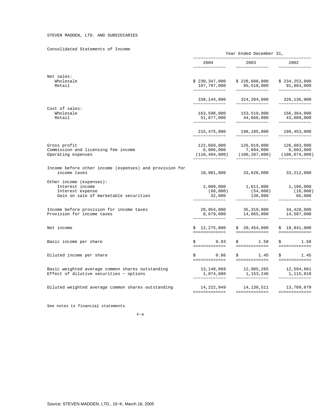# STEVEN MADDEN, LTD. AND SUBSIDIARIES

# Consolidated Statements of Income

|                                                                         | Year Ended December 31,                      |                                                                                                                      |                                               |  |  |
|-------------------------------------------------------------------------|----------------------------------------------|----------------------------------------------------------------------------------------------------------------------|-----------------------------------------------|--|--|
|                                                                         | 2004<br>-----------                          | 2003<br>_____________                                                                                                | 2002<br>_____________                         |  |  |
| Net sales:                                                              |                                              |                                                                                                                      |                                               |  |  |
| Wholesale<br>Retail                                                     | \$230,347,000<br>107,797,000<br>------------ | \$228,686,000<br>95,518,000<br>_____________                                                                         | \$234, 253, 000<br>91,883,000<br>------------ |  |  |
|                                                                         | 338,144,000<br>______________                | 324, 204, 000<br>______________                                                                                      | 326,136,000<br>______________                 |  |  |
| Cost of sales:<br>Wholesale                                             | 163,598,000                                  | 153,519,000                                                                                                          | 156,364,000                                   |  |  |
| Retail                                                                  | 51,877,000<br>_____________                  | 44,666,000<br>_____________                                                                                          | 43,089,000<br>_____________                   |  |  |
|                                                                         | _____________                                | 215, 475, 000 198, 185, 000 199, 453, 000<br>_____________                                                           | _____________                                 |  |  |
| Gross profit                                                            | 122,669,000                                  | 126,019,000                                                                                                          | 126,683,000                                   |  |  |
| Commission and licensing fee income<br>Operating expenses               |                                              | $6,806,000$ $7,894,000$ $6,603,000$<br>$(110, 494, 000)$ $(100, 287, 000)$ $(100, 074, 000)$<br><u>_____________</u> |                                               |  |  |
| Income before other income (expenses) and provision for<br>income taxes |                                              | 18,981,000 33,626,000                                                                                                | 33, 212, 000                                  |  |  |
| Other income (expenses):                                                |                                              |                                                                                                                      |                                               |  |  |
| Interest income<br>Interest expense                                     | 2,009,000                                    | 1,611,000 1,166,000                                                                                                  |                                               |  |  |
| Gain on sale of marketable securities                                   | (68,000)<br>32,000                           | (54,000)<br>136,000<br>_____________                                                                                 | (16,000)<br>66,000<br>____________            |  |  |
| Income before provision for income taxes                                |                                              | 20,954,000 35,319,000 34,428,000                                                                                     |                                               |  |  |
| Provision for income taxes                                              | 8,679,000                                    | 14,865,000                                                                                                           | 14,587,000                                    |  |  |
| Net income                                                              | \$12,275,000                                 | \$20,454,000                                                                                                         | \$19,841,000<br>=============                 |  |  |
| Basic income per share                                                  | \$0.93                                       | \$1.58                                                                                                               | \$1.58<br>=============                       |  |  |
| Diluted income per share                                                | $\mathsf S$<br>0.86                          | $\mathsf{S}$ and $\mathsf{S}$<br>1.45                                                                                | $\mathsf{S}$ and $\mathsf{S}$<br>1.45         |  |  |
| Basic weighted average common shares outstanding                        | 13,148,869                                   | 12,985,265                                                                                                           | 12,594,861                                    |  |  |
| Effect of dilutive securities - options                                 | 1,074,080                                    | 1,153,246<br>_____________                                                                                           | 1,115,018                                     |  |  |
| Diluted weighted average common shares outstanding                      | 14,222,949<br>=============                  | 14,138,511<br>=============                                                                                          | 13,709,879<br>=============                   |  |  |

See notes to financial statements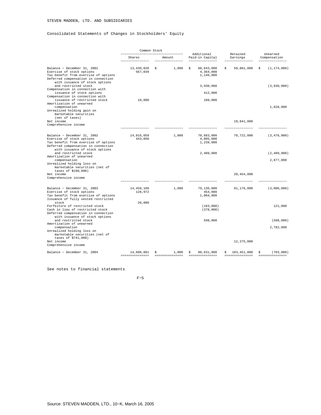# Consolidated Statements of Changes in Stockholders' Equity

|                                                                                                                                                      | Common Stock                  |                                                         |                                                  |                                     |                                     |  |
|------------------------------------------------------------------------------------------------------------------------------------------------------|-------------------------------|---------------------------------------------------------|--------------------------------------------------|-------------------------------------|-------------------------------------|--|
|                                                                                                                                                      | Shares<br>---------------     | --------------------------<br>Amount<br>--------------- | Additional<br>Paid-in Capital<br>--------------- | Retained<br>Earnings                | Unearned<br>Compensation            |  |
| Balance - December 31, 2001<br>Exercise of stock options<br>Tax benefit from exercise of options<br>Deferred compensation in connection              | 13,439,020<br>567,039         | 1,000<br>S.                                             | 60,643,000<br>S.<br>4,364,000<br>1,146,000       | 50,881,000<br>S.                    | (1, 174, 000)<br>Ŝ.                 |  |
| with issuance of stock options<br>and restricted stock<br>Compensation in connection with                                                            |                               |                                                         | 3,930,000                                        |                                     | (3,930,000)                         |  |
| issuance of stock options<br>Compensation in connection with                                                                                         |                               |                                                         | 412,000                                          |                                     |                                     |  |
| issuance of restricted stock<br>Amortization of unearned<br>compensation<br>Unrealized holding gain on<br>marketable securities<br>(net of taxes)    | 10,000                        |                                                         | 188,000                                          |                                     | 1,628,000                           |  |
| Net income<br>Comprehensive income                                                                                                                   |                               |                                                         |                                                  | 19,841,000                          |                                     |  |
| Balance - December 31, 2002<br>Exercise of stock options<br>Tax benefit from exercise of options<br>Deferred compensation in connection              | 14,016,059<br>443,050         | 1,000                                                   | 70,683,000<br>4,805,000<br>1,239,000             | 70,722,000                          | (3, 476, 000)                       |  |
| with issuance of stock options<br>and restricted stock                                                                                               |                               |                                                         | 2,409,000                                        |                                     | (2, 409, 000)                       |  |
| Amortization of unearned<br>compensation<br>Unrealized holding loss on<br>marketable securities (net of                                              |                               |                                                         |                                                  |                                     | 2,877,000                           |  |
| taxes of \$190,000)<br>Net income<br>Comprehensive income                                                                                            |                               |                                                         |                                                  | 20,454,000                          |                                     |  |
| Balance - December 31, 2003<br>Exercise of stock options<br>Tax benefit from exercise of options<br>Issuance of fully vested restricted              | 14,459,109<br>128,972         | 1,000                                                   | 79,136,000<br>454,000<br>1,004,000               | ------------<br>91,176,000          | (3,008,000)                         |  |
| stock<br>Forfeiture of restricted stock<br>Cash in lieu of restricted stock<br>Deferred compensation in connection<br>with issuance of stock options | 20,000                        |                                                         | (183,000)<br>(378,000)                           |                                     | 121,000                             |  |
| and restricted stock<br>Amortization of unearned<br>compensation<br>Unrealized holding loss on<br>marketable securities (net of                      |                               |                                                         | 598,000                                          |                                     | (598,000)<br>2,782,000              |  |
| taxes of \$741,000)<br>Net income<br>Comprehensive income                                                                                            |                               |                                                         |                                                  | 12,275,000                          |                                     |  |
| Balance - December 31, 2004                                                                                                                          | 14,608,081<br>--------------- | 1,000<br>===============                                | 80,631,000<br>S<br>---------------               | 103,451,000<br>s<br>--------------- | (703,000)<br>\$.<br>=============== |  |

See notes to financial statements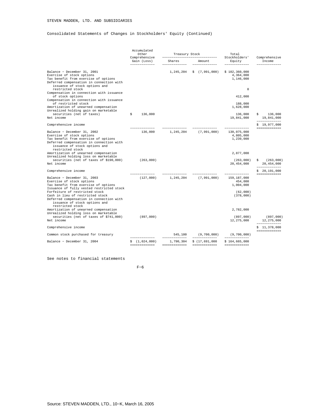# Consolidated Statements of Changes in Stockholders' Equity (Continued)

|                                                                                                                                                                                                   | Accumulated<br>Other<br>Comprehensive | Treasury Stock             | -----------------------------   | Total<br>Stockholders'                  |                                              |  |
|---------------------------------------------------------------------------------------------------------------------------------------------------------------------------------------------------|---------------------------------------|----------------------------|---------------------------------|-----------------------------------------|----------------------------------------------|--|
|                                                                                                                                                                                                   | Gain (Loss)<br>-------------          | Shares<br>-------------    | Amount<br>-------------         | Equity<br>-------------                 | Comprehensive<br>Income<br>-------------     |  |
| Balance - December 31, 2001<br>Exercise of stock options<br>Tax benefit from exercise of options<br>Deferred compensation in connection with                                                      |                                       |                            | $1, 245, 204$ \$ (7,991,000)    | \$102,360,000<br>4,364,000<br>1,146,000 |                                              |  |
| issuance of stock options and<br>restricted stock<br>Compensation in connection with issuance                                                                                                     |                                       |                            |                                 | $\Omega$                                |                                              |  |
| of stock options<br>Compensation in connection with issuance                                                                                                                                      |                                       |                            |                                 | 412,000                                 |                                              |  |
| of restricted stock<br>Amortization of unearned compensation<br>Unrealized holding gain on marketable                                                                                             |                                       |                            |                                 | 188,000<br>1,628,000                    |                                              |  |
| securities (net of taxes)<br>Net income                                                                                                                                                           | 136,000<br>\$                         |                            |                                 | 136,000<br>19,841,000                   | 136,000<br>S.<br>19,841,000<br>------------- |  |
| Comprehensive income                                                                                                                                                                              | -------------                         | --------------             | -------------                   | --------------                          | \$19,977,000<br>=============                |  |
| Balance - December 31, 2002<br>Exercise of stock options<br>Tax benefit from exercise of options<br>Deferred compensation in connection with<br>issuance of stock options and<br>restricted stock | 136,000                               |                            | 1,245,204 (7,991,000)           | 130,075,000<br>4,805,000<br>1,239,000   |                                              |  |
| Amortization of unearned compensation<br>Unrealized holding loss on marketable                                                                                                                    |                                       |                            |                                 | 2,877,000                               |                                              |  |
| securities (net of taxes of \$190,000) (263,000)<br>Net income                                                                                                                                    |                                       |                            |                                 | (263,000)<br>20,454,000                 | (263,000)<br>20,454,000<br>-------------     |  |
| Comprehensive income                                                                                                                                                                              |                                       |                            |                                 |                                         | \$20,191,000<br><b>BEEBEEBEEBEE</b>          |  |
| Balance - December 31, 2003<br>Exercise of stock options<br>Tax benefit from exercise of options<br>Issuance of fully vested restricted stock                                                     | (127,000)                             |                            | 1,245,204 (7,991,000)           | 159,187,000<br>454,000<br>1,004,000     |                                              |  |
| Forfeiture of restricted stock<br>Cash in lieu of restricted stock<br>Deferred compensation in connection with<br>issuance of stock options and<br>restricted stock                               |                                       |                            |                                 | (62,000)<br>(378,000)                   |                                              |  |
| Amortization of unearned compensation<br>Unrealized holding loss on marketable                                                                                                                    |                                       |                            |                                 | 2,782,000                               |                                              |  |
| securities (net of taxes of \$741,000)<br>Net income                                                                                                                                              | (897,000)                             |                            |                                 | (897,000)<br>12,275,000                 | (897,000)<br>12,275,000<br>-------------     |  |
| Comprehensive income                                                                                                                                                                              |                                       |                            |                                 |                                         | \$11,378,000<br>=============                |  |
| Common stock purchased for treasury                                                                                                                                                               |                                       | 545,100<br>--------------  | (9,700,000)<br>-------------    | (9,700,000)<br>_____________            |                                              |  |
| Balance - December 31, 2004                                                                                                                                                                       | \$(1,024,000)<br>-------------        | 1,790,304<br>------------- | \$(17,691,000)<br>------------- | \$164,665,000<br>-------------          |                                              |  |

See notes to financial statements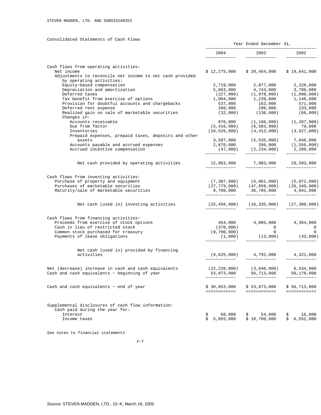# Consolidated Statements of Cash Flows

|                                                                        | 2004                         | --------------------------------------<br>2003 000                                                                                                                                                                                                    | 2002<br>____________         |
|------------------------------------------------------------------------|------------------------------|-------------------------------------------------------------------------------------------------------------------------------------------------------------------------------------------------------------------------------------------------------|------------------------------|
| Cash flows from operating activities:                                  |                              |                                                                                                                                                                                                                                                       |                              |
| Net income<br>Adjustments to reconcile net income to net cash provided |                              | $$12,275,000 \t$20,454,000 \t$19,841,000$                                                                                                                                                                                                             |                              |
| by operating activities:<br>Equity-based compensation                  |                              | $2,719,000$ $2,877,000$ $2,228,000$                                                                                                                                                                                                                   |                              |
| Depreciation and amortization                                          |                              |                                                                                                                                                                                                                                                       |                              |
| Deferred taxes                                                         |                              | $\begin{array}{cccc} 5\,,063\,,000 & \phantom{-}4\,,743\,,000 & \phantom{-}3\,,706\,,000 \\ (227\,,000) & \phantom{-}(1\,,978\,,000) & \phantom{-}(1\,,090\,,000) \\ 1\,,004\,,000 & \phantom{-}1\,,239\,,000 & \phantom{-}1\,,146\,,000 \end{array}$ |                              |
| Tax benefit from exercise of options                                   |                              |                                                                                                                                                                                                                                                       |                              |
| Provision for doubtful accounts and chargebacks                        |                              |                                                                                                                                                                                                                                                       |                              |
| Deferred rent expense                                                  |                              |                                                                                                                                                                                                                                                       |                              |
| Realized gain on sale of marketable securities<br>Changes in:          |                              | $(32,000)$ $(136,000)$ $(66,000)$                                                                                                                                                                                                                     |                              |
| Accounts receivable                                                    |                              |                                                                                                                                                                                                                                                       |                              |
| Due from factor                                                        |                              |                                                                                                                                                                                                                                                       |                              |
| Inventories                                                            |                              | $\begin{array}{cccc} 876\,,000 & (1\,,196\,,000) & (1\,,207\,,000) \\ (5\,,416\,,000) & (6\,,583\,,000) & 79\,,000 \\ (10\,,526\,,000) & (4\,,413\,,000) & (3\,,627\,,000) \end{array}$                                                               |                              |
| Prepaid expenses, prepaid taxes, deposits and other                    |                              |                                                                                                                                                                                                                                                       |                              |
| assets                                                                 |                              | 3,507,000 (5,535,000) 7,046,000<br>2,870,000 206,000 (1,556,000)<br>(47,000) (2,234,000) 2,289,000                                                                                                                                                    |                              |
| Accounts payable and accrued expenses                                  |                              |                                                                                                                                                                                                                                                       |                              |
| Accrued incentive compensation                                         |                              | ————————————                                                                                                                                                                                                                                          | ____________                 |
| Net cash provided by operating activities                              |                              | 12,863,000 7,903,000 29,593,000<br>____________                                                                                                                                                                                                       | -------------                |
| Cash flows from investing activities:                                  |                              |                                                                                                                                                                                                                                                       |                              |
| Purchase of property and equipment                                     |                              | $(7, 387, 000)$ $(6, 061, 000)$ $(5, 072, 000)$                                                                                                                                                                                                       |                              |
| Purchases of marketable securities                                     |                              | $(27, 779, 000)$ $(47, 059, 000)$ $(26, 349, 000)$                                                                                                                                                                                                    |                              |
| Maturity/sale of marketable securities                                 | ____________                 | $9,708,000$ 36,785,000 4,041,000                                                                                                                                                                                                                      | -------------                |
| Net cash (used in) investing activities                                | ____________                 | $(25, 458, 000)$ $(16, 335, 000)$ $(27, 380, 000)$<br>_____________                                                                                                                                                                                   | ____________                 |
| Cash flows from financing activities:                                  |                              |                                                                                                                                                                                                                                                       |                              |
| Proceeds from exercise of stock options                                |                              |                                                                                                                                                                                                                                                       |                              |
| Cash in lieu of restricted stock                                       |                              |                                                                                                                                                                                                                                                       |                              |
| Common stock purchased for treasury                                    | (9, 700, 000)                |                                                                                                                                                                                                                                                       |                              |
| Payments of lease obligations                                          |                              | $\begin{array}{cccc} 454\,, 000 & \quad & 4\,, 805\,, 000 & \quad & 4\,, 364\,, 000 \\ (378\,, 000) & \quad & 0 & \quad & 0 \\ (9\,, 700\,, 000) & \quad & 0 & \quad & 0 \\ (1\,, 000) & \quad & (13\,, 000) & \quad & (43\,, 000) \end{array}$       |                              |
| Net cash (used in) provided by financing                               |                              |                                                                                                                                                                                                                                                       |                              |
| activities                                                             |                              | $(9,625,000)$ $4,792,000$ $4,321,000$                                                                                                                                                                                                                 | ____________                 |
| Net (decrease) increase in cash and cash equivalents                   |                              |                                                                                                                                                                                                                                                       |                              |
| Cash and cash equivalents - beginning of year                          | _____________                | $(22, 220, 000)$ $(3, 640, 000)$ $6, 534, 000$<br>53,073,000 56,713,000 50,179,000                                                                                                                                                                    | ------------                 |
| Cash and cash equivalents - end of year                                | \$30,853,000<br>============ | \$53,073,000<br>============                                                                                                                                                                                                                          | \$56,713,000<br>============ |
| Supplemental disclosures of cash flow information:                     |                              |                                                                                                                                                                                                                                                       |                              |
| Cash paid during the year for:                                         |                              |                                                                                                                                                                                                                                                       |                              |
| Interest                                                               | 68,000<br>Ş                  | 54,000<br>\$                                                                                                                                                                                                                                          | 16,000<br>Ş                  |
| Income taxes                                                           | \$<br>5,855,000              | \$18,700,000                                                                                                                                                                                                                                          | 6,552,000<br>S               |
|                                                                        |                              |                                                                                                                                                                                                                                                       |                              |

Year Ended December 31,

See notes to financial statements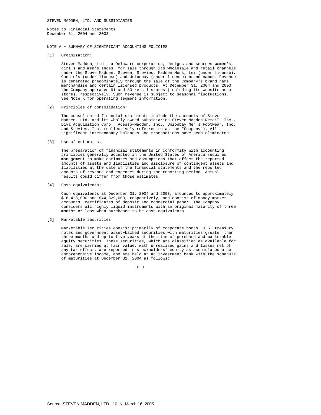#### NOTE A − SUMMARY OF SIGNIFICANT ACCOUNTING POLICIES

[1] Organization:

 Steven Madden, Ltd., a Delaware corporation, designs and sources women's, girl's and men's shoes, for sale through its wholesale and retail channels under the Steve Madden, Steven, Stevies, Madden Mens, Lei (under license), Candie's (under license) and Unionbay (under license) brand names. Revenue is generated predominately through the sale of the Company's brand name merchandise and certain licensed products. At December 31, 2004 and 2003, the Company operated 91 and 83 retail stores (including its website as a store), respectively. Such revenue is subject to seasonal fluctuations. See Note K for operating segment information.

[2] Principles of consolidation:

 The consolidated financial statements include the accounts of Steven Madden, Ltd. and its wholly owned subsidiaries Steven Madden Retail, Inc., Diva Acquisition Corp., Adesso−Madden, Inc., Unionbay Men's Footwear, Inc. and Stevies, Inc. (collectively referred to as the "Company"). All significant intercompany balances and transactions have been eliminated.

[3] Use of estimates:

 The preparation of financial statements in conformity with accounting principles generally accepted in the United States of America requires management to make estimates and assumptions that affect the reported amounts of assets and liabilities and disclosure of contingent assets and liabilities at the date of the financial statements and the reported amounts of revenue and expenses during the reporting period. Actual results could differ from those estimates.

[4] Cash equivalents:

 Cash equivalents at December 31, 2004 and 2003, amounted to approximately \$16,428,000 and \$44,829,000, respectively, and consist of money market accounts, certificates of deposit and commercial paper. The Company considers all highly liquid instruments with an original maturity of three months or less when purchased to be cash equivalents.

[5] Marketable securities:

 Marketable securities consist primarily of corporate bonds, U.S. treasury notes and government asset−backed securities with maturities greater than three months and up to five years at the time of purchase and marketable equity securities. These securities, which are classified as available for sale, are carried at fair value, with unrealized gains and losses net of any tax effect, are reported in stockholders' equity as accumulated other comprehensive income, and are held at an investment bank with the schedule of maturities at December 31, 2004 as follows: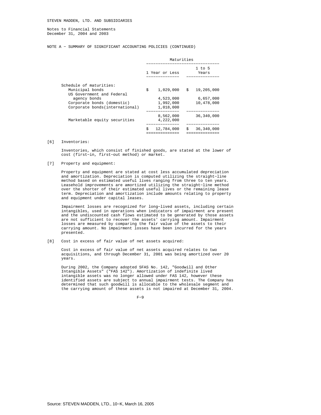# NOTE A − SUMMARY OF SIGNIFICANT ACCOUNTING POLICIES (CONTINUED)

|                                | Maturities     |            |    |                   |
|--------------------------------|----------------|------------|----|-------------------|
|                                | 1 Year or Less |            |    | $1$ to 5<br>Years |
| Schedule of maturities:        |                |            |    |                   |
| Municipal bonds                | \$             | 1,029,000  | \$ | 19,205,000        |
| US Government and Federal      |                |            |    |                   |
| agency bonds                   |                | 4,523,000  |    | 6.657.000         |
| Corporate bonds (domestic)     |                | 1,992,000  |    | 10,478,000        |
| Corporate bonds(international) |                | 1,018,000  |    |                   |
|                                |                |            |    |                   |
|                                |                | 8,562,000  |    | 36,340,000        |
| Marketable equity securities   |                | 4,222,000  |    |                   |
|                                | Ŝ              | 12,784,000 | Ŝ  | 36,340,000        |
|                                |                |            |    |                   |

#### [6] Inventories:

 Inventories, which consist of finished goods, are stated at the lower of cost (first−in, first−out method) or market.

# [7] Property and equipment:

 Property and equipment are stated at cost less accumulated depreciation and amortization. Depreciation is computed utilizing the straight−line method based on estimated useful lives ranging from three to ten years. Leasehold improvements are amortized utilizing the straight−line method over the shorter of their estimated useful lives or the remaining lease term. Depreciation and amortization include amounts relating to property and equipment under capital leases.

 Impairment losses are recognized for long−lived assets, including certain intangibles, used in operations when indicators of impairment are present and the undiscounted cash flows estimated to be generated by those assets are not sufficient to recover the assets' carrying amount. Impairment losses are measured by comparing the fair value of the assets to their carrying amount. No impairment losses have been incurred for the years presented.

[8] Cost in excess of fair value of net assets acquired:

 Cost in excess of fair value of net assets acquired relates to two acquisitions, and through December 31, 2001 was being amortized over 20 years.

 During 2002, the Company adopted SFAS No. 142, "Goodwill and Other Intangible Assets" ("FAS 142"). Amortization of indefinite lived intangible assets was no longer allowed under FAS 142, however these identified assets are subject to annual impairment tests. The Company has determined that such goodwill is allocable to the wholesale segment and the carrying amount of these assets is not impaired at December 31, 2004.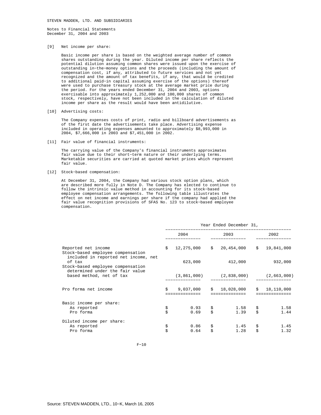[9] Net income per share:

 Basic income per share is based on the weighted average number of common shares outstanding during the year. Diluted income per share reflects the potential dilution assuming common shares were issued upon the exercise of outstanding in−the−money options and the proceeds (including the amount of compensation cost, if any, attributed to future services and not yet recognized and the amount of tax benefits, if any, that would be credited to additional paid−in capital assuming exercise of the options) thereof were used to purchase treasury stock at the average market price during the period. For the years ended December 31, 2004 and 2003, options exercisable into approximately 1,252,000 and 100,000 shares of common stock, respectively, have not been included in the calculation of diluted income per share as the result would have been antidilutive.

[10] Advertising costs:

 The Company expenses costs of print, radio and billboard advertisements as of the first date the advertisements take place. Advertising expense included in operating expenses amounted to approximately  $$8,993,000$  in 2004, \$7,666,000 in 2003 and \$7,451,000 in 2002.

[11] Fair value of financial instruments:

 The carrying value of the Company's financial instruments approximates fair value due to their short−term nature or their underlying terms. Marketable securities are carried at quoted market prices which represent fair value.

[12] Stock−based compensation:

 At December 31, 2004, the Company had various stock option plans, which are described more fully in Note D. The Company has elected to continue to follow the intrinsic value method in accounting for its stock−based employee compensation arrangements. The following table illustrates the effect on net income and earnings per share if the company had applied the fair value recognition provisions of SFAS No. 123 to stock−based employee compensation.

|                                                                                     | Year Ended December 31, |                            |              |                                 |    |                            |  |
|-------------------------------------------------------------------------------------|-------------------------|----------------------------|--------------|---------------------------------|----|----------------------------|--|
|                                                                                     |                         | 2004                       |              | 2003                            |    | 2002                       |  |
| Reported net income<br>Stock-based employee compensation                            |                         |                            |              |                                 |    | 19,841,000                 |  |
| included in reported net income, net<br>of tax<br>Stock-based employee compensation |                         | 623,000                    |              | 412,000                         |    | 932,000                    |  |
| determined under the fair value<br>based method, net of tax                         |                         |                            |              | $(3, 861, 000)$ $(2, 838, 000)$ |    | (2,663,000)                |  |
| Pro forma net income                                                                | \$                      | 9,037,000<br>============= | $\mathsf{S}$ | 18,028,000<br>==============    |    | \$18,110,000<br>========== |  |
| Basic income per share:                                                             |                         |                            |              |                                 |    |                            |  |
| As reported                                                                         | \$                      | 0.93                       | \$           | 1.58                            | \$ | 1.58                       |  |
| Pro forma                                                                           | Ś                       | 0.69                       | Ś            | 1.39                            | Ś  | 1.44                       |  |
| Diluted income per share:                                                           |                         |                            |              |                                 |    |                            |  |
| As reported                                                                         | \$                      | 0.86                       | \$           | 1.45                            | \$ | 1.45                       |  |
| Pro forma                                                                           | \$                      | 0.64                       | \$           | 1.28                            | Ś  | 1.32                       |  |
|                                                                                     |                         |                            |              |                                 |    |                            |  |

F−10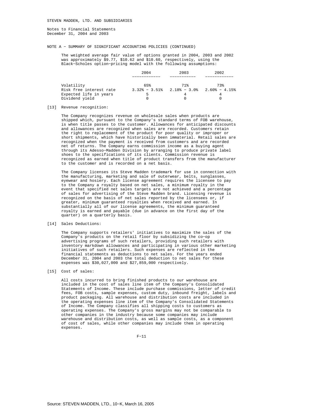### NOTE A − SUMMARY OF SIGNIFICANT ACCOUNTING POLICIES (CONTINUED)

 The weighted average fair value of options granted in 2004, 2003 and 2002 was approximately \$9.77, \$10.62 and \$10.60, respectively, using the Black−Scholes option−pricing model with the following assumptions:

|                         | 2004 | 2003                                                 | 2002 |
|-------------------------|------|------------------------------------------------------|------|
|                         |      |                                                      |      |
| Volatility              | 65%  | 71%                                                  | 73%  |
| Risk free interest rate |      | $3.32\% - 3.51\% - 2.18\% - 3.0\% - 2.60\% - 4.15\%$ |      |
| Expected life in years  |      |                                                      |      |
| Dividend yield          |      |                                                      |      |

# [13] Revenue recognition:

 The Company recognizes revenue on wholesale sales when products are shipped which, pursuant to the Company's standard terms of FOB warehouse, is when title passes to the customer. Allowances for anticipated discounts and allowances are recognized when sales are recorded. Customers retain the right to replacement of the product for poor quality or improper or short shipments, which have historically been immaterial. Retail sales are recognized when the payment is received from customers and are recorded net of returns. The Company earns commission income as a buying agent through its Adesso−Madden Division by arranging to produce private label shoes to the specifications of its clients. Commission revenue is recognized as earned when title of product transfers from the manufacturer to the customer and is recorded on a net basis.

 The Company licenses its Steve Madden trademark for use in connection with the manufacturing, marketing and sale of outerwear, belts, sunglasses, eyewear and hosiery. Each license agreement requires the licensee to pay to the Company a royalty based on net sales, a minimum royalty in the event that specified net sales targets are not achieved and a percentage of sales for advertising of the Steve Madden brand. Licensing revenue is recognized on the basis of net sales reported by the licensees or, if greater, minimum guaranteed royalties when received and earned. In substantially all of our license agreements, the minimum guaranteed royalty is earned and payable (due in advance on the first day of the quarter) on a quarterly basis.

# [14] Sales Deductions:

 The Company supports retailers' initiatives to maximize the sales of the Company's products on the retail floor by subsidizing the co−op advertising programs of such retailers, providing such retailers with inventory markdown allowances and participating in various other marketing initiatives of such retailers. Such expenses are reflected in the financial statements as deductions to net sales. For the years ended December 31, 2004 and 2003 the total deduction to net sales for these expenses was \$30,027,000 and \$27,859,000 respectively.

[15] Cost of sales:

 All costs incurred to bring finished products to our warehouse are included in the cost of sales line item of the Company's Consolidated Statements of Income. These include purchase commissions, letter of credit fees, FOB costs, sample expenses, custom duty, inbound freight, labels and product packaging. All warehouse and distribution costs are included in the operating expenses line item of the Company's Consolidated Statements of Income. The Company classifies all shipping costs to customers as operating expenses. The Company's gross margins may not be comparable to other companies in the industry because some companies may include warehouse and distribution costs, as well as sample costs, as a component of cost of sales, while other companies may include them in operating expenses.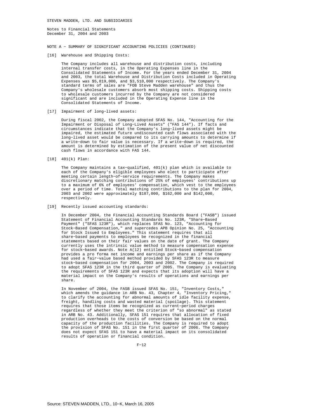### NOTE A − SUMMARY OF SIGNIFICANT ACCOUNTING POLICIES (CONTINUED)

[16] Warehouse and Shipping Costs:

 The Company includes all warehouse and distribution costs, including internal transfer costs, in the Operating Expenses line in the Consolidated Statements of Income. For the years ended December 31, 2004 and 2003, the total Warehouse and Distribution Costs included in Operating Expenses was \$5,819,000, and \$3,510,000 respectively. The Company's standard terms of sales are "FOB Steve Madden warehouse" and thus the Company's wholesale customers absorb most shipping costs. Shipping costs to wholesale customers incurred by the Company are not considered significant and are included in the Operating Expense line in the Consolidated Statements of Income.

[17] Impairment of long−lived assets:

 During fiscal 2002, the Company adopted SFAS No. 144, "Accounting for the Impairment or Disposal of Long−Lived Assets" ("FAS 144"). If facts and circumstances indicate that the Company's long−lived assets might be impaired, the estimated future undiscounted cash flows associated with the long−lived asset would be compared to its carrying amounts to determine if a write−down to fair value is necessary. If a write−down is required, the amount is determined by estimation of the present value of net discounted cash flows in accordance with FAS 144.

[18] 401(k) Plan:

 The Company maintains a tax−qualified, 401(k) plan which is available to each of the Company's eligible employees who elect to participate after meeting certain length−of−service requirements. The Company makes discretionary matching contributions of 25% of employees' contributions up to a maximum of 6% of employees' compensation, which vest to the employees over a period of time. Total matching contributions to the plan for 2004, 2003 and 2002 were approximately \$187,000, \$162,000 and \$142,000, respectively.

[19] Recently issued accounting standards:

 In December 2004, the Financial Accounting Standards Board ("FASB") issued Statement of Financial Accounting Standards No. 123R, "Share−Based Payment" ("SFAS 123R"), which replaces SFAS No. 123, "Accounting for Stock−Based Compensation," and supercedes APB Opinion No. 25, "Accounting for Stock Issued to Employees." This statement requires that all share−based payments to employees be recognized in the financial statements based on their fair values on the date of grant. The Company currently uses the intrinsic value method to measure compensation expense for stock−based awards. Note A(12) entitled Stock−based compensation provides a pro forma net income and earnings per share as if the Company had used a fair−value based method provided by SFAS 123R to measure stock−based compensation for 2004, 2003 and 2002. The Company is required to adopt SFAS 123R in the third quarter of 2005. The Company is evaluating the requirements of SFAS 123R and expects that its adoption will have a material impact on the Company's results of operations and earnings per share.

 In November of 2004, the FASB issued SFAS No. 151, "Inventory Costs," which amends the guidance in ARB No. 43, Chapter 4, "Inventory Pricing," to clarify the accounting for abnormal amounts of idle facility expense, freight, handling costs and wasted material (spoilage). This statement requires that those items be recognized as current−period charges regardless of whether they meet the criterion of "so abnormal" as stated in ARB No. 43. Additionally, SFAS 151 requires that allocation of fixed production overheads to the costs of conversion be based on the normal capacity of the production facilities. The Company is required to adopt the provision of SFAS No. 151 in the first quarter of 2006. The Company does not expect SFAS 151 to have a material impact on its consolidated results of operation or financial condition.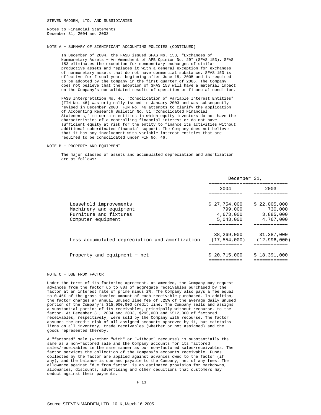# NOTE A − SUMMARY OF SIGNIFICANT ACCOUNTING POLICIES (CONTINUED)

 In December of 2004, the FASB issued SFAS No. 153, "Exchanges of Nonmonetary Assets − An Amendment of APB Opinion No. 29" (SFAS 153). SFAS 153 eliminates the exception for nonmonetary exchanges of similar productive assets and replaces it with a general exception for exchanges of nonmonetary assets that do not have commercial substance. SFAS 153 is effective for fiscal years beginning after June 15, 2005 and is required to be adopted by the Company in the first quarter of 2006. The Company does not believe that the adoption of SFAS 153 will have a material impact on the Company's consolidated results of operation or financial condition.

 FASB Interpretation No. 46, "Consolidation of Variable Interest Entities" (FIN No. 46) was originally issued in January 2003 and was subsequently revised in December 2003. FIN No. 46 attempts to clarify the application of Accounting Research Bulletin No. 51 "Consolidated Financial Statements," to certain entities in which equity investors do not have the characteristics of a controlling financial interest or do not have sufficient equity at risk for the entity to finance its activities without additional subordinated financial support. The Company does not believe that it has any involvement with variable interest entities that are required to be consolidated under FIN No. 46.

NOTE B − PROPERTY AND EQUIPMENT

 The major classes of assets and accumulated depreciation and amortization are as follows:

|                                                                                                   |                                                   | December 31,                                      |  |  |
|---------------------------------------------------------------------------------------------------|---------------------------------------------------|---------------------------------------------------|--|--|
|                                                                                                   | 2004                                              | 2003                                              |  |  |
| Leasehold improvements<br>Machinery and equipment<br>Furniture and fixtures<br>Computer equipment | \$27,754,000<br>799,000<br>4,673,000<br>5,043,000 | \$22,005,000<br>730,000<br>3,885,000<br>4,767,000 |  |  |
| Less accumulated depreciation and amortization                                                    | 38,269,000<br>(17.554.000)                        | 31,387,000<br>(12, 996, 000)                      |  |  |
| Property and equipment - net                                                                      | \$20,715,000                                      | \$18,391,000                                      |  |  |

# NOTE C − DUE FROM FACTOR

Under the terms of its factoring agreement, as amended, the Company may request advances from the factor up to 80% of aggregate receivables purchased by the factor at an interest rate of prime minus 2%. The Company also pays a fee equal to 0.45% of the gross invoice amount of each receivable purchased. In addition, the factor charges an annual unused line fee of .25% of the average daily unused portion of the Company's \$15,000,000 credit line. The Company sells and assigns a substantial portion of its receivables, principally without recourse, to the factor. At December 31, 2004 and 2003, \$295,000 and \$512,000 of factored receivables, respectively, were sold by the Company with recourse. The factor assumes the credit risk of all assigned accounts approved by it, but maintains liens on all inventory, trade receivables (whether or not assigned) and the goods represented thereby.

A "factored" sale (whether "with" or "without" recourse) is substantially the same as a non−factored sale and the Company accounts for its factored sales/receivables in the same manner as our non−factored sales/receivables. The factor services the collection of the Company's accounts receivable. Funds collected by the factor are applied against advances owed to the factor (if any), and the balance is due and payable to the Company, net of any fees. The allowance against "due from factor" is an estimated provision for markdowns, allowances, discounts, advertising and other deductions that customers may deduct against their payments.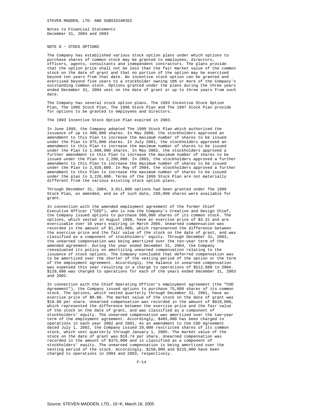NOTE D − STOCK OPTIONS

The Company has established various stock option plans under which options to purchase shares of common stock may be granted to employees, directors, officers, agents, consultants and independent contractors. The plans provide that the option price shall not be less than the fair market value of the common stock on the date of grant and that no portion of the option may be exercised beyond ten years from that date. No incentive stock option can be granted and exercised beyond five years to a stockholder owning 10% or more of the Company's outstanding common stock. Options granted under the plans during the three years ended December 31, 2004 vest on the date of grant or up to three years from such date.

The Company has several stock option plans. The 1993 Incentive Stock Option Plan, The 1995 Stock Plan, The 1996 Stock Plan and The 1997 Stock Plan provide for options to be granted to employees and directors.

The 1993 Incentive Stock Option Plan expired in 2003.

In June 1999, the Company adopted The 1999 Stock Plan which authorized the issuance of up to 400,000 shares. In May 2000, the stockholders approved an amendment to this Plan to increase the maximum number of shares to be issued under the Plan to 975,000 shares. In July 2001, the stockholders approved an amendment to this Plan to increase the maximum number of shares to be issued under the Plan to 1,600,000 shares. In May 2002, the stockholders approved a further amendment to this Plan to increase the maximum number of shares to be issued under the Plan to 2,280,000. In 2003, the stockholders approved a further amendment to this Plan to increase the maximum number of shares to be issued under the Plan to 2,920,000. In May of 2004, the stockholders approved a further amendment to this Plan to increase the maximum number of shares to be issued under the plan to 3,220,000. Terms of the 1999 Stock Plan are not materially different from the various existing stock option plans.

Through December 31, 2004, 3,011,000 options had been granted under The 1999 Stock Plan, as amended, and as of such date, 209,000 shares were available for grant.

In connection with the amended employment agreement of the former Chief Executive Officer ("CEO"), who is now the Company's Creative and Design Chief, the Company issued options to purchase 500,000 shares of its common stock. The options, which vested in August 1998, have an exercise price of \$3.31 and are exercisable over 10 years expiring in March 2005. Unearned compensation was recorded in the amount of \$1,345,000, which represented the difference between the exercise price and the fair value of the stock on the date of grant, and was classified as a component of stockholders' equity. Through December 31, 2003, the unearned compensation was being amortized over the ten−year term of the amended agreement. During the year ended December 31, 2004, the Company reevaluated its policy on amortizing unearned compensation relating to the issuance of stock options. The Company concluded that deferred compensation was to be amortized over the shorter of the vesting period of the option or the term of the employment agreement. Accordingly, the balance in unearned compensation was expensed this year resulting in a charge to operations of \$512,000 in 2004. \$128,000 was charged to operations for each of the years ended December 31, 2003 and 2002.

In connection with the Chief Operating Officer's employment agreement (the "COO Agreement"), the Company issued options to purchase 75,000 shares of its common stock. The options, which vested quarterly through December 31, 2001, have an exercise price of \$8.00. The market value of the stock on the date of grant was \$18.80 per share. Unearned compensation was recorded in the amount of \$810,000, which represented the difference between the exercise price and the fair value of the stock on the date of grant, and was classified as a component of stockholders' equity. The unearned compensation was amortized over the two−year term of the employment agreement. Accordingly, \$405,000 has been charged to operations in each year 2002 and 2001. As an amendment to the COO Agreement dated July 1, 2002, the Company issued 20,000 restricted shares of its common stock, which vest quarterly through January 1, 2005. The market value of the stock on the date of grant was \$18.74 per share. Unearned compensation was recorded in the amount of \$375,000 and is classified as a component of stockholders' equity. The unearned compensation is being amortized over the vesting period of the stock. Accordingly, \$150,000 and \$225,000 have been charged to operations in 2004 and 2003, respectively.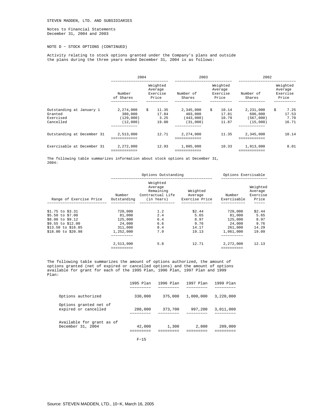# NOTE D − STOCK OPTIONS (CONTINUED)

Activity relating to stock options granted under the Company's plans and outside the plans during the three years ended December 31, 2004 is as follows:

|                                                               | 2004                                          |    |                                          | 2003                                          |    | 2002                                     |                                               |    |                                          |
|---------------------------------------------------------------|-----------------------------------------------|----|------------------------------------------|-----------------------------------------------|----|------------------------------------------|-----------------------------------------------|----|------------------------------------------|
|                                                               | Number<br>of Shares                           |    | Weighted<br>Average<br>Exercise<br>Price | Number of<br>Shares                           |    | Weighted<br>Average<br>Exercise<br>Price | Number of<br>Shares                           |    | Weighted<br>Average<br>Exercise<br>Price |
| Outstanding at January 1<br>Granted<br>Exercised<br>Cancelled | 2,274,000<br>380,000<br>(129,000)<br>(12,000) | Ŝ. | 11.35<br>17.84<br>3.25<br>19.00          | 2,345,000<br>403,000<br>(443,000)<br>(31,000) | Ŝ. | 10.14<br>17.81<br>10.79<br>11.87         | 2,231,000<br>696,000<br>(567,000)<br>(15,000) | Ŝ. | 7.25<br>17.53<br>7.70<br>16.71           |
| Outstanding at December 31                                    | 2,513,000                                     |    | 12.71                                    | 2,274,000                                     |    | 11.35                                    | 2,345,000                                     |    | 10.14                                    |
| Exercisable at December 31                                    | 2,272,000<br>==========                       |    | 12.93                                    | 1,885,000<br>============                     |    | 10.33                                    | 1,813,000                                     |    | 8.01                                     |

The following table summarizes information about stock options at December 31, 2004:

|                         |                       | Options Outstanding                                                | Options Exercisable                   |                       |                                          |
|-------------------------|-----------------------|--------------------------------------------------------------------|---------------------------------------|-----------------------|------------------------------------------|
| Range of Exercise Price | Number<br>Outstanding | Weighted<br>Average<br>Remaining<br>Contractual Life<br>(in Years) | Weighted<br>Average<br>Exercise Price | Number<br>Exercisable | Weighted<br>Average<br>Exercise<br>Price |
| $$1.75$ to $$3.31$      | 720,000               | 1.2                                                                | \$2.44                                | 720,000               | \$2.44                                   |
| \$5.50 to \$7.00        | 81,000                | 2.4                                                                | 5.65                                  | 81,000                | 5.65                                     |
| \$8.00 to \$9.12        | 125,000               | 6.4                                                                | 8.97                                  | 125,000               | 8.97                                     |
| \$9.55 to \$12.00       | 24,000                | 6.6                                                                | 9.76                                  | 24,000                | 9.76                                     |
| \$13.50 to \$16.85      | 311,000               | 8.4                                                                | 14.17                                 | 261,000               | 14.29                                    |
| $$18.00$ to $$20.98$    | 1,252,000             | 7.9                                                                | 19.13                                 | 1,061,000             | 19.09                                    |
|                         |                       |                                                                    |                                       |                       |                                          |
|                         | 2,513,000             | 5.8                                                                | 12.71                                 | 2,272,000             | 12.13                                    |
|                         | .                     |                                                                    |                                       |                       |                                          |

The following table summarizes the amount of options authorized, the amount of options granted (net of expired or cancelled options) and the amount of options available for grant for each of the 1995 Plan, 1996 Plan, 1997 Plan and 1999 Plan:

|                                                | 1995 Plan | 1996 Plan | 1997 Plan | 1999 Plan |
|------------------------------------------------|-----------|-----------|-----------|-----------|
| Options authorized                             | 330,000   | 375,000   | 1,000,000 | 3,220,000 |
| Options granted net of<br>expired or cancelled | 288,000   | 373,700   | 997,200   | 3,011,000 |
| Available for grant as of<br>December 31, 2004 | 42,000    | 1,300     | 2,800     | 209,000   |

F−15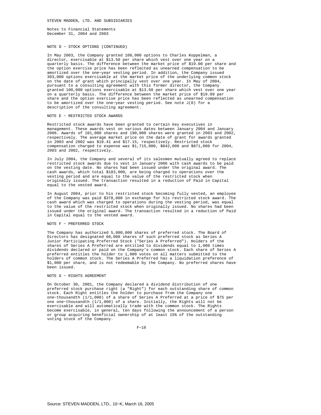NOTE D − STOCK OPTIONS (CONTINUED)

In May 2003, the Company granted 100,000 options to Charles Koppelman, a director, exercisable at \$13.50 per share which vest over one year on a quarterly basis. The difference between the market price of \$19.00 per share and the option exercise price has been reflected as unearned compensation to be amortized over the one−year vesting period. In addition, the Company issued 303,000 options exercisable at the market price of the underlying common stock on the date of grant which principally vest over one year. In May of 2004, pursuant to a consulting agreement with this former director, the Company granted 100,000 options exercisable at \$13.50 per share which vest over one year on a quarterly basis. The difference between the market price of \$19.09 per share and the option exercise price has been reflected as unearned compensation to be amortized over the one−year vesting period. See note J(8) for a description of the consulting agreement.

#### NOTE E − RESTRICTED STOCK AWARDS

Restricted stock awards have been granted to certain key executives in management. These awards vest on various dates between January 2004 and January 2006. Awards of 101,000 shares and 190,000 shares were granted in 2003 and 2002, respectively. The average market price on the date of grant for awards granted in 2003 and 2002 was \$18.41 and \$17.15, respectively. Restricted stock compensation charged to expense was \$1,715,000, \$842,000 and \$871,000 for 2004, 2003 and 2002, respectively.

In July 2004, the Company and several of its salesmen mutually agreed to replace restricted stock awards due to vest in January 2006 with cash awards to be paid on the vesting date. No shares had been issued under the original award. The cash awards, which total \$183,000, are being charged to operations over the vesting period and are equal to the value of the restricted stock when originally issued. The transaction resulted in a reduction of Paid in Capital equal to the vested award.

In August 2004, prior to his restricted stock becoming fully vested, an employee of the Company was paid \$378,000 in exchange for his restricted stock award. The cash award which was charged to operations during the vesting period, was equal to the value of the restricted stock when originally issued. No shares had been issued under the original award. The transaction resulted in a reduction of Paid in Capital equal to the vested award.

# NOTE F − PREFERRED STOCK

The Company has authorized 5,000,000 shares of preferred stock. The Board of Directors has designated 60,000 shares of such preferred stock as Series A Junior Participating Preferred Stock ("Series A Preferred"). Holders of the shares of Series A Preferred are entitled to dividends equal to 1,000 times dividends declared or paid on the Company's common stock. Each share of Series A preferred entitles the holder to 1,000 votes on all matters submitted to the holders of common stock. The Series A Preferred has a liquidation preference of \$1,000 per share, and is not redeemable by the Company. No preferred shares have been issued.

# NOTE G − RIGHTS AGREEMENT

On October 30, 2001, the Company declared a dividend distribution of one preferred stock purchase right (a "Right") for each outstanding share of common stock. Each Right entitles the holder to purchase from the Company one one−thousandth (1/1,000) of a share of Series A Preferred at a price of \$75 per one one−thousandth (1/1,000) of a share. Initially, the Rights will not be exercisable and will automatically trade with the common stock. The Rights become exercisable, in general, ten days following the announcement of a person or group acquiring beneficial ownership of at least 15% of the outstanding voting stock of the Company.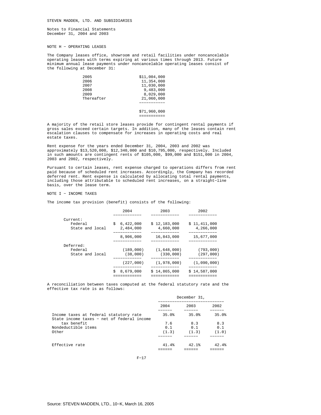NOTE H − OPERATING LEASES

The Company leases office, showroom and retail facilities under noncancelable operating leases with terms expiring at various times through 2013. Future minimum annual lease payments under noncancelable operating leases consist of the following at December 31:

| 2005       | \$11,004,000 |
|------------|--------------|
| 2006       | 11,354,000   |
| 2007       | 11,030,000   |
| 2008       | 9,483,000    |
| 2009       | 8,029,000    |
| Thereafter | 21,060,000   |
|            |              |
|            | \$71,960,000 |
|            |              |
|            |              |

A majority of the retail store leases provide for contingent rental payments if gross sales exceed certain targets. In addition, many of the leases contain rent escalation clauses to compensate for increases in operating costs and real estate taxes.

Rent expense for the years ended December 31, 2004, 2003 and 2002 was approximately \$13,520,000, \$12,340,000 and \$10,795,000, respectively. Included in such amounts are contingent rents of \$105,000, \$99,000 and \$151,000 in 2004, 2003 and 2002, respectively.

Pursuant to certain leases, rent expense charged to operations differs from rent paid because of scheduled rent increases. Accordingly, the Company has recorded deferred rent. Rent expense is calculated by allocating total rental payments, including those attributable to scheduled rent increases, on a straight−line basis, over the lease term.

# NOTE I − INCOME TAXES

The income tax provision (benefit) consists of the following:

|                      | Ŝ. | 8,679,000                | \$14.865.000<br>---------- | \$14.587.000              |
|----------------------|----|--------------------------|----------------------------|---------------------------|
|                      |    |                          |                            |                           |
|                      |    | (227,000)                | ----------<br>(1,978,000)  | ---------<br>(1.090.000)  |
| State and local      |    | (38,000)                 | (330,000)                  | (297,000)                 |
| Deferred:<br>Federal |    | (189,000)                | (1.648.000)                | (793,000)                 |
|                      |    |                          |                            |                           |
|                      |    | 8,906,000                | 16,843,000                 | 15,677,000                |
| State and local      |    | ----------               | ----------                 | --------                  |
| Federal              |    | \$6,422,000<br>2,484,000 | \$12,183,000<br>4,660,000  | \$11,411,000<br>4,266,000 |
| Current:             |    |                          |                            |                           |
|                      |    | 2004                     | 2003                       | 2002                      |
|                      |    |                          |                            |                           |

A reconciliation between taxes computed at the federal statutory rate and the effective tax rate is as follows:

|                                                           |              | December 31, |              |  |  |
|-----------------------------------------------------------|--------------|--------------|--------------|--|--|
|                                                           | 2004         | 2003         | 2002         |  |  |
| Income taxes at federal statutory rate                    | 35.0%        | 35.0%        | 35.0%        |  |  |
| State income taxes - net of federal income<br>tax benefit | 7.6          | 8.3          | 8.3          |  |  |
| Nondeductible items<br>Other                              | 0.1<br>(1.3) | 0.1<br>(1.3) | 0.1<br>(1.0) |  |  |
|                                                           |              |              |              |  |  |
| Effective rate                                            | 41.4%        | 42.1%        | 42.4%        |  |  |
|                                                           |              |              |              |  |  |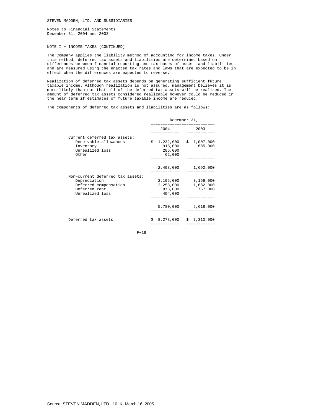NOTE I − INCOME TAXES (CONTINUED)

The Company applies the liability method of accounting for income taxes. Under this method, deferred tax assets and liabilities are determined based on differences between financial reporting and tax bases of assets and liabilities and are measured using the enacted tax rates and laws that are expected to be in effect when the differences are expected to reverse.

Realization of deferred tax assets depends on generating sufficient future taxable income. Although realization is not assured, management believes it is more likely than not that all of the deferred tax assets will be realized. The amount of deferred tax assets considered realizable however could be reduced in the near term if estimates of future taxable income are reduced.

The components of deferred tax assets and liabilities are as follows:

|                                                                                                               | December 31,                                                                                                                                                                                                                    |                                   |  |  |  |
|---------------------------------------------------------------------------------------------------------------|---------------------------------------------------------------------------------------------------------------------------------------------------------------------------------------------------------------------------------|-----------------------------------|--|--|--|
|                                                                                                               | 2004 — 2004 — 2005 — 2006 — 2006 — 2007 — 2008 — 2008 — 2008 — 2014 — 2015 — 2016 — 2016 — 2016 — 2016 — 2016 — 2016 — 2016 — 2016 — 2016 — 2016 — 2016 — 2016 — 2016 — 2016 — 2016 — 2016 — 2016 — 2016 — 2016 — 2016 — 2020 — | 2003                              |  |  |  |
| Current deferred tax assets:<br>Receivable allowances<br>Inventory<br>Unrealized loss<br>Other                | $$1,232,000$ $$1,007,000$<br>918,000<br>286,000<br>62,000                                                                                                                                                                       | 685,000                           |  |  |  |
|                                                                                                               |                                                                                                                                                                                                                                 | 2,498,000 1,692,000               |  |  |  |
| Non-current deferred tax assets:<br>Depreciation<br>Deferred compensation<br>Deferred rent<br>Unrealized loss | 2,195,000<br>2,253,000<br>878,000<br>454,000                                                                                                                                                                                    | 3,169,000<br>1,682,000<br>767,000 |  |  |  |
|                                                                                                               |                                                                                                                                                                                                                                 | 5,780,000 5,618,000               |  |  |  |
| Deferred tax assets                                                                                           | 8,278,000<br>Ŝ.<br>------------                                                                                                                                                                                                 | \$7,310,000<br>------------       |  |  |  |

F−18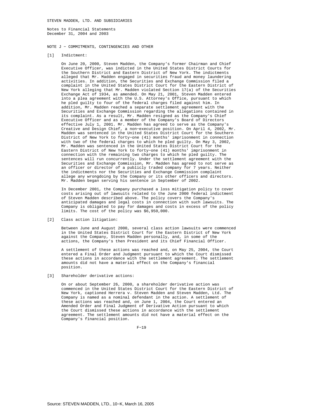#### NOTE J − COMMITMENTS, CONTINGENCIES AND OTHER

[1] Indictment:

 On June 20, 2000, Steven Madden, the Company's former Chairman and Chief Executive Officer, was indicted in the United States District Courts for the Southern District and Eastern District of New York. The indictments alleged that Mr. Madden engaged in securities fraud and money laundering activities. In addition, the Securities and Exchange Commission filed a complaint in the United States District Court for the Eastern District of New York alleging that Mr. Madden violated Section 17(a) of the Securities Exchange Act of 1934, as amended. On May 21, 2001, Steven Madden entered into a plea agreement with the U.S. Attorney's Office, pursuant to which he pled guilty to four of the federal charges filed against him. In addition, Mr. Madden reached a separate settlement agreement with the Securities and Exchange Commission regarding the allegations contained in its complaint. As a result, Mr. Madden resigned as the Company's Chief Executive Officer and as a member of the Company's Board of Directors effective July 1, 2001. Mr. Madden has agreed to serve as the Company's Creative and Design Chief, a non−executive position. On April 4, 2002, Mr. Madden was sentenced in the United States District Court for the Southern District of New York to forty−one (41) months' imprisonment in connection with two of the federal charges to which he pled guilty. On May 3, 2002, Mr. Madden was sentenced in the United States District Court for the Eastern District of New York to forty−one (41) months' imprisonment in connection with the remaining two charges to which he pled guilty. The sentences will run concurrently. Under the settlement agreement with the Securities and Exchange Commission, Mr. Madden has agreed to not serve as an officer or director of a publicly traded company for 7 years. Neither the indictments nor the Securities and Exchange Commission complaint allege any wrongdoing by the Company or its other officers and directors. Mr. Madden began serving his sentence in September of 2002.

 In December 2001, the Company purchased a loss mitigation policy to cover costs arising out of lawsuits related to the June 2000 federal indictment of Steven Madden described above. The policy covers the Company's anticipated damages and legal costs in connection with such lawsuits. The Company is obligated to pay for damages and costs in excess of the policy limits. The cost of the policy was \$6,950,000.

[2] Class action litigation:

 Between June and August 2000, several class action lawsuits were commenced in the United States District Court for the Eastern District of New York against the Company, Steven Madden personally, and, in some of the actions, the Company's then President and its Chief Financial Officer.

 A settlement of these actions was reached and, on May 25, 2004, the Court entered a Final Order and Judgment pursuant to which the Court dismissed these actions in accordance with the settlement agreement. The settlement amounts did not have a material effect on the Company's financial position.

# [3] Shareholder derivative actions:

 On or about September 26, 2000, a shareholder derivative action was commenced in the United States District Court for the Eastern District of New York, captioned Herrera v. Steven Madden and Steven Madden, Ltd. The Company is named as a nominal defendant in the action. A settlement of these actions was reached and, on June 1, 2004, the Court entered an Amended Order and Final Judgment of Derivative Action pursuant to which the Court dismissed these actions in accordance with the settlement agreement. The settlement amounts did not have a material effect on the Company's financial position.

F−19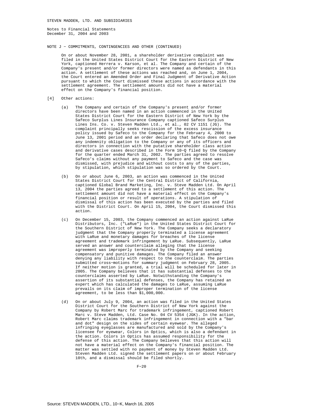#### NOTE J − COMMITMENTS, CONTINGENCIES AND OTHER (CONTINUED)

 On or about November 28, 2001, a shareholder derivative complaint was filed in the United States District Court for the Eastern District of New York, captioned Herrera v. Karson, et al. The Company and certain of the Company's present and/or former directors were named as defendants in this action. A settlement of these actions was reached and, on June 1, 2004, the Court entered an Amended Order and Final Judgment of Derivative Action pursuant to which the Court dismissed these actions in accordance with the settlement agreement. The settlement amounts did not have a material effect on the Company's financial position.

- [4] Other actions:
	- (a) The Company and certain of the Company's present and/or former directors have been named in an action commenced in the United States District Court for the Eastern District of New York by the Safeco Surplus Lines Insurance Company captioned Safeco Surplus Lines Ins. Co. v. Steven Madden Ltd., et al., 02 CV 1151 (JG). The complaint principally seeks rescission of the excess insurance policy issued by Safeco to the Company for the February 4, 2000 to June 13, 2001 period and an order declaring that Safeco does not owe any indemnity obligation to the Company or any of its officers and directors in connection with the putative shareholder class action and derivative cases described in the Form 10−Q filed by the Company for the quarter ended March 31, 2002. The parties agreed to resolve Safeco's claims without any payment to Safeco and the case was dismissed, with prejudice and without costs to any of the parties, by stipulation, which stipulation was so ordered by the Court.
- (b) On or about June 6, 2003, an action was commenced in the United States District Court for the Central District of California, captioned Global Brand Marketing, Inc. v. Steve Madden Ltd. On April 13, 2004 the parties agreed to a settlement of this action. The settlement amount did not have a material effect on the Company's financial position or result of operations. A stipulation of dismissal of this action has been executed by the parties and filed with the District Court. On April 15, 2004, the Court dismissed this action.
	- (c) On December 15, 2003, the Company commenced an action against LaRue Distributors, Inc. ("LaRue") in the United States District Court for the Southern District of New York. The Company seeks a declaratory judgment that the Company properly terminated a license agreement with LaRue and monetary damages for breaches of the license agreement and trademark infringement by LaRue. Subsequently, LaRue served an answer and counterclaim alleging that the license agreement was improperly terminated by the Company and seeking compensatory and punitive damages. The Company filed an answer denying any liability with respect to the counterclaim. The parties submitted cross−motions for summary judgment on February 28, 2005. If neither motion is granted, a trial will be scheduled for later in 2005. The Company believes that it has substantial defenses to the counterclaims asserted by LaRue. Notwithstanding the Company's assertion of its substantial defenses, the Company has retained an expert which has calculated the damages to LaRue, assuming LaRue prevails on its claim of improper termination of the license agreement, to be less than \$1,000,000.
	- (d) On or about July 9, 2004, an action was filed in the United States District Court for the Southern District of New York against the Company by Robert Marc for trademark infringement, captioned Robert Marc v. Steve Madden, Ltd. Case No. 04 CV 5354 (JGK). In the action, Robert Marc claims trademark infringement in connection with a "bar and dot" design on the sides of certain eyewear. The alleged infringing eyeglasses are manufactured and sold by the Company's licensee for eyewear, Colors in Optics, which is also a defendant in the action. Colors in Optics has assumed responsibility for the defense of this action. The Company believes that this action will not have a material effect on the Company's financial position. The matter was settled with no payment of money by Steven Madden Ltd. Steven Madden Ltd. signed the settlement papers on or about February 10th, and a dismissal should be filed shortly.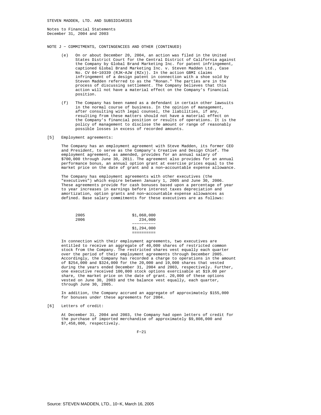NOTE J − COMMITMENTS, CONTINGENCIES AND OTHER (CONTINUED)

- (e) On or about December 20, 2004, an action was filed in the United States District Court for the Central District of California against the Company by Global Brand Marketing Inc. for patent infringement, captioned Global Brand Marketing Inc. v. Steven Madden Ltd., Case No. CV 04−10339 (RJK−AJW (RZx)). In the action GBMI claims infringement of a design patent in connection with a shoe sold by Steven Madden referred to as the "Ronan." The parties are in the process of discussing settlement. The Company believes that this action will not have a material effect on the Company's financial position.
- (f) The Company has been named as a defendant in certain other lawsuits in the normal course of business. In the opinion of management, after consulting with legal counsel, the liabilities, if any, resulting from these matters should not have a material effect on the Company's financial position or results of operations. It is the policy of management to disclose the amount or range of reasonably possible losses in excess of recorded amounts.
- [5] Employment agreements:

 The Company has an employment agreement with Steve Madden, its former CEO and President, to serve as the Company's Creative and Design Chief. The employment agreement, as amended, provides for an annual salary of \$700,000 through June 30, 2011. The agreement also provides for an annual performance bonus, an annual option grant at exercise prices equal to the market price on the date of grant and a non−accountable expense allowance.

 The Company has employment agreements with other executives (the "executives") which expire between January 1, 2005 and June 30, 2006. These agreements provide for cash bonuses based upon a percentage of year to year increases in earnings before interest taxes depreciation and amortization, option grants and non−accountable expense allowances as defined. Base salary commitments for these executives are as follows:

|      | \$1,294,000 |
|------|-------------|
|      |             |
| 2006 | 234,000     |
| 2005 | \$1,060,000 |

 In connection with their employment agreements, two executives are entitled to receive an aggregate of 40,000 shares of restricted common stock from the Company. The restricted shares vest equally each quarter over the period of their employment agreements through December 2005. Accordingly, the Company has recorded a charge to operations in the amount of \$254,000 and \$324,000 for the 20,000 and 19,000 shares that vested during the years ended December 31, 2004 and 2003, respectively. Further, one executive received 100,000 stock options exercisable at \$19.00 per share, the market price on the date of grant. 20,000 of these options vested on June 30, 2003 and the balance vest equally, each quarter, through June 30, 2005.

 In addition, the Company accrued an aggregate of approximately \$155,000 for bonuses under these agreements for 2004.

[6] Letters of credit:

 At December 31, 2004 and 2003, the Company had open letters of credit for the purchase of imported merchandise of approximately \$9,808,000 and \$7,458,000, respectively.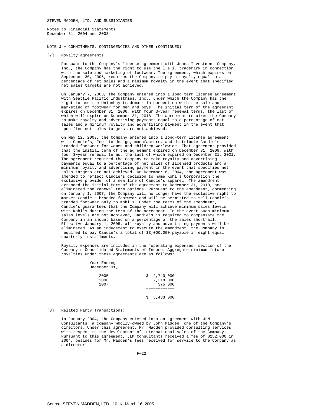NOTE J − COMMITMENTS, CONTINGENCIES AND OTHER (CONTINUED)

#### [7] Royalty agreements:

 Pursuant to the Company's license agreement with Jones Investment Company, Inc., the Company has the right to use the l.e.i. trademark in connection with the sale and marketing of footwear. The agreement, which expires on September 30, 2006, requires the Company to pay a royalty equal to a percentage of net sales and a minimum royalty in the event that specified net sales targets are not achieved.

 On January 7, 2003, the Company entered into a long−term license agreement with Seattle Pacific Industries, Inc., under which the Company has the right to use the Unionbay trademark in connection with the sale and marketing of footwear for men and boys. The initial term of the agreement expires on December 31, 2006, with four 3−year renewal terms, the last of which will expire on December 31, 2018. The agreement requires the Company to make royalty and advertising payments equal to a percentage of net sales and a minimum royalty and advertising payment in the event that specified net sales targets are not achieved.

 On May 12, 2003, the Company entered into a long−term license agreement with Candie's, Inc. to design, manufacture, and distribute Candie's branded footwear for women and children worldwide. That agreement provided that the initial term of the agreement expired on December 31, 2009, with four 3−year renewal terms, the last of which expired on December 31, 2021. The agreement required the Company to make royalty and advertising payments equal to a percentage of net sales of licensed products and a minimum royalty and advertising payment in the event that specified net sales targets are not achieved. On December 6, 2004, the agreement was amended to reflect Candie's decision to name Kohl's Corporation the exclusive provider of a new line of Candie's apparel. The amendment extended the initial term of the agreement to December 31, 2010, and eliminated the renewal term options. Pursuant to the amendment, commencing on January 1, 2007, the Company will no longer have the exclusive right to market Candie's branded footwear and will be permitted to sell Candie's branded footwear only to Kohl's. Under the terms of the amendment, Candie's guarantees that the Company will achieve minimum sales levels with Kohl's during the term of the agreement. In the event such minimum sales levels are not achieved, Candie's is required to compensate the Company in an amount based on a percentage of the sales shortfall. Effective January 1, 2005, all royalty and advertising payments will be eliminated. As an inducement to execute the amendment, the Company is required to pay Candie's a total of \$3,000,000 payable in eight equal quarterly installments.

 Royalty expenses are included in the "operating expenses" section of the Company's Consolidated Statements of Income. Aggregate minimum future royalties under these agreements are as follows:

| Year Ending<br>December 31, |                                     |
|-----------------------------|-------------------------------------|
| 2005<br>2006<br>2007        | \$2,740,000<br>2,318,000<br>375,000 |
|                             | \$5,433,000                         |

#### [8] Related Party Transactions:

 In January 2004, the Company entered into an agreement with JLM Consultants, a company wholly−owned by John Madden, one of the Company's directors. Under this agreement, Mr. Madden provided consulting services with respect to the development of international sales of the Company. Pursuant to this agreement, JLM Consultants received a fee of \$252,000 in 2004, besides for Mr. Madden's fees received for service to the Company as a director.

============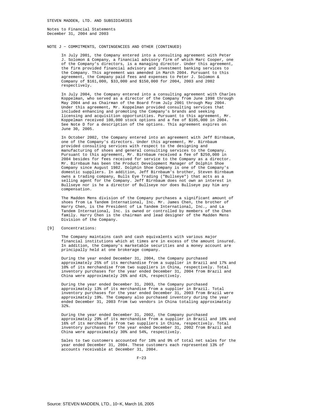#### NOTE J − COMMITMENTS, CONTINGENCIES AND OTHER (CONTINUED)

 In July 2001, the Company entered into a consulting agreement with Peter J. Solomon & Company, a financial advisory firm of which Marc Cooper, one of the Company's directors, is a managing director. Under this agreement, the firm provided financial advisory and investment banking services to the Company. This agreement was amended in March 2004. Pursuant to this agreement, the Company paid fees and expenses to Peter J. Solomon & Company of \$161,000, \$33,000 and \$150,000 for 2004, 2003 and 2002 respectively.

 In July 2004, the Company entered into a consulting agreement with Charles Koppelman, who served as a director of the Company from June 1998 through May 2004 and as Chairman of the Board from July 2001 through May 2004. Under this agreement, Mr. Koppelman provided consulting services that included enhancing and promoting the Company's brands and seeking licensing and acquisition opportunities. Pursuant to this agreement, Mr. Koppelman received 100,000 stock options and a fee of \$105,000 in 2004. See Note D for a description of the options. This agreement expires on June 30, 2005.

 In October 2002, the Company entered into an agreement with Jeff Birnbaum, one of the Company's directors. Under this agreement, Mr. Birnbaum provided consulting services with respect to the designing and manufacturing of shoes and general consulting services to the Company. Pursuant to this agreement, Mr. Birnbaum received a fee of \$250,000 in 2004 besides for fees received for service to the Company as a director. Mr. Birnbaum has been the Product Development Manager of Dolphin Shoe Company since August 1982. Dolphin Shoe Company is one of the Company's domestic suppliers. In addition, Jeff Birnbaum's brother, Steven Birnbaum owns a trading company, Bulls Eye Trading ("Bullseye") that acts as a selling agent for the Company. Jeff Birnbaum does not own an interest in Bullseye nor is he a director of Bullseye nor does Bullseye pay him any compensation.

 The Madden Mens division of the Company purchases a significant amount of shoes from La Tandem International, Inc. Mr. James Chen, the brother of Harry Chen, is the President of La Tandem International, Inc., and La Tandem International, Inc. is owned or controlled by members of the Chen family. Harry Chen is the chairman and lead designer of the Madden Mens Division of the Company.

[9] Concentrations:

 The Company maintains cash and cash equivalents with various major financial institutions which at times are in excess of the amount insured. In addition, the Company's marketable securities and a money account are principally held at one brokerage company.

 During the year ended December 31, 2004, the Company purchased approximately 25% of its merchandise from a supplier in Brazil and 17% and 10% of its merchandise from two suppliers in China, respectively. Total inventory purchases for the year ended December 31, 2004 from Brazil and China were approximately 26% and 41%, respectively.

 During the year ended December 31, 2003, the Company purchased approximately 13% of its merchandise from a supplier in Brazil. Total inventory purchases for the year ended December 31, 2003 from Brazil were approximately 19%. The Company also purchased inventory during the year ended December 31, 2003 from two vendors in China totaling approximately 32%.

 During the year ended December 31, 2002, the Company purchased approximately 29% of its merchandise from a supplier in Brazil and 18% and 16% of its merchandise from two suppliers in China, respectively. Total inventory purchases for the year ended December 31, 2002 from Brazil and China were approximately 30% and 54%, respectively.

 Sales to two customers accounted for 10% and 9% of total net sales for the year ended December 31, 2004. These customers each represented 13% of accounts receivable at December 31, 2004.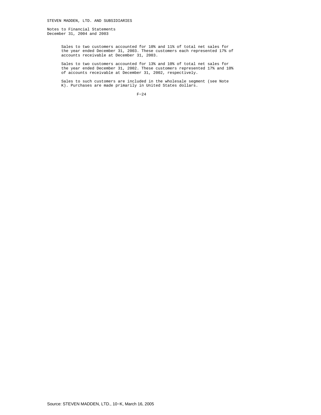> Sales to two customers accounted for 10% and 11% of total net sales for the year ended December 31, 2003. These customers each represented 17% of accounts receivable at December 31, 2003.

> Sales to two customers accounted for 13% and 10% of total net sales for the year ended December 31, 2002. These customers represented 17% and 10% of accounts receivable at December 31, 2002, respectively.

 Sales to such customers are included in the wholesale segment (see Note K). Purchases are made primarily in United States dollars.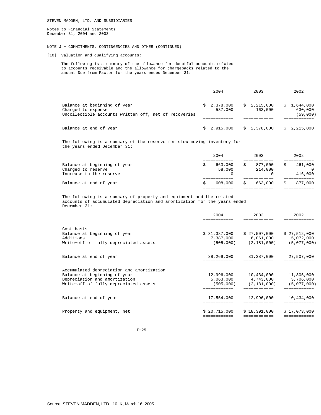STEVEN MADDEN, LTD. AND SUBSIDIARIES

Notes to Financial Statements December 31, 2004 and 2003

NOTE J − COMMITMENTS, CONTINGENCIES AND OTHER (CONTINUED)

# [10] Valuation and qualifying accounts:

 The following is a summary of the allowance for doubtful accounts related to accounts receivable and the allowance for chargebacks related to the amount Due from Factor for the years ended December 31:

|                                                                                                             | 2004                   | 2003                   | 2002                               |
|-------------------------------------------------------------------------------------------------------------|------------------------|------------------------|------------------------------------|
| Balance at beginning of year<br>Charged to expense<br>Uncollectible accounts written off, net of recoveries | \$2,378,000<br>537,000 | \$2,215,000<br>163,000 | \$1,644,000<br>630,000<br>(59,000) |
| Balance at end of year                                                                                      | \$2,915,000            | \$2,378,000            | \$2,215,000                        |

 The following is a summary of the reserve for slow moving inventory for the years ended December 31:

|                                               | 2004 |         | 2003    | 2002 |                     |
|-----------------------------------------------|------|---------|---------|------|---------------------|
| Balance at beginning of year                  |      | 663,000 | 877,000 |      | 461,000             |
| Charged to reserve<br>Increase to the reserve |      | 58,000  | 214,000 |      | $\Omega$<br>416,000 |
| Balance at end of year                        |      | 608,000 | 663,000 |      | 877,000             |
|                                               |      |         |         |      |                     |

 The following is a summary of property and equipment and the related accounts of accumulated depreciation and amortization for the years ended December 31:

|                                           | 2004         | 2003                                      | 2002         |
|-------------------------------------------|--------------|-------------------------------------------|--------------|
| Cost basis                                |              |                                           |              |
| Balance at beginning of year              |              | $$31,387,000 \t$27,507,000 \t$27,512,000$ |              |
| Additions                                 |              | 7,387,000 6,061,000                       | 5,072,000    |
| Write-off of fully depreciated assets     |              | $(505,000)$ $(2,181,000)$ $(5,077,000)$   |              |
| Balance at end of year                    |              | 38,269,000 31,387,000 27,507,000          |              |
| Accumulated depreciation and amortization |              |                                           |              |
| Balance at beginning of year              |              | 12,996,000    10,434,000    11,805,000    |              |
| Depreciation and amortization             |              | 5,063,000 4,743,000 3,706,000             |              |
| Write-off of fully depreciated assets     |              | $(505,000)$ $(2,181,000)$ $(5,077,000)$   |              |
| Balance at end of year                    |              | 17,554,000 12,996,000 10,434,000          |              |
| Property and equipment, net               | \$20,715,000 | \$18,391,000                              | \$17,073,000 |

F−25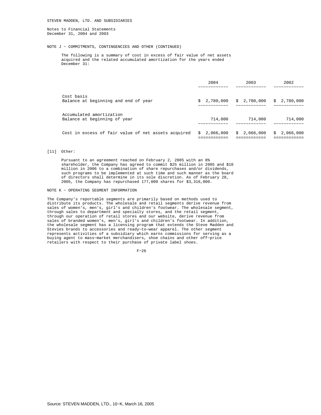# STEVEN MADDEN, LTD. AND SUBSIDIARIES

Notes to Financial Statements December 31, 2004 and 2003

#### NOTE J − COMMITMENTS, CONTINGENCIES AND OTHER (CONTINUED)

 The following is a summary of cost in excess of fair value of net assets acquired and the related accumulated amortization for the years ended December 31:

|                                                     | 2004            | 2003            | 2002            |
|-----------------------------------------------------|-----------------|-----------------|-----------------|
| Cost basis<br>Balance at beginning and end of year  | 2,780,000<br>S. | 2,780,000<br>S. | 2,780,000<br>S. |
|                                                     |                 |                 |                 |
| Accumulated amortization                            |                 |                 |                 |
| Balance at beginning of year                        | 714,000         | 714,000         | 714,000         |
| Cost in excess of fair value of net assets acquired | 2,066,000<br>Ŝ. | 2,066,000<br>Ŝ. | 2,066,000<br>Ŝ. |

# [11] Other:

 Pursuant to an agreement reached on February 2, 2005 with an 8% shareholder, the Company has agreed to commit \$25 million in 2005 and \$10 million in 2006 to a combination of share repurchases and/or dividends, such programs to be implemented at such time and such manner as the board of directors shall determine in its sole discretion. As of February 28, 2005, the Company has repurchased 177,000 shares for \$3,316,000.

# NOTE K − OPERATING SEGMENT INFORMATION

The Company's reportable segments are primarily based on methods used to distribute its products. The wholesale and retail segments derive revenue from sales of women's, men's, girl's and children's footwear. The wholesale segment, through sales to department and specialty stores, and the retail segment, through our operation of retail stores and our website, derive revenue from sales of branded women's, men's, girl's and children's footwear. In addition, the wholesale segment has a licensing program that extends the Steve Madden and Stevies brands to accessories and ready−to−wear apparel. The other segment represents activities of a subsidiary which earns commissions for serving as a buying agent to mass−market merchandisers, shoe chains and other off−price retailers with respect to their purchase of private label shoes.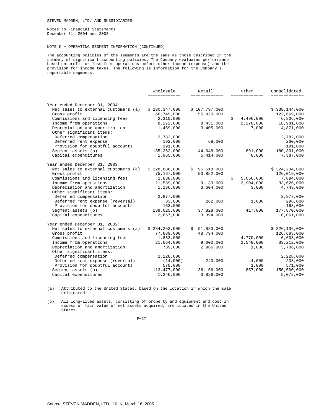# NOTE K − OPERATING SEGMENT INFORMATION (CONTINUED)

The accounting policies of the segments are the same as those described in the summary of significant accounting policies. The Company evaluates performance based on profit or loss from operations before other income (expense) and the provision for income taxes. The following is information for the Company's reportable segments:

| Wholesale                           |                 | Retail        | Other           | Consolidated    |  |
|-------------------------------------|-----------------|---------------|-----------------|-----------------|--|
| Year ended December 31, 2004:       |                 |               |                 |                 |  |
| Net sales to external customers (a) | \$230,347,000   | \$107,797,000 |                 | \$338,144,000   |  |
| Gross profit                        | 66,749,000      | 55,920,000    |                 | 122,669,000     |  |
| Commissions and licensing fees      | 2,310,000       |               | \$<br>4,496,000 | 6,806,000       |  |
| Income from operations              | 8,272,000       | 8,431,000     | 2,278,000       | 18,981,000      |  |
| Depreciation and amortization       | 1,459,000       | 3,405,000     | 7,000           | 4,871,000       |  |
| Other significant items:            |                 |               |                 |                 |  |
| Deferred compensation               | 2,782,000       |               |                 | 2,782,000       |  |
| Deferred rent expense               | 192,000         | 68,000        |                 | 260,000         |  |
| Provision for doubtful accounts     | 191,000         |               |                 | 191,000         |  |
| Segment assets (b)                  | 135,362,000     | 44,048,000    | 891,000         | 180,301,000     |  |
| Capital expenditures                | 1,965,000       | 5,414,000     | 8,000           | 7,387,000       |  |
|                                     |                 |               |                 |                 |  |
| Year ended December 31, 2003:       |                 |               |                 |                 |  |
| Net sales to external customers (a) | \$228,686,000   | \$95,518,000  |                 | \$324, 204, 000 |  |
| Gross profit                        | 75,167,000      | 50,852,000    |                 | 126,019,000     |  |
| Commissions and licensing fees      | 2,838,000       |               | \$<br>5,056,000 | 7,894,000       |  |
| Income from operations              | 21,589,000      | 9,133,000     | 2,904,000       | 33,626,000      |  |
| Depreciation and amortization       | 1,136,000       | 3,604,000     | 3,000           | 4,743,000       |  |
| Other significant items:            |                 |               |                 |                 |  |
| Deferred compensation               | 2,877,000       |               |                 | 2,877,000       |  |
| Deferred rent expense (reversal)    | 33,000          | 262,000       | 1,000           | 296,000         |  |
| Provision for doubtful accounts     | 163,000         |               |                 | 163,000         |  |
| Segment assets (b)                  | 139,625,000     | 37,828,000    | 417,000         | 177,870,000     |  |
| Capital expenditures                | 2,667,000       | 3,394,000     |                 | 6,061,000       |  |
| Year ended December 31, 2002:       |                 |               |                 |                 |  |
| Net sales to external customers (a) | \$234, 253, 000 | \$91,883,000  |                 | \$326,136,000   |  |
| Gross profit                        | 77,889,000      | 48,794,000    |                 | 126,683,000     |  |
| Commissions and licensing fees      | 1,833,000       |               | 4,770,000       | 6,603,000       |  |
| Income from operations              | 21,664,000      | 9,000,000     | 2,548,000       | 33, 212, 000    |  |
| Depreciation and amortization       | 739,000         | 2,966,000     | 1,000           | 3,706,000       |  |
| Other significant items:            |                 |               |                 |                 |  |
| Deferred compensation               | 2,228,000       |               |                 | 2,228,000       |  |
| Deferred rent expense (reversal)    | (14,000)        | 243,000       | 4,000           | 233,000         |  |
| Provision for doubtful accounts     | 570,000         |               | 1,000           | 571,000         |  |
| Segment assets (b)                  | 113,477,000     | 36,166,000    | 857,000         | 150,500,000     |  |
| Capital expenditures                | 1,246,000       | 3,826,000     |                 | 5,072,000       |  |

(a) Attributed to the United States, based on the location in which the sale originated.

(b) All long−lived assets, consisting of property and equipment and cost in excess of fair value of net assets acquired, are located in the United States.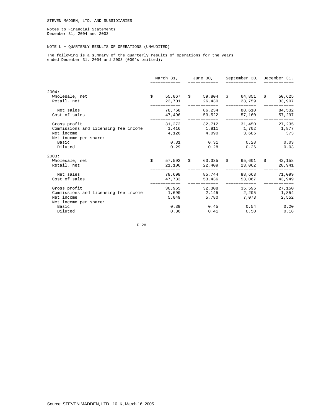NOTE L − QUARTERLY RESULTS OF OPERATIONS (UNAUDITED)

The following is a summary of the quarterly results of operations for the years ended December 31, 2004 and 2003 (000's omitted):

|                                      |  |         |  | March 31, June 30, September 30, December 31, |  |                                 |  |          |
|--------------------------------------|--|---------|--|-----------------------------------------------|--|---------------------------------|--|----------|
| 2004:                                |  |         |  |                                               |  |                                 |  |          |
| Wholesale, net                       |  |         |  |                                               |  | $$5,067$ \$ 59,804 \$ 64,851    |  | \$50,625 |
| Retail, net                          |  | 23,701  |  | ------------                                  |  | 26,430 23,759<br>------------   |  | 33,907   |
| Net sales                            |  | 78,768  |  |                                               |  | 86,234 88,610                   |  | 84,532   |
| Cost of sales                        |  | 47,496  |  |                                               |  | 53,522 57,160<br>_____________  |  | 57,297   |
| Gross profit                         |  |         |  |                                               |  | 31,272 32,712 31,450            |  | 27,235   |
| Commissions and licensing fee income |  |         |  |                                               |  | $1,416$ $1,811$ $1,702$ $1,877$ |  |          |
| Net income                           |  | 4,126   |  |                                               |  | 4,090 3,686                     |  | 373      |
| Net income per share:                |  |         |  |                                               |  |                                 |  |          |
| Basic                                |  | 0.31    |  | 0.31                                          |  | 0.28                            |  | 0.03     |
| Diluted                              |  |         |  |                                               |  | $0.29$ $0.28$ $0.26$            |  | 0.03     |
| 2003:                                |  |         |  |                                               |  |                                 |  |          |
| Wholesale, net                       |  | \$7,592 |  |                                               |  | $$63,335$ \$65,601              |  | \$42,158 |
| Retail, net                          |  | 21,106  |  | 22,409 23,062                                 |  |                                 |  | 28,941   |
| Net sales                            |  |         |  |                                               |  | 78,698 85,744 88,663            |  | 71,099   |
| Cost of sales                        |  | 47,733  |  |                                               |  | 53,436 53,067                   |  | 43,949   |
| Gross profit                         |  | 30,965  |  |                                               |  | $32,308$ $35,596$ 27,150        |  |          |
| Commissions and licensing fee income |  |         |  |                                               |  | $1,690$ $2,145$ $2,205$ $1,854$ |  |          |
| Net income<br>Net income per share:  |  | 5,049   |  | 5,780                                         |  | 7,073                           |  | 2,552    |
| Basic                                |  | 0.39    |  | 0.45                                          |  | 0.54                            |  | 0.20     |
| Diluted                              |  | 0.36    |  | 0.41                                          |  | 0.50                            |  | 0.18     |

F−28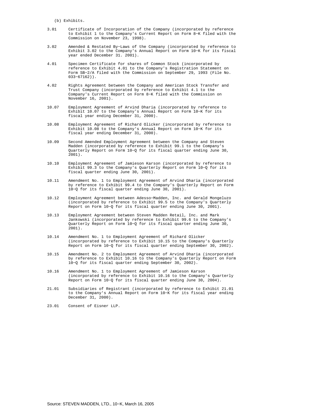(b) Exhibits.

- 3.01 Certificate of Incorporation of the Company (incorporated by reference to Exhibit 1 to the Company's Current Report on Form 8−K filed with the Commission on November 23, 1998).
- 3.02 Amended & Restated By−Laws of the Company (incorporated by reference to Exhibit 3.02 to the Company's Annual Report on Form 10−K for its fiscal year ended December 31. 2001).
- 4.01 Specimen Certificate for shares of Common Stock (incorporated by reference to Exhibit 4.01 to the Company's Registration Statement on Form SB−2/A filed with the Commission on September 29, 1993 (File No. 033−67162)).
- 4.02 Rights Agreement between the Company and American Stock Transfer and Trust Company (incorporated by reference to Exhibit 4.1 to the Company's Current Report on Form 8−K filed with the Commission on November 16, 2001).
- 10.07 Employment Agreement of Arvind Dharia (incorporated by reference to Exhibit 10.07 to the Company's Annual Report on Form 10−K for its fiscal year ending December 31, 2000).
- 10.08 Employment Agreement of Richard Olicker (incorporated by reference to Exhibit 10.08 to the Company's Annual Report on Form 10−K for its fiscal year ending December 31, 2000).
- 10.09 Second Amended Employment Agreement between the Company and Steven Madden (incorporated by reference to Exhibit 99.1 to the Company's Quarterly Report on Form 10−Q for its fiscal quarter ending June 30, 2001).
- 10.10 Employment Agreement of Jamieson Karson (incorporated by reference to Exhibit 99.3 to the Company's Quarterly Report on Form 10−Q for its fiscal quarter ending June 30, 2001).
- 10.11 Amendment No. 1 to Employment Agreement of Arvind Dharia (incorporated by reference to Exhibit 99.4 to the Company's Quarterly Report on Form 10−Q for its fiscal quarter ending June 30, 2001).
- 10.12 Employment Agreement between Adesso−Madden, Inc. and Gerald Mongeluzo (incorporated by reference to Exhibit 99.5 to the Company's Quarterly Report on Form 10−Q for its fiscal quarter ending June 30, 2001).
- 10.13 Employment Agreement between Steven Madden Retail, Inc. and Mark Jankowski (incorporated by reference to Exhibit 99.6 to the Company's Quarterly Report on Form 10−Q for its fiscal quarter ending June 30, 2001).
- 10.14 Amendment No. 1 to Employment Agreement of Richard Olicker (incorporated by reference to Exhibit 10.15 to the Company's Quarterly Report on Form 10−Q for its fiscal quarter ending September 30, 2002).
- 10.15 Amendment No. 2 to Employment Agreement of Arvind Dharia (incorporated by reference to Exhibit 10.16 to the Company's Quarterly Report on Form 10−Q for its fiscal quarter ending September 30, 2002).
- 10.16 Amendment No. 1 to Employment Agreement of Jamieson Karson (incorporated by reference to Exhibit 10.16 to the Company's Quarterly Report on Form 10−Q for its fiscal quarter ending June 30, 2004).
- 21.01 Subsidiaries of Registrant (incorporated by reference to Exhibit 21.01 to the Company's Annual Report on Form 10−K for its fiscal year ending December 31, 2000).
- 23.01 Consent of Eisner LLP.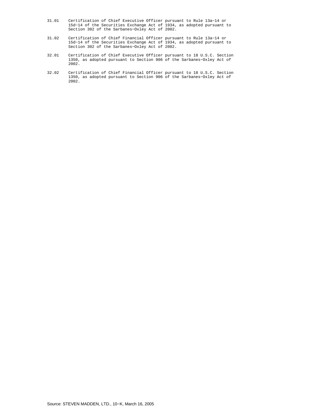- 31.01 Certification of Chief Executive Officer pursuant to Rule 13a−14 or 15d−14 of the Securities Exchange Act of 1934, as adopted pursuant to Section 302 of the Sarbanes−Oxley Act of 2002.
- 31.02 Certification of Chief Financial Officer pursuant to Rule 13a−14 or 15d−14 of the Securities Exchange Act of 1934, as adopted pursuant to Section 302 of the Sarbanes−Oxley Act of 2002.
- 32.01 Certification of Chief Executive Officer pursuant to 18 U.S.C. Section 1350, as adopted pursuant to Section 906 of the Sarbanes−Oxley Act of 2002.
- 32.02 Certification of Chief Financial Officer pursuant to 18 U.S.C. Section 1350, as adopted pursuant to Section 906 of the Sarbanes−Oxley Act of 2002.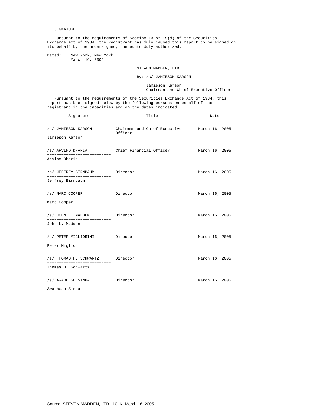# SIGNATURE

<span id="page-62-0"></span> Pursuant to the requirements of Section 13 or 15(d) of the Securities Exchange Act of 1934, the registrant has duly caused this report to be signed on its behalf by the undersigned, thereunto duly authorized.

Dated: New York, New York March 16, 2005

# STEVEN MADDEN, LTD.

 By: /s/ JAMIESON KARSON −−−−−−−−−−−−−−−−−−−−−−− Jamieson Karson Chairman and Chief Executive Officer

 Pursuant to the requirements of the Securities Exchange Act of 1934, this report has been signed below by the following persons on behalf of the registrant in the capacities and on the dates indicated.

| Signature                                                                        | Title                                                                                                | Date           |
|----------------------------------------------------------------------------------|------------------------------------------------------------------------------------------------------|----------------|
| Jamieson Karson                                                                  | /s/ JAMIESON KARSON Chairman and Chief Executive March 16, 2005<br>------------------------- Officer |                |
| Arvind Dharia                                                                    | /s/ ARVIND DHARIA Chief Financial Officer                                                            | March 16, 2005 |
| /s/ JEFFREY BIRNBAUM Director<br>---------------------------<br>Jeffrey Birnbaum |                                                                                                      | March 16, 2005 |
| /s/ MARC COOPER Director<br>----------------------------<br>Marc Cooper          |                                                                                                      | March 16, 2005 |
| /s/ JOHN L. MADDEN Director<br>John L. Madden                                    |                                                                                                      | March 16, 2005 |
| /s/ PETER MIGLIORINI Director<br>---------------------------<br>Peter Migliorini |                                                                                                      | March 16, 2005 |
| /s/ THOMAS H. SCHWARTZ Director<br>Thomas H. Schwartz                            |                                                                                                      | March 16, 2005 |
| /s/ AWADHESH SINHA Director<br>Awadhesh Sinha                                    |                                                                                                      | March 16, 2005 |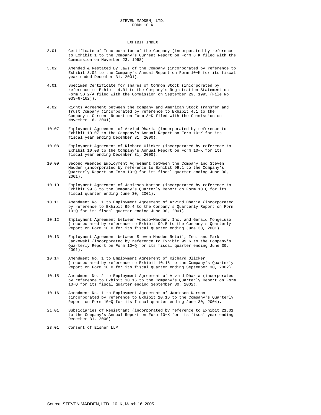# EXHIBIT INDEX

- <span id="page-63-0"></span>3.01 Certificate of Incorporation of the Company (incorporated by reference to Exhibit 1 to the Company's Current Report on Form 8−K filed with the Commission on November 23, 1998).
- 3.02 Amended & Restated By−Laws of the Company (incorporated by reference to Exhibit 3.02 to the Company's Annual Report on Form 10−K for its fiscal year ended December 31. 2001).
- 4.01 Specimen Certificate for shares of Common Stock (incorporated by reference to Exhibit 4.01 to the Company's Registration Statement on Form SB−2/A filed with the Commission on September 29, 1993 (File No. 033−67162)).
- 4.02 Rights Agreement between the Company and American Stock Transfer and Trust Company (incorporated by reference to Exhibit 4.1 to the Company's Current Report on Form 8−K filed with the Commission on November 16, 2001).
- 10.07 Employment Agreement of Arvind Dharia (incorporated by reference to Exhibit 10.07 to the Company's Annual Report on Form 10−K for its fiscal year ending December 31, 2000).
- 10.08 Employment Agreement of Richard Olicker (incorporated by reference to Exhibit 10.08 to the Company's Annual Report on Form 10−K for its fiscal year ending December 31, 2000).
- 10.09 Second Amended Employment Agreement between the Company and Steven Madden (incorporated by reference to Exhibit 99.1 to the Company's Quarterly Report on Form 10−Q for its fiscal quarter ending June 30, 2001).
- 10.10 Employment Agreement of Jamieson Karson (incorporated by reference to Exhibit 99.3 to the Company's Quarterly Report on Form 10−Q for its fiscal quarter ending June 30, 2001).
- 10.11 Amendment No. 1 to Employment Agreement of Arvind Dharia (incorporated by reference to Exhibit 99.4 to the Company's Quarterly Report on Form 10−Q for its fiscal quarter ending June 30, 2001).
- 10.12 Employment Agreement between Adesso−Madden, Inc. and Gerald Mongeluzo (incorporated by reference to Exhibit 99.5 to the Company's Quarterly Report on Form 10−Q for its fiscal quarter ending June 30, 2001).
- 10.13 Employment Agreement between Steven Madden Retail, Inc. and Mark Jankowski (incorporated by reference to Exhibit 99.6 to the Company's Quarterly Report on Form 10−Q for its fiscal quarter ending June 30, 2001).
- 10.14 Amendment No. 1 to Employment Agreement of Richard Olicker (incorporated by reference to Exhibit 10.15 to the Company's Quarterly Report on Form 10−Q for its fiscal quarter ending September 30, 2002).
- 10.15 Amendment No. 2 to Employment Agreement of Arvind Dharia (incorporated by reference to Exhibit 10.16 to the Company's Quarterly Report on Form 10−Q for its fiscal quarter ending September 30, 2002).
- 10.16 Amendment No. 1 to Employment Agreement of Jamieson Karson (incorporated by reference to Exhibit 10.16 to the Company's Quarterly Report on Form 10−Q for its fiscal quarter ending June 30, 2004).
- 21.01 Subsidiaries of Registrant (incorporated by reference to Exhibit 21.01 to the Company's Annual Report on Form 10−K for its fiscal year ending December 31, 2000).
- 23.01 Consent of Eisner LLP.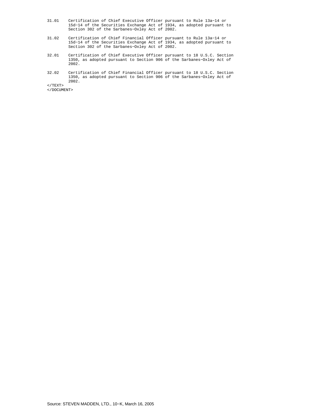- 31.01 Certification of Chief Executive Officer pursuant to Rule 13a−14 or 15d−14 of the Securities Exchange Act of 1934, as adopted pursuant to Section 302 of the Sarbanes−Oxley Act of 2002.
- 31.02 Certification of Chief Financial Officer pursuant to Rule 13a−14 or 15d−14 of the Securities Exchange Act of 1934, as adopted pursuant to Section 302 of the Sarbanes−Oxley Act of 2002.
- 32.01 Certification of Chief Executive Officer pursuant to 18 U.S.C. Section 1350, as adopted pursuant to Section 906 of the Sarbanes−Oxley Act of 2002.
- 32.02 Certification of Chief Financial Officer pursuant to 18 U.S.C. Section 1350, as adopted pursuant to Section 906 of the Sarbanes−Oxley Act of 2002.

 $<$  /  $\mathrm{TEXT}$   $>$ 

</DOCUMENT>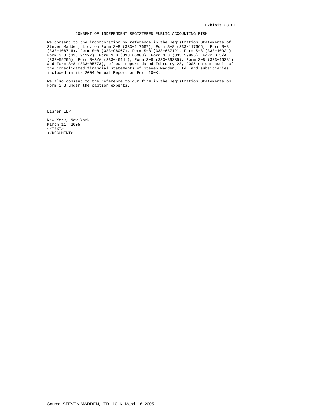# CONSENT OF INDEPENDENT REGISTERED PUBLIC ACCOUNTING FIRM

<span id="page-65-0"></span>We consent to the incorporation by reference in the Registration Statements of Steven Madden, Ltd. on Form S−8 (333−117667), Form S−8 (333−117666), Form S−8 (333−106746), Form S−8 (333−98067), Form S−8 (333−68712), Form S−8 (333−40924), Form S−3 (333−91127), Form S−8 (333−86903), Form S−8 (333−59995), Form S−3/A (333−59295), Form S−3/A (333−46441), Form S−8 (333−39335), Form S−8 (333−16381) and Form S−8 (333−05773), of our report dated February 28, 2005 on our audit of the consolidated financial statements of Steven Madden, Ltd. and subsidiaries included in its 2004 Annual Report on Form 10−K.

We also consent to the reference to our firm in the Registration Statements on Form S−3 under the caption experts.

Eisner LLP

New York, New York March 11, 2005  $<$ /TEXT> </DOCUMENT>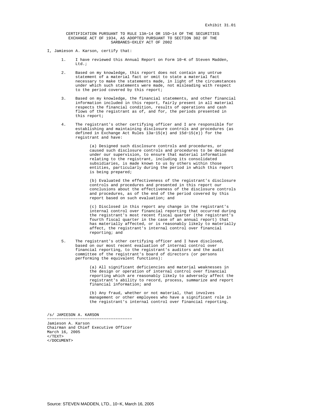CERTIFICATION PURSUANT TO RULE 13A−14 OR 15D−14 OF THE SECURITIES EXCHANGE ACT OF 1934, AS ADOPTED PURSUANT TO SECTION 302 OF THE SARBANES-OXLEY ACT OF 2002

<span id="page-66-0"></span>I, Jamieson A. Karson, certify that:

- 1. I have reviewed this Annual Report on Form 10−K of Steven Madden, Ltd.;
- 2. Based on my knowledge, this report does not contain any untrue statement of a material fact or omit to state a material fact necessary to make the statements made, in light of the circumstances under which such statements were made, not misleading with respect to the period covered by this report;
- 3. Based on my knowledge, the financial statements, and other financial information included in this report, fairly present in all material respects the financial condition, results of operations and cash flows of the registrant as of, and for, the periods presented in this report;
- 4. The registrant's other certifying officer and I are responsible for establishing and maintaining disclosure controls and procedures (as defined in Exchange Act Rules 13a−15(e) and 15d−15(e)) for the registrant and have:

 (a) Designed such disclosure controls and procedures, or caused such disclosure controls and procedures to be designed under our supervision, to ensure that material information relating to the registrant, including its consolidated subsidiaries, is made known to us by others within those entities, particularly during the period in which this report is being prepared;

 (b) Evaluated the effectiveness of the registrant's disclosure controls and procedures and presented in this report our conclusions about the effectiveness of the disclosure controls and procedures, as of the end of the period covered by this report based on such evaluation; and

 (c) Disclosed in this report any change in the registrant's internal control over financial reporting that occurred during the registrant's most recent fiscal quarter (the registrant's fourth fiscal quarter in the case of an annual report) that has materially affected, or is reasonably likely to materially affect, the registrant's internal control over financial reporting; and

 5. The registrant's other certifying officer and I have disclosed, based on our most recent evaluation of internal control over financial reporting, to the registrant's auditors and the audit committee of the registrant's board of directors (or persons performing the equivalent functions):

> (a) All significant deficiencies and material weaknesses in the design or operation of internal control over financial reporting which are reasonably likely to adversely affect the registrant's ability to record, process, summarize and report financial information; and

 (b) Any fraud, whether or not material, that involves management or other employees who have a significant role in the registrant's internal control over financial reporting.

/s/ JAMIESON A. KARSON

Jamieson A. Karson Chairman and Chief Executive Officer March 16, 2005  $\langle$ /TEXT> </DOCUMENT>

−−−−−−−−−−−−−−−−−−−−−−−−−−−−−−−−−−−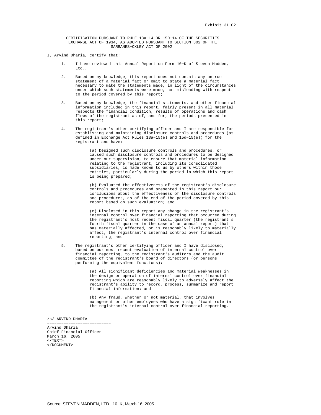CERTIFICATION PURSUANT TO RULE 13A−14 OR 15D−14 OF THE SECURITIES EXCHANGE ACT OF 1934, AS ADOPTED PURSUANT TO SECTION 302 OF THE SARBANES−OXLEY ACT OF 2002

<span id="page-67-0"></span>I, Arvind Dharia, certify that:

- 1. I have reviewed this Annual Report on Form 10−K of Steven Madden, Ltd.;
- 2. Based on my knowledge, this report does not contain any untrue statement of a material fact or omit to state a material fact necessary to make the statements made, in light of the circumstances under which such statements were made, not misleading with respect to the period covered by this report;
- 3. Based on my knowledge, the financial statements, and other financial information included in this report, fairly present in all material respects the financial condition, results of operations and cash flows of the registrant as of, and for, the periods presented in this report;
- 4. The registrant's other certifying officer and I are responsible for establishing and maintaining disclosure controls and procedures (as defined in Exchange Act Rules 13a−15(e) and 15d−15(e)) for the registrant and have:

 (a) Designed such disclosure controls and procedures, or caused such disclosure controls and procedures to be designed under our supervision, to ensure that material information relating to the registrant, including its consolidated subsidiaries, is made known to us by others within those entities, particularly during the period in which this report is being prepared;

 (b) Evaluated the effectiveness of the registrant's disclosure controls and procedures and presented in this report our conclusions about the effectiveness of the disclosure controls and procedures, as of the end of the period covered by this report based on such evaluation; and

 (c) Disclosed in this report any change in the registrant's internal control over financial reporting that occurred during the registrant's most recent fiscal quarter (the registrant's fourth fiscal quarter in the case of an annual report) that has materially affected, or is reasonably likely to materially affect, the registrant's internal control over financial reporting; and

 5. The registrant's other certifying officer and I have disclosed, based on our most recent evaluation of internal control over financial reporting, to the registrant's auditors and the audit committee of the registrant's board of directors (or persons performing the equivalent functions):

> (a) All significant deficiencies and material weaknesses in the design or operation of internal control over financial reporting which are reasonably likely to adversely affect the registrant's ability to record, process, summarize and report financial information; and

 (b) Any fraud, whether or not material, that involves management or other employees who have a significant role in the registrant's internal control over financial reporting.

/s/ ARVIND DHARIA

Arvind Dharia Chief Financial Officer March 16, 2005 </TEXT> </DOCUMENT>

−−−−−−−−−−−−−−−−−−−−−−−−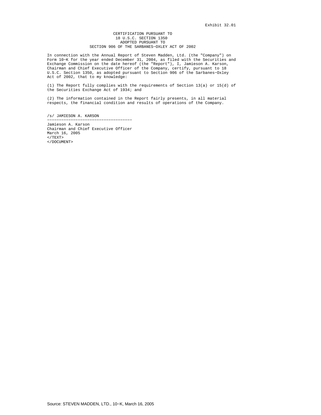# CERTIFICATION PURSUANT TO 18 U.S.C. SECTION 1350 ADOPTED PURSUANT TO SECTION 906 OF THE SARBANES−OXLEY ACT OF 2002

<span id="page-68-0"></span>In connection with the Annual Report of Steven Madden, Ltd. (the "Company") on Form 10−K for the year ended December 31, 2004, as filed with the Securities and Exchange Commission on the date hereof (the "Report"), I, Jamieson A. Karson, Chairman and Chief Executive Officer of the Company, certify, pursuant to 18 U.S.C. Section 1350, as adopted pursuant to Section 906 of the Sarbanes−Oxley Act of 2002, that to my knowledge:

(1) The Report fully complies with the requirements of Section 13(a) or 15(d) of the Securities Exchange Act of 1934; and

(2) The information contained in the Report fairly presents, in all material respects, the financial condition and results of operations of the Company.

/s/ JAMIESON A. KARSON −−−−−−−−−−−−−−−−−−−−−−−−−−−−−−−−−−−−

Jamieson A. Karson Chairman and Chief Executive Officer March 16, 2005  $<$ /TEXT $>$ </DOCUMENT>